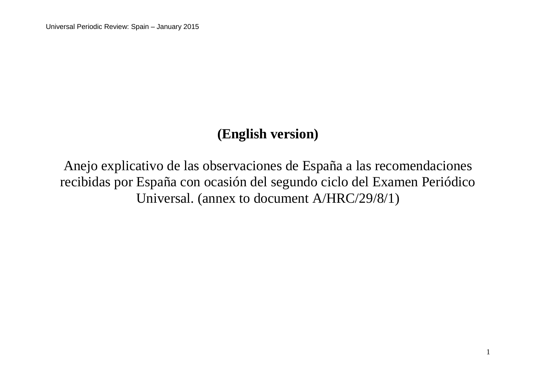## **(English version)**

Anejo explicativo de las observaciones de España a las recomendaciones recibidas por España con ocasión del segundo ciclo del Examen Periódico Universal. (annex to document A/HRC/29/8/1)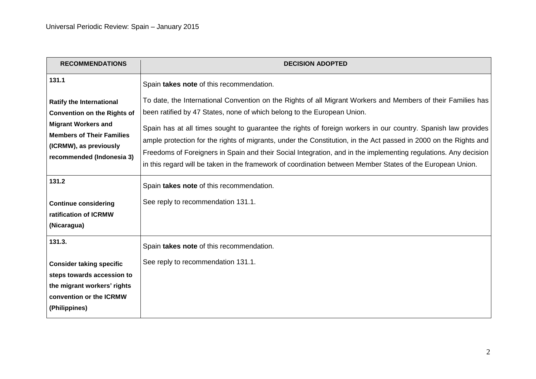| <b>RECOMMENDATIONS</b>                                                                                                                                                                         | <b>DECISION ADOPTED</b>                                                                                                                                                                                                                                                                                                                                                                                                                                                                                                                                                                                                                                       |
|------------------------------------------------------------------------------------------------------------------------------------------------------------------------------------------------|---------------------------------------------------------------------------------------------------------------------------------------------------------------------------------------------------------------------------------------------------------------------------------------------------------------------------------------------------------------------------------------------------------------------------------------------------------------------------------------------------------------------------------------------------------------------------------------------------------------------------------------------------------------|
| 131.1                                                                                                                                                                                          | Spain takes note of this recommendation.                                                                                                                                                                                                                                                                                                                                                                                                                                                                                                                                                                                                                      |
| <b>Ratify the International</b><br><b>Convention on the Rights of</b><br><b>Migrant Workers and</b><br><b>Members of Their Families</b><br>(ICRMW), as previously<br>recommended (Indonesia 3) | To date, the International Convention on the Rights of all Migrant Workers and Members of their Families has<br>been ratified by 47 States, none of which belong to the European Union.<br>Spain has at all times sought to guarantee the rights of foreign workers in our country. Spanish law provides<br>ample protection for the rights of migrants, under the Constitution, in the Act passed in 2000 on the Rights and<br>Freedoms of Foreigners in Spain and their Social Integration, and in the implementing regulations. Any decision<br>in this regard will be taken in the framework of coordination between Member States of the European Union. |
| 131.2<br><b>Continue considering</b><br>ratification of ICRMW<br>(Nicaragua)                                                                                                                   | Spain takes note of this recommendation.<br>See reply to recommendation 131.1.                                                                                                                                                                                                                                                                                                                                                                                                                                                                                                                                                                                |
| 131.3.<br><b>Consider taking specific</b><br>steps towards accession to<br>the migrant workers' rights<br>convention or the ICRMW<br>(Philippines)                                             | Spain takes note of this recommendation.<br>See reply to recommendation 131.1.                                                                                                                                                                                                                                                                                                                                                                                                                                                                                                                                                                                |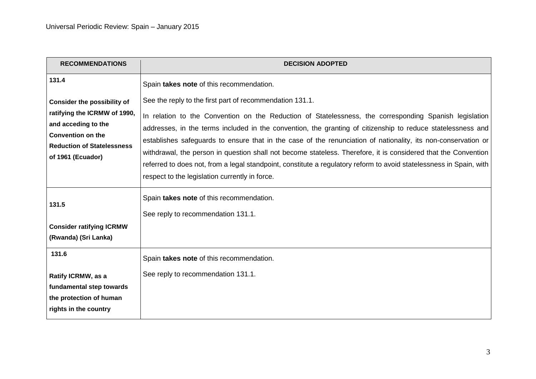| <b>RECOMMENDATIONS</b>                                                                                                                                                          | <b>DECISION ADOPTED</b>                                                                                                                                                                                                                                                                                                                                                                                                                                                                                                                                                                                                                                                                       |
|---------------------------------------------------------------------------------------------------------------------------------------------------------------------------------|-----------------------------------------------------------------------------------------------------------------------------------------------------------------------------------------------------------------------------------------------------------------------------------------------------------------------------------------------------------------------------------------------------------------------------------------------------------------------------------------------------------------------------------------------------------------------------------------------------------------------------------------------------------------------------------------------|
| 131.4                                                                                                                                                                           | Spain takes note of this recommendation.                                                                                                                                                                                                                                                                                                                                                                                                                                                                                                                                                                                                                                                      |
| <b>Consider the possibility of</b><br>ratifying the ICRMW of 1990,<br>and acceding to the<br><b>Convention on the</b><br><b>Reduction of Statelessness</b><br>of 1961 (Ecuador) | See the reply to the first part of recommendation 131.1.<br>In relation to the Convention on the Reduction of Statelessness, the corresponding Spanish legislation<br>addresses, in the terms included in the convention, the granting of citizenship to reduce statelessness and<br>establishes safeguards to ensure that in the case of the renunciation of nationality, its non-conservation or<br>withdrawal, the person in question shall not become stateless. Therefore, it is considered that the Convention<br>referred to does not, from a legal standpoint, constitute a regulatory reform to avoid statelessness in Spain, with<br>respect to the legislation currently in force. |
| 131.5                                                                                                                                                                           | Spain takes note of this recommendation.<br>See reply to recommendation 131.1.                                                                                                                                                                                                                                                                                                                                                                                                                                                                                                                                                                                                                |
| <b>Consider ratifying ICRMW</b><br>(Rwanda) (Sri Lanka)                                                                                                                         |                                                                                                                                                                                                                                                                                                                                                                                                                                                                                                                                                                                                                                                                                               |
| 131.6                                                                                                                                                                           | Spain takes note of this recommendation.                                                                                                                                                                                                                                                                                                                                                                                                                                                                                                                                                                                                                                                      |
| Ratify ICRMW, as a<br>fundamental step towards<br>the protection of human<br>rights in the country                                                                              | See reply to recommendation 131.1.                                                                                                                                                                                                                                                                                                                                                                                                                                                                                                                                                                                                                                                            |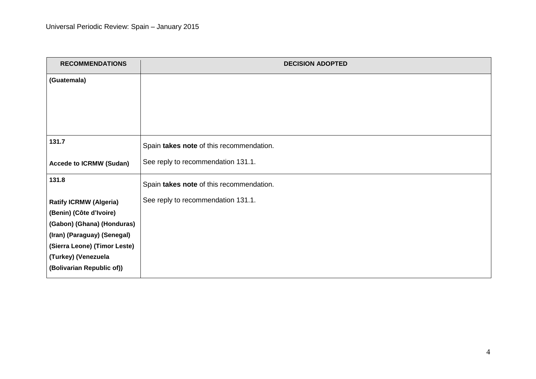| <b>RECOMMENDATIONS</b>         | <b>DECISION ADOPTED</b>                  |
|--------------------------------|------------------------------------------|
| (Guatemala)                    |                                          |
|                                |                                          |
|                                |                                          |
|                                |                                          |
| 131.7                          |                                          |
|                                | Spain takes note of this recommendation. |
| <b>Accede to ICRMW (Sudan)</b> | See reply to recommendation 131.1.       |
| 131.8                          | Spain takes note of this recommendation. |
| <b>Ratify ICRMW (Algeria)</b>  | See reply to recommendation 131.1.       |
| (Benin) (Côte d'Ivoire)        |                                          |
| (Gabon) (Ghana) (Honduras)     |                                          |
| (Iran) (Paraguay) (Senegal)    |                                          |
| (Sierra Leone) (Timor Leste)   |                                          |
| (Turkey) (Venezuela            |                                          |
| (Bolivarian Republic of))      |                                          |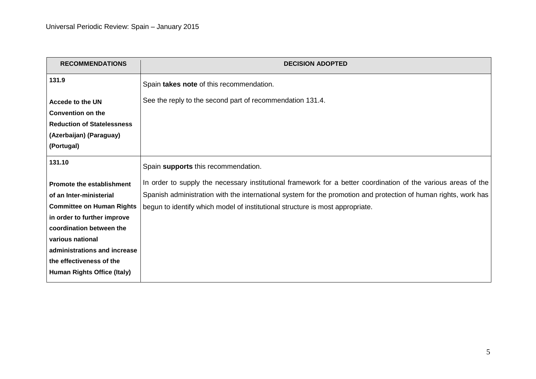| <b>DECISION ADOPTED</b>                                                                                         |
|-----------------------------------------------------------------------------------------------------------------|
| Spain takes note of this recommendation.                                                                        |
| See the reply to the second part of recommendation 131.4.                                                       |
|                                                                                                                 |
|                                                                                                                 |
|                                                                                                                 |
|                                                                                                                 |
| Spain supports this recommendation.                                                                             |
| In order to supply the necessary institutional framework for a better coordination of the various areas of the  |
| Spanish administration with the international system for the promotion and protection of human rights, work has |
| begun to identify which model of institutional structure is most appropriate.                                   |
|                                                                                                                 |
|                                                                                                                 |
|                                                                                                                 |
|                                                                                                                 |
|                                                                                                                 |
|                                                                                                                 |
|                                                                                                                 |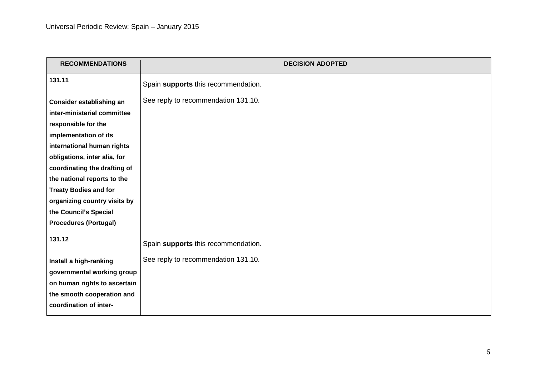| <b>RECOMMENDATIONS</b>                                                                                                                                                                                                                                               | <b>DECISION ADOPTED</b>             |
|----------------------------------------------------------------------------------------------------------------------------------------------------------------------------------------------------------------------------------------------------------------------|-------------------------------------|
| 131.11                                                                                                                                                                                                                                                               | Spain supports this recommendation. |
| Consider establishing an<br>inter-ministerial committee<br>responsible for the<br>implementation of its<br>international human rights<br>obligations, inter alia, for<br>coordinating the drafting of<br>the national reports to the<br><b>Treaty Bodies and for</b> | See reply to recommendation 131.10. |
| organizing country visits by<br>the Council's Special<br><b>Procedures (Portugal)</b>                                                                                                                                                                                |                                     |
| 131.12                                                                                                                                                                                                                                                               | Spain supports this recommendation. |
| Install a high-ranking<br>governmental working group<br>on human rights to ascertain<br>the smooth cooperation and<br>coordination of inter-                                                                                                                         | See reply to recommendation 131.10. |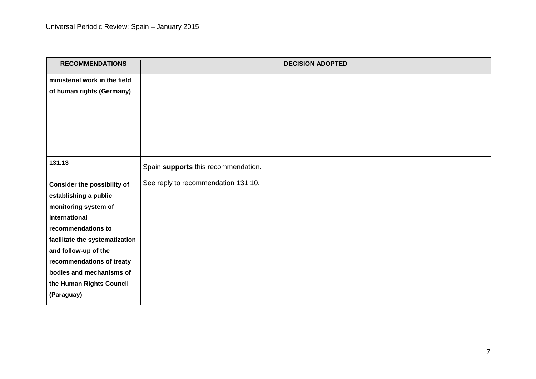| <b>RECOMMENDATIONS</b>             | <b>DECISION ADOPTED</b>             |
|------------------------------------|-------------------------------------|
| ministerial work in the field      |                                     |
| of human rights (Germany)          |                                     |
|                                    |                                     |
|                                    |                                     |
|                                    |                                     |
|                                    |                                     |
|                                    |                                     |
| 131.13                             | Spain supports this recommendation. |
| <b>Consider the possibility of</b> | See reply to recommendation 131.10. |
| establishing a public              |                                     |
| monitoring system of               |                                     |
| international                      |                                     |
| recommendations to                 |                                     |
| facilitate the systematization     |                                     |
| and follow-up of the               |                                     |
| recommendations of treaty          |                                     |
| bodies and mechanisms of           |                                     |
| the Human Rights Council           |                                     |
| (Paraguay)                         |                                     |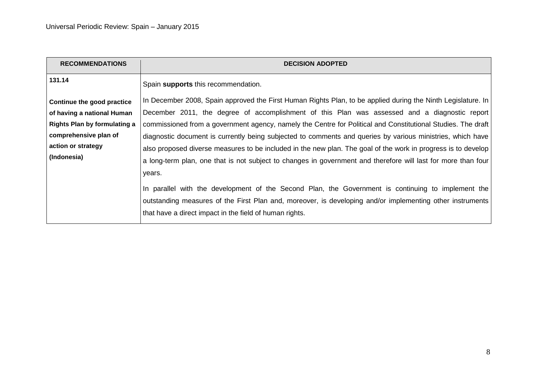| <b>RECOMMENDATIONS</b>              | <b>DECISION ADOPTED</b>                                                                                       |
|-------------------------------------|---------------------------------------------------------------------------------------------------------------|
| 131.14                              | Spain supports this recommendation.                                                                           |
| Continue the good practice          | In December 2008, Spain approved the First Human Rights Plan, to be applied during the Ninth Legislature. In  |
| of having a national Human          | December 2011, the degree of accomplishment of this Plan was assessed and a diagnostic report                 |
| <b>Rights Plan by formulating a</b> | commissioned from a government agency, namely the Centre for Political and Constitutional Studies. The draft  |
| comprehensive plan of               | diagnostic document is currently being subjected to comments and queries by various ministries, which have    |
| action or strategy                  | also proposed diverse measures to be included in the new plan. The goal of the work in progress is to develop |
| (Indonesia)                         | a long-term plan, one that is not subject to changes in government and therefore will last for more than four |
|                                     | years.                                                                                                        |
|                                     | In parallel with the development of the Second Plan, the Government is continuing to implement the            |
|                                     | outstanding measures of the First Plan and, moreover, is developing and/or implementing other instruments     |
|                                     | that have a direct impact in the field of human rights.                                                       |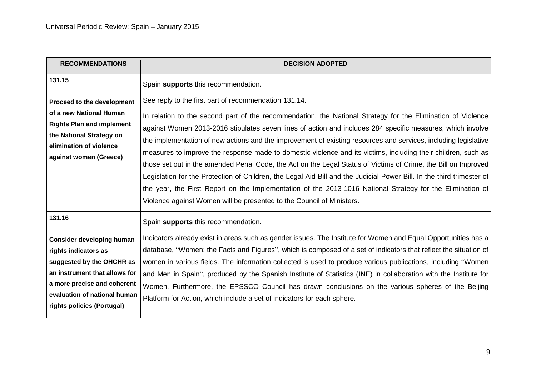| <b>RECOMMENDATIONS</b>                                                                                                                                                                                              | <b>DECISION ADOPTED</b>                                                                                                                                                                                                                                                                                                                                                                                                                                                                                                                                                                                                                                                                                                                                                                                                                                                                                                                                  |
|---------------------------------------------------------------------------------------------------------------------------------------------------------------------------------------------------------------------|----------------------------------------------------------------------------------------------------------------------------------------------------------------------------------------------------------------------------------------------------------------------------------------------------------------------------------------------------------------------------------------------------------------------------------------------------------------------------------------------------------------------------------------------------------------------------------------------------------------------------------------------------------------------------------------------------------------------------------------------------------------------------------------------------------------------------------------------------------------------------------------------------------------------------------------------------------|
| 131.15                                                                                                                                                                                                              | Spain supports this recommendation.                                                                                                                                                                                                                                                                                                                                                                                                                                                                                                                                                                                                                                                                                                                                                                                                                                                                                                                      |
| Proceed to the development<br>of a new National Human<br><b>Rights Plan and implement</b><br>the National Strategy on<br>elimination of violence<br>against women (Greece)                                          | See reply to the first part of recommendation 131.14.<br>In relation to the second part of the recommendation, the National Strategy for the Elimination of Violence<br>against Women 2013-2016 stipulates seven lines of action and includes 284 specific measures, which involve<br>the implementation of new actions and the improvement of existing resources and services, including legislative<br>measures to improve the response made to domestic violence and its victims, including their children, such as<br>those set out in the amended Penal Code, the Act on the Legal Status of Victims of Crime, the Bill on Improved<br>Legislation for the Protection of Children, the Legal Aid Bill and the Judicial Power Bill. In the third trimester of<br>the year, the First Report on the Implementation of the 2013-1016 National Strategy for the Elimination of<br>Violence against Women will be presented to the Council of Ministers. |
| 131.16                                                                                                                                                                                                              | Spain supports this recommendation.                                                                                                                                                                                                                                                                                                                                                                                                                                                                                                                                                                                                                                                                                                                                                                                                                                                                                                                      |
| <b>Consider developing human</b><br>rights indicators as<br>suggested by the OHCHR as<br>an instrument that allows for<br>a more precise and coherent<br>evaluation of national human<br>rights policies (Portugal) | Indicators already exist in areas such as gender issues. The Institute for Women and Equal Opportunities has a<br>database, "Women: the Facts and Figures", which is composed of a set of indicators that reflect the situation of<br>women in various fields. The information collected is used to produce various publications, including "Women"<br>and Men in Spain", produced by the Spanish Institute of Statistics (INE) in collaboration with the Institute for<br>Women. Furthermore, the EPSSCO Council has drawn conclusions on the various spheres of the Beijing<br>Platform for Action, which include a set of indicators for each sphere.                                                                                                                                                                                                                                                                                                 |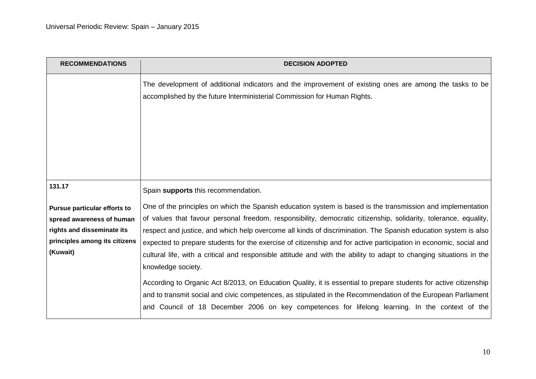| <b>RECOMMENDATIONS</b>                                                                                                               | <b>DECISION ADOPTED</b>                                                                                                                                                                                                                                                                                                                                                                                                                                                                                                                                                                                                                                                                                                                  |
|--------------------------------------------------------------------------------------------------------------------------------------|------------------------------------------------------------------------------------------------------------------------------------------------------------------------------------------------------------------------------------------------------------------------------------------------------------------------------------------------------------------------------------------------------------------------------------------------------------------------------------------------------------------------------------------------------------------------------------------------------------------------------------------------------------------------------------------------------------------------------------------|
|                                                                                                                                      | The development of additional indicators and the improvement of existing ones are among the tasks to be<br>accomplished by the future Interministerial Commission for Human Rights.                                                                                                                                                                                                                                                                                                                                                                                                                                                                                                                                                      |
| 131.17                                                                                                                               | Spain supports this recommendation.                                                                                                                                                                                                                                                                                                                                                                                                                                                                                                                                                                                                                                                                                                      |
| Pursue particular efforts to<br>spread awareness of human<br>rights and disseminate its<br>principles among its citizens<br>(Kuwait) | One of the principles on which the Spanish education system is based is the transmission and implementation<br>of values that favour personal freedom, responsibility, democratic citizenship, solidarity, tolerance, equality,<br>respect and justice, and which help overcome all kinds of discrimination. The Spanish education system is also<br>expected to prepare students for the exercise of citizenship and for active participation in economic, social and<br>cultural life, with a critical and responsible attitude and with the ability to adapt to changing situations in the<br>knowledge society.<br>According to Organic Act 8/2013, on Education Quality, it is essential to prepare students for active citizenship |
|                                                                                                                                      | and to transmit social and civic competences, as stipulated in the Recommendation of the European Parliament<br>and Council of 18 December 2006 on key competences for lifelong learning. In the context of the                                                                                                                                                                                                                                                                                                                                                                                                                                                                                                                          |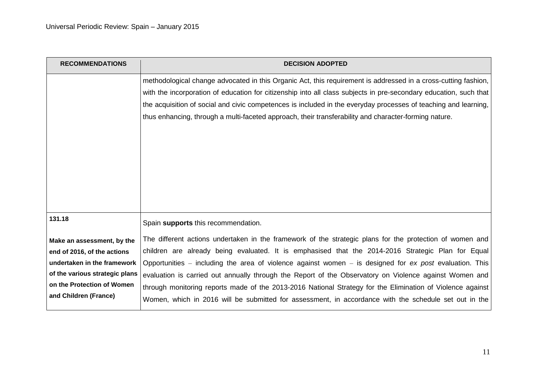| <b>RECOMMENDATIONS</b>         | <b>DECISION ADOPTED</b>                                                                                           |
|--------------------------------|-------------------------------------------------------------------------------------------------------------------|
|                                | methodological change advocated in this Organic Act, this requirement is addressed in a cross-cutting fashion,    |
|                                | with the incorporation of education for citizenship into all class subjects in pre-secondary education, such that |
|                                | the acquisition of social and civic competences is included in the everyday processes of teaching and learning,   |
|                                | thus enhancing, through a multi-faceted approach, their transferability and character-forming nature.             |
|                                |                                                                                                                   |
|                                |                                                                                                                   |
|                                |                                                                                                                   |
|                                |                                                                                                                   |
|                                |                                                                                                                   |
|                                |                                                                                                                   |
|                                |                                                                                                                   |
| 131.18                         | Spain supports this recommendation.                                                                               |
|                                | The different actions undertaken in the framework of the strategic plans for the protection of women and          |
| Make an assessment, by the     |                                                                                                                   |
| end of 2016, of the actions    | children are already being evaluated. It is emphasised that the 2014-2016 Strategic Plan for Equal                |
| undertaken in the framework    | Opportunities – including the area of violence against women – is designed for $ex$ post evaluation. This         |
| of the various strategic plans | evaluation is carried out annually through the Report of the Observatory on Violence against Women and            |
| on the Protection of Women     | through monitoring reports made of the 2013-2016 National Strategy for the Elimination of Violence against        |
| and Children (France)          | Women, which in 2016 will be submitted for assessment, in accordance with the schedule set out in the             |
|                                |                                                                                                                   |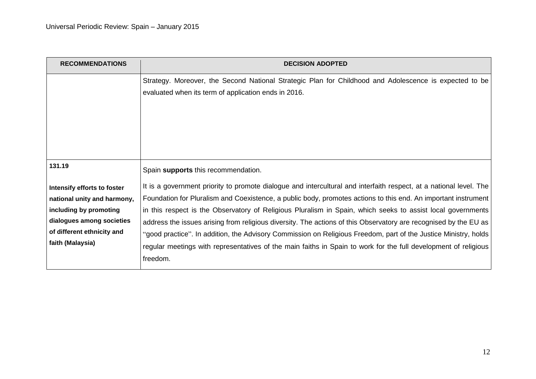| <b>RECOMMENDATIONS</b>      | <b>DECISION ADOPTED</b>                                                                                                                                        |
|-----------------------------|----------------------------------------------------------------------------------------------------------------------------------------------------------------|
|                             | Strategy. Moreover, the Second National Strategic Plan for Childhood and Adolescence is expected to be<br>evaluated when its term of application ends in 2016. |
| 131.19                      | Spain supports this recommendation.                                                                                                                            |
| Intensify efforts to foster | It is a government priority to promote dialogue and intercultural and interfaith respect, at a national level. The                                             |
| national unity and harmony, | Foundation for Pluralism and Coexistence, a public body, promotes actions to this end. An important instrument                                                 |
| including by promoting      | in this respect is the Observatory of Religious Pluralism in Spain, which seeks to assist local governments                                                    |
| dialogues among societies   | address the issues arising from religious diversity. The actions of this Observatory are recognised by the EU as                                               |
| of different ethnicity and  | "good practice". In addition, the Advisory Commission on Religious Freedom, part of the Justice Ministry, holds                                                |
| faith (Malaysia)            | regular meetings with representatives of the main faiths in Spain to work for the full development of religious                                                |
|                             | freedom.                                                                                                                                                       |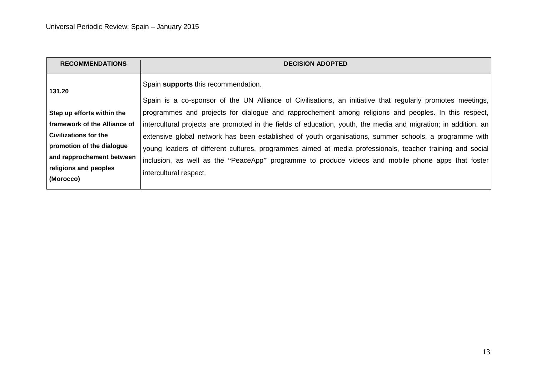| <b>RECOMMENDATIONS</b>       | <b>DECISION ADOPTED</b>                                                                                         |
|------------------------------|-----------------------------------------------------------------------------------------------------------------|
| 131.20                       | Spain supports this recommendation.                                                                             |
|                              | Spain is a co-sponsor of the UN Alliance of Civilisations, an initiative that regularly promotes meetings,      |
| Step up efforts within the   | programmes and projects for dialogue and rapprochement among religions and peoples. In this respect,            |
| framework of the Alliance of | intercultural projects are promoted in the fields of education, youth, the media and migration; in addition, an |
| <b>Civilizations for the</b> | extensive global network has been established of youth organisations, summer schools, a programme with          |
| promotion of the dialogue    | young leaders of different cultures, programmes aimed at media professionals, teacher training and social       |
| and rapprochement between    | inclusion, as well as the "PeaceApp" programme to produce videos and mobile phone apps that foster              |
| religions and peoples        | intercultural respect.                                                                                          |
| (Morocco)                    |                                                                                                                 |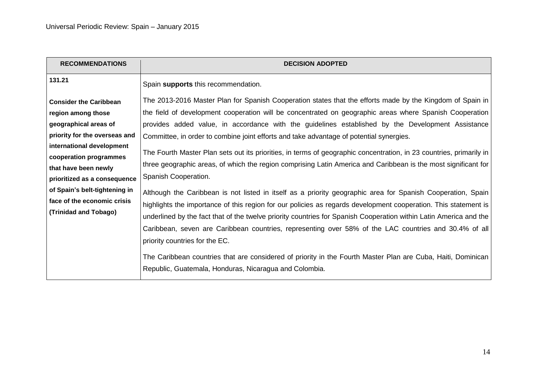| <b>RECOMMENDATIONS</b>                                                                                                                                                      | <b>DECISION ADOPTED</b>                                                                                                                                                                                                                                                                                                                                                                                                                                                                                                                                   |
|-----------------------------------------------------------------------------------------------------------------------------------------------------------------------------|-----------------------------------------------------------------------------------------------------------------------------------------------------------------------------------------------------------------------------------------------------------------------------------------------------------------------------------------------------------------------------------------------------------------------------------------------------------------------------------------------------------------------------------------------------------|
| 131.21                                                                                                                                                                      | Spain supports this recommendation.                                                                                                                                                                                                                                                                                                                                                                                                                                                                                                                       |
| <b>Consider the Caribbean</b>                                                                                                                                               | The 2013-2016 Master Plan for Spanish Cooperation states that the efforts made by the Kingdom of Spain in                                                                                                                                                                                                                                                                                                                                                                                                                                                 |
| region among those                                                                                                                                                          | the field of development cooperation will be concentrated on geographic areas where Spanish Cooperation                                                                                                                                                                                                                                                                                                                                                                                                                                                   |
| geographical areas of                                                                                                                                                       | provides added value, in accordance with the guidelines established by the Development Assistance                                                                                                                                                                                                                                                                                                                                                                                                                                                         |
| priority for the overseas and                                                                                                                                               | Committee, in order to combine joint efforts and take advantage of potential synergies.                                                                                                                                                                                                                                                                                                                                                                                                                                                                   |
| international development<br>cooperation programmes<br>that have been newly<br>prioritized as a consequence<br>of Spain's belt-tightening in<br>face of the economic crisis | The Fourth Master Plan sets out its priorities, in terms of geographic concentration, in 23 countries, primarily in<br>three geographic areas, of which the region comprising Latin America and Caribbean is the most significant for<br>Spanish Cooperation.<br>Although the Caribbean is not listed in itself as a priority geographic area for Spanish Cooperation, Spain                                                                                                                                                                              |
| (Trinidad and Tobago)                                                                                                                                                       | highlights the importance of this region for our policies as regards development cooperation. This statement is<br>underlined by the fact that of the twelve priority countries for Spanish Cooperation within Latin America and the<br>Caribbean, seven are Caribbean countries, representing over 58% of the LAC countries and 30.4% of all<br>priority countries for the EC.<br>The Caribbean countries that are considered of priority in the Fourth Master Plan are Cuba, Haiti, Dominican<br>Republic, Guatemala, Honduras, Nicaragua and Colombia. |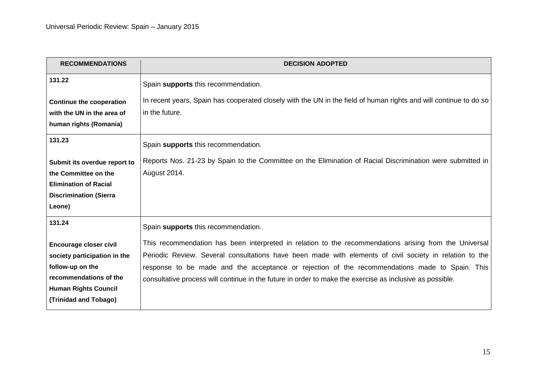| <b>RECOMMENDATIONS</b>          | <b>DECISION ADOPTED</b>                                                                                           |
|---------------------------------|-------------------------------------------------------------------------------------------------------------------|
| 131.22                          | Spain supports this recommendation.                                                                               |
| <b>Continue the cooperation</b> | In recent years, Spain has cooperated closely with the UN in the field of human rights and will continue to do so |
| with the UN in the area of      | in the future.                                                                                                    |
| human rights (Romania)          |                                                                                                                   |
| 131.23                          | Spain supports this recommendation.                                                                               |
| Submit its overdue report to    | Reports Nos. 21-23 by Spain to the Committee on the Elimination of Racial Discrimination were submitted in        |
| the Committee on the            | August 2014.                                                                                                      |
| <b>Elimination of Racial</b>    |                                                                                                                   |
| <b>Discrimination (Sierra</b>   |                                                                                                                   |
| Leone)                          |                                                                                                                   |
| 131.24                          | Spain supports this recommendation.                                                                               |
| Encourage closer civil          | This recommendation has been interpreted in relation to the recommendations arising from the Universal            |
| society participation in the    | Periodic Review. Several consultations have been made with elements of civil society in relation to the           |
| follow-up on the                | response to be made and the acceptance or rejection of the recommendations made to Spain. This                    |
| recommendations of the          | consultative process will continue in the future in order to make the exercise as inclusive as possible.          |
| <b>Human Rights Council</b>     |                                                                                                                   |
| (Trinidad and Tobago)           |                                                                                                                   |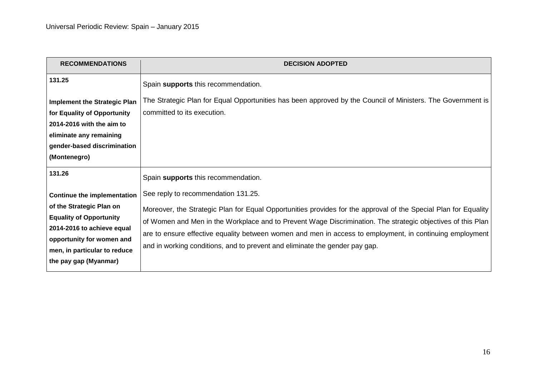| <b>RECOMMENDATIONS</b>                                                                                                                                                                                               | <b>DECISION ADOPTED</b>                                                                                                                                                                                                                                                                                                                                                                                                                                          |
|----------------------------------------------------------------------------------------------------------------------------------------------------------------------------------------------------------------------|------------------------------------------------------------------------------------------------------------------------------------------------------------------------------------------------------------------------------------------------------------------------------------------------------------------------------------------------------------------------------------------------------------------------------------------------------------------|
| 131.25                                                                                                                                                                                                               | Spain supports this recommendation.                                                                                                                                                                                                                                                                                                                                                                                                                              |
| <b>Implement the Strategic Plan</b><br>for Equality of Opportunity<br>2014-2016 with the aim to<br>eliminate any remaining<br>gender-based discrimination<br>(Montenegro)                                            | The Strategic Plan for Equal Opportunities has been approved by the Council of Ministers. The Government is<br>committed to its execution.                                                                                                                                                                                                                                                                                                                       |
| 131.26                                                                                                                                                                                                               | Spain supports this recommendation.                                                                                                                                                                                                                                                                                                                                                                                                                              |
| <b>Continue the implementation</b><br>of the Strategic Plan on<br><b>Equality of Opportunity</b><br>2014-2016 to achieve equal<br>opportunity for women and<br>men, in particular to reduce<br>the pay gap (Myanmar) | See reply to recommendation 131.25.<br>Moreover, the Strategic Plan for Equal Opportunities provides for the approval of the Special Plan for Equality<br>of Women and Men in the Workplace and to Prevent Wage Discrimination. The strategic objectives of this Plan<br>are to ensure effective equality between women and men in access to employment, in continuing employment<br>and in working conditions, and to prevent and eliminate the gender pay gap. |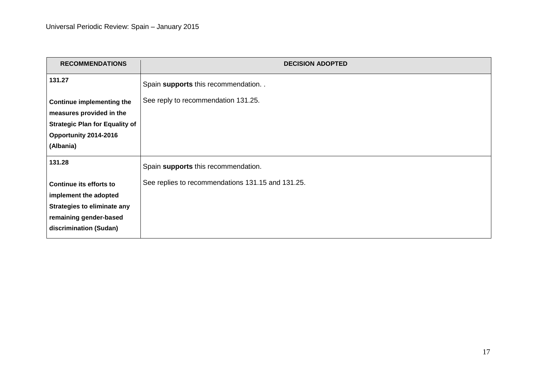| <b>RECOMMENDATIONS</b>                | <b>DECISION ADOPTED</b>                           |
|---------------------------------------|---------------------------------------------------|
| 131.27                                | Spain supports this recommendation. .             |
| <b>Continue implementing the</b>      | See reply to recommendation 131.25.               |
| measures provided in the              |                                                   |
| <b>Strategic Plan for Equality of</b> |                                                   |
| Opportunity 2014-2016                 |                                                   |
| (Albania)                             |                                                   |
| 131.28                                | Spain supports this recommendation.               |
| Continue its efforts to               | See replies to recommendations 131.15 and 131.25. |
| implement the adopted                 |                                                   |
| <b>Strategies to eliminate any</b>    |                                                   |
| remaining gender-based                |                                                   |
| discrimination (Sudan)                |                                                   |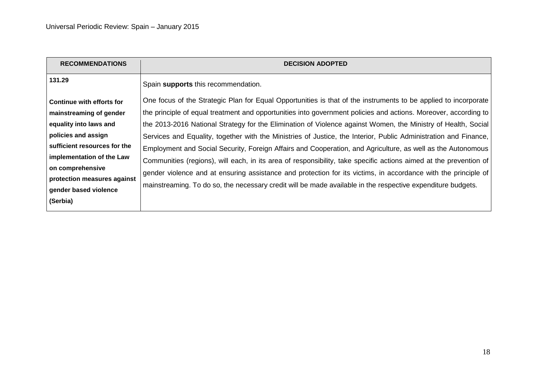| <b>RECOMMENDATIONS</b>           | <b>DECISION ADOPTED</b>                                                                                           |
|----------------------------------|-------------------------------------------------------------------------------------------------------------------|
| 131.29                           | Spain supports this recommendation.                                                                               |
| <b>Continue with efforts for</b> | One focus of the Strategic Plan for Equal Opportunities is that of the instruments to be applied to incorporate   |
| mainstreaming of gender          | the principle of equal treatment and opportunities into government policies and actions. Moreover, according to   |
| equality into laws and           | the 2013-2016 National Strategy for the Elimination of Violence against Women, the Ministry of Health, Social     |
| policies and assign              | Services and Equality, together with the Ministries of Justice, the Interior, Public Administration and Finance,  |
| sufficient resources for the     | Employment and Social Security, Foreign Affairs and Cooperation, and Agriculture, as well as the Autonomous       |
| implementation of the Law        | Communities (regions), will each, in its area of responsibility, take specific actions aimed at the prevention of |
| on comprehensive                 | gender violence and at ensuring assistance and protection for its victims, in accordance with the principle of    |
| protection measures against      | mainstreaming. To do so, the necessary credit will be made available in the respective expenditure budgets.       |
| gender based violence            |                                                                                                                   |
| (Serbia)                         |                                                                                                                   |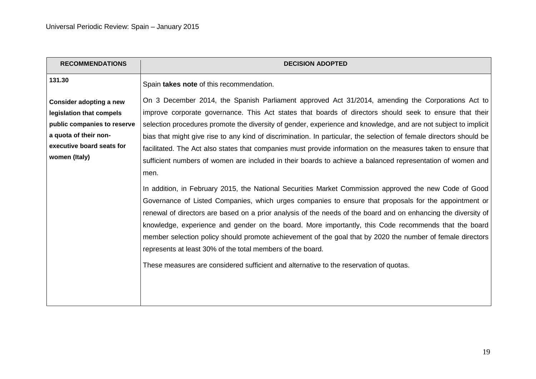| <b>RECOMMENDATIONS</b>                                                                                                                                    | <b>DECISION ADOPTED</b>                                                                                                                                                                                                                                                                                                                                                                                                                                                                                                                                                                                                                                                                                                                                                                                                                                                                                                                                                                                                                                                                                                                                                                                                                                                                                                                                                                                          |
|-----------------------------------------------------------------------------------------------------------------------------------------------------------|------------------------------------------------------------------------------------------------------------------------------------------------------------------------------------------------------------------------------------------------------------------------------------------------------------------------------------------------------------------------------------------------------------------------------------------------------------------------------------------------------------------------------------------------------------------------------------------------------------------------------------------------------------------------------------------------------------------------------------------------------------------------------------------------------------------------------------------------------------------------------------------------------------------------------------------------------------------------------------------------------------------------------------------------------------------------------------------------------------------------------------------------------------------------------------------------------------------------------------------------------------------------------------------------------------------------------------------------------------------------------------------------------------------|
| 131.30                                                                                                                                                    | Spain takes note of this recommendation.                                                                                                                                                                                                                                                                                                                                                                                                                                                                                                                                                                                                                                                                                                                                                                                                                                                                                                                                                                                                                                                                                                                                                                                                                                                                                                                                                                         |
| Consider adopting a new<br>legislation that compels<br>public companies to reserve<br>a quota of their non-<br>executive board seats for<br>women (Italy) | On 3 December 2014, the Spanish Parliament approved Act 31/2014, amending the Corporations Act to<br>improve corporate governance. This Act states that boards of directors should seek to ensure that their<br>selection procedures promote the diversity of gender, experience and knowledge, and are not subject to implicit<br>bias that might give rise to any kind of discrimination. In particular, the selection of female directors should be<br>facilitated. The Act also states that companies must provide information on the measures taken to ensure that<br>sufficient numbers of women are included in their boards to achieve a balanced representation of women and<br>men.<br>In addition, in February 2015, the National Securities Market Commission approved the new Code of Good<br>Governance of Listed Companies, which urges companies to ensure that proposals for the appointment or<br>renewal of directors are based on a prior analysis of the needs of the board and on enhancing the diversity of<br>knowledge, experience and gender on the board. More importantly, this Code recommends that the board<br>member selection policy should promote achievement of the goal that by 2020 the number of female directors<br>represents at least 30% of the total members of the board.<br>These measures are considered sufficient and alternative to the reservation of quotas. |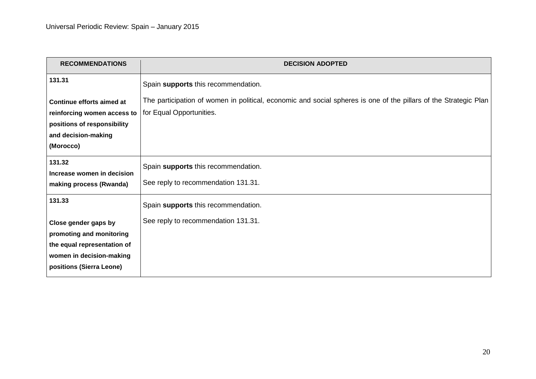| <b>RECOMMENDATIONS</b>      | <b>DECISION ADOPTED</b>                                                                                          |
|-----------------------------|------------------------------------------------------------------------------------------------------------------|
| 131.31                      | Spain supports this recommendation.                                                                              |
| Continue efforts aimed at   | The participation of women in political, economic and social spheres is one of the pillars of the Strategic Plan |
| reinforcing women access to | for Equal Opportunities.                                                                                         |
| positions of responsibility |                                                                                                                  |
| and decision-making         |                                                                                                                  |
| (Morocco)                   |                                                                                                                  |
| 131.32                      | Spain supports this recommendation.                                                                              |
| Increase women in decision  |                                                                                                                  |
| making process (Rwanda)     | See reply to recommendation 131.31.                                                                              |
| 131.33                      | Spain supports this recommendation.                                                                              |
| Close gender gaps by        | See reply to recommendation 131.31.                                                                              |
| promoting and monitoring    |                                                                                                                  |
| the equal representation of |                                                                                                                  |
| women in decision-making    |                                                                                                                  |
| positions (Sierra Leone)    |                                                                                                                  |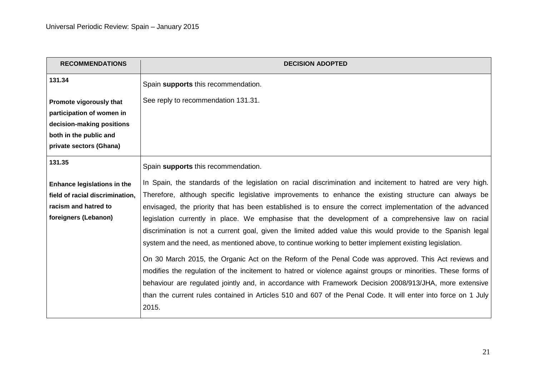| <b>RECOMMENDATIONS</b>             | <b>DECISION ADOPTED</b>                                                                                                                                                                                               |
|------------------------------------|-----------------------------------------------------------------------------------------------------------------------------------------------------------------------------------------------------------------------|
| 131.34                             | Spain supports this recommendation.                                                                                                                                                                                   |
| Promote vigorously that            | See reply to recommendation 131.31.                                                                                                                                                                                   |
| participation of women in          |                                                                                                                                                                                                                       |
| decision-making positions          |                                                                                                                                                                                                                       |
| both in the public and             |                                                                                                                                                                                                                       |
| private sectors (Ghana)            |                                                                                                                                                                                                                       |
| 131.35                             | Spain supports this recommendation.                                                                                                                                                                                   |
| <b>Enhance legislations in the</b> | In Spain, the standards of the legislation on racial discrimination and incitement to hatred are very high.                                                                                                           |
| field of racial discrimination,    | Therefore, although specific legislative improvements to enhance the existing structure can always be                                                                                                                 |
| racism and hatred to               | envisaged, the priority that has been established is to ensure the correct implementation of the advanced                                                                                                             |
| foreigners (Lebanon)               | legislation currently in place. We emphasise that the development of a comprehensive law on racial                                                                                                                    |
|                                    | discrimination is not a current goal, given the limited added value this would provide to the Spanish legal<br>system and the need, as mentioned above, to continue working to better implement existing legislation. |
|                                    | On 30 March 2015, the Organic Act on the Reform of the Penal Code was approved. This Act reviews and                                                                                                                  |
|                                    | modifies the regulation of the incitement to hatred or violence against groups or minorities. These forms of                                                                                                          |
|                                    | behaviour are regulated jointly and, in accordance with Framework Decision 2008/913/JHA, more extensive                                                                                                               |
|                                    | than the current rules contained in Articles 510 and 607 of the Penal Code. It will enter into force on 1 July                                                                                                        |
|                                    | 2015.                                                                                                                                                                                                                 |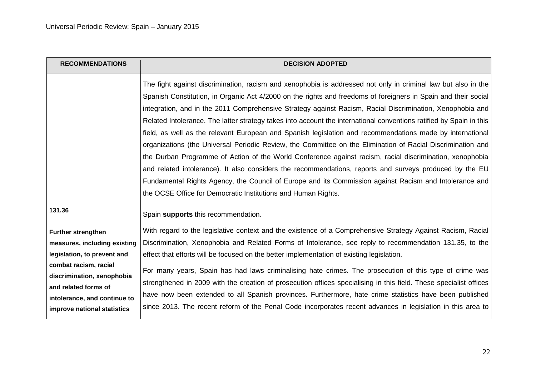| <b>RECOMMENDATIONS</b>                                                                                                                                                                                                                 | <b>DECISION ADOPTED</b>                                                                                                                                                                                                                                                                                                                                                                                                                                                                                                                                                                                                                                                                                                                                                                                                                                                                                                                                                                                                                                                                           |
|----------------------------------------------------------------------------------------------------------------------------------------------------------------------------------------------------------------------------------------|---------------------------------------------------------------------------------------------------------------------------------------------------------------------------------------------------------------------------------------------------------------------------------------------------------------------------------------------------------------------------------------------------------------------------------------------------------------------------------------------------------------------------------------------------------------------------------------------------------------------------------------------------------------------------------------------------------------------------------------------------------------------------------------------------------------------------------------------------------------------------------------------------------------------------------------------------------------------------------------------------------------------------------------------------------------------------------------------------|
|                                                                                                                                                                                                                                        | The fight against discrimination, racism and xenophobia is addressed not only in criminal law but also in the<br>Spanish Constitution, in Organic Act 4/2000 on the rights and freedoms of foreigners in Spain and their social<br>integration, and in the 2011 Comprehensive Strategy against Racism, Racial Discrimination, Xenophobia and<br>Related Intolerance. The latter strategy takes into account the international conventions ratified by Spain in this<br>field, as well as the relevant European and Spanish legislation and recommendations made by international<br>organizations (the Universal Periodic Review, the Committee on the Elimination of Racial Discrimination and<br>the Durban Programme of Action of the World Conference against racism, racial discrimination, xenophobia<br>and related intolerance). It also considers the recommendations, reports and surveys produced by the EU<br>Fundamental Rights Agency, the Council of Europe and its Commission against Racism and Intolerance and<br>the OCSE Office for Democratic Institutions and Human Rights. |
| 131.36                                                                                                                                                                                                                                 | Spain supports this recommendation.                                                                                                                                                                                                                                                                                                                                                                                                                                                                                                                                                                                                                                                                                                                                                                                                                                                                                                                                                                                                                                                               |
| <b>Further strengthen</b><br>measures, including existing<br>legislation, to prevent and<br>combat racism, racial<br>discrimination, xenophobia<br>and related forms of<br>intolerance, and continue to<br>improve national statistics | With regard to the legislative context and the existence of a Comprehensive Strategy Against Racism, Racial<br>Discrimination, Xenophobia and Related Forms of Intolerance, see reply to recommendation 131.35, to the<br>effect that efforts will be focused on the better implementation of existing legislation.<br>For many years, Spain has had laws criminalising hate crimes. The prosecution of this type of crime was<br>strengthened in 2009 with the creation of prosecution offices specialising in this field. These specialist offices<br>have now been extended to all Spanish provinces. Furthermore, hate crime statistics have been published<br>since 2013. The recent reform of the Penal Code incorporates recent advances in legislation in this area to                                                                                                                                                                                                                                                                                                                    |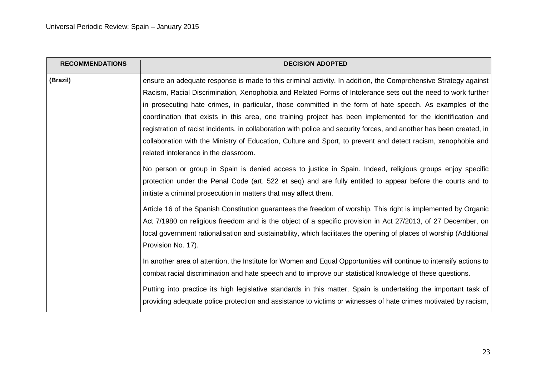| <b>RECOMMENDATIONS</b> | <b>DECISION ADOPTED</b>                                                                                              |
|------------------------|----------------------------------------------------------------------------------------------------------------------|
| (Brazil)               | ensure an adequate response is made to this criminal activity. In addition, the Comprehensive Strategy against       |
|                        | Racism, Racial Discrimination, Xenophobia and Related Forms of Intolerance sets out the need to work further         |
|                        | in prosecuting hate crimes, in particular, those committed in the form of hate speech. As examples of the            |
|                        | coordination that exists in this area, one training project has been implemented for the identification and          |
|                        | registration of racist incidents, in collaboration with police and security forces, and another has been created, in |
|                        | collaboration with the Ministry of Education, Culture and Sport, to prevent and detect racism, xenophobia and        |
|                        | related intolerance in the classroom.                                                                                |
|                        | No person or group in Spain is denied access to justice in Spain. Indeed, religious groups enjoy specific            |
|                        | protection under the Penal Code (art. 522 et seq) and are fully entitled to appear before the courts and to          |
|                        | initiate a criminal prosecution in matters that may affect them.                                                     |
|                        | Article 16 of the Spanish Constitution guarantees the freedom of worship. This right is implemented by Organic       |
|                        | Act 7/1980 on religious freedom and is the object of a specific provision in Act 27/2013, of 27 December, on         |
|                        | local government rationalisation and sustainability, which facilitates the opening of places of worship (Additional  |
|                        | Provision No. 17).                                                                                                   |
|                        | In another area of attention, the Institute for Women and Equal Opportunities will continue to intensify actions to  |
|                        | combat racial discrimination and hate speech and to improve our statistical knowledge of these questions.            |
|                        | Putting into practice its high legislative standards in this matter, Spain is undertaking the important task of      |
|                        | providing adequate police protection and assistance to victims or witnesses of hate crimes motivated by racism,      |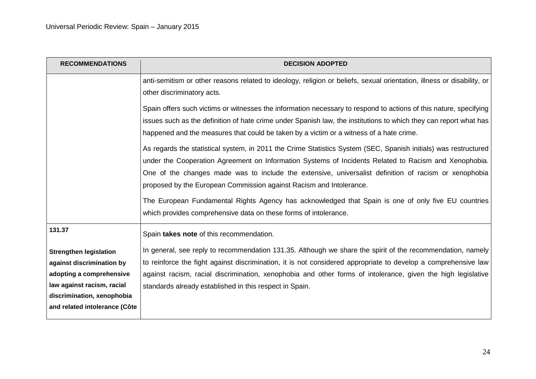| <b>RECOMMENDATIONS</b>        | <b>DECISION ADOPTED</b>                                                                                                                                                                                                                                                                                                                                                                                  |
|-------------------------------|----------------------------------------------------------------------------------------------------------------------------------------------------------------------------------------------------------------------------------------------------------------------------------------------------------------------------------------------------------------------------------------------------------|
|                               | anti-semitism or other reasons related to ideology, religion or beliefs, sexual orientation, illness or disability, or<br>other discriminatory acts.                                                                                                                                                                                                                                                     |
|                               | Spain offers such victims or witnesses the information necessary to respond to actions of this nature, specifying<br>issues such as the definition of hate crime under Spanish law, the institutions to which they can report what has<br>happened and the measures that could be taken by a victim or a witness of a hate crime.                                                                        |
|                               | As regards the statistical system, in 2011 the Crime Statistics System (SEC, Spanish initials) was restructured<br>under the Cooperation Agreement on Information Systems of Incidents Related to Racism and Xenophobia.<br>One of the changes made was to include the extensive, universalist definition of racism or xenophobia<br>proposed by the European Commission against Racism and Intolerance. |
|                               | The European Fundamental Rights Agency has acknowledged that Spain is one of only five EU countries<br>which provides comprehensive data on these forms of intolerance.                                                                                                                                                                                                                                  |
| 131.37                        | Spain takes note of this recommendation.                                                                                                                                                                                                                                                                                                                                                                 |
| <b>Strengthen legislation</b> | In general, see reply to recommendation 131.35. Although we share the spirit of the recommendation, namely                                                                                                                                                                                                                                                                                               |
| against discrimination by     | to reinforce the fight against discrimination, it is not considered appropriate to develop a comprehensive law                                                                                                                                                                                                                                                                                           |
| adopting a comprehensive      | against racism, racial discrimination, xenophobia and other forms of intolerance, given the high legislative                                                                                                                                                                                                                                                                                             |
| law against racism, racial    | standards already established in this respect in Spain.                                                                                                                                                                                                                                                                                                                                                  |
| discrimination, xenophobia    |                                                                                                                                                                                                                                                                                                                                                                                                          |
| and related intolerance (Côte |                                                                                                                                                                                                                                                                                                                                                                                                          |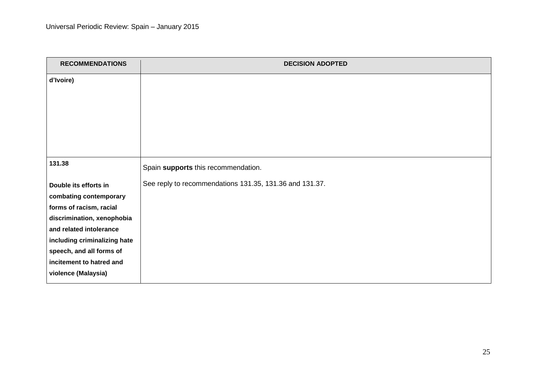| <b>RECOMMENDATIONS</b>       | <b>DECISION ADOPTED</b>                                 |
|------------------------------|---------------------------------------------------------|
| d'Ivoire)                    |                                                         |
|                              |                                                         |
|                              |                                                         |
|                              |                                                         |
|                              |                                                         |
| 131.38                       | Spain supports this recommendation.                     |
| Double its efforts in        | See reply to recommendations 131.35, 131.36 and 131.37. |
| combating contemporary       |                                                         |
| forms of racism, racial      |                                                         |
| discrimination, xenophobia   |                                                         |
| and related intolerance      |                                                         |
| including criminalizing hate |                                                         |
| speech, and all forms of     |                                                         |
| incitement to hatred and     |                                                         |
| violence (Malaysia)          |                                                         |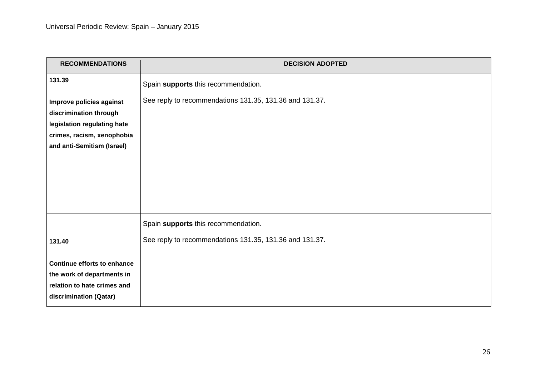| <b>RECOMMENDATIONS</b>                                                                                                                        | <b>DECISION ADOPTED</b>                                                                        |
|-----------------------------------------------------------------------------------------------------------------------------------------------|------------------------------------------------------------------------------------------------|
| 131.39                                                                                                                                        | Spain supports this recommendation.                                                            |
| Improve policies against<br>discrimination through<br>legislation regulating hate<br>crimes, racism, xenophobia<br>and anti-Semitism (Israel) | See reply to recommendations 131.35, 131.36 and 131.37.                                        |
| 131.40                                                                                                                                        | Spain supports this recommendation.<br>See reply to recommendations 131.35, 131.36 and 131.37. |
| Continue efforts to enhance<br>the work of departments in<br>relation to hate crimes and<br>discrimination (Qatar)                            |                                                                                                |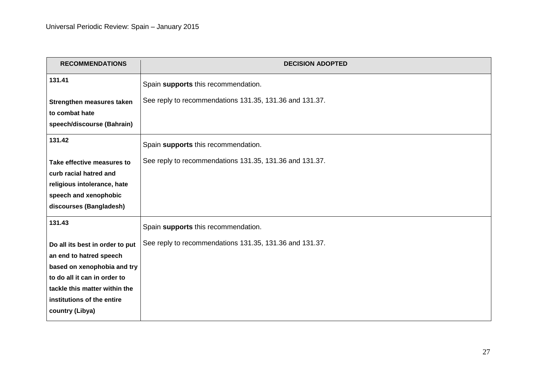| <b>RECOMMENDATIONS</b>          | <b>DECISION ADOPTED</b>                                 |
|---------------------------------|---------------------------------------------------------|
| 131.41                          | Spain supports this recommendation.                     |
| Strengthen measures taken       | See reply to recommendations 131.35, 131.36 and 131.37. |
| to combat hate                  |                                                         |
| speech/discourse (Bahrain)      |                                                         |
| 131.42                          | Spain supports this recommendation.                     |
| Take effective measures to      | See reply to recommendations 131.35, 131.36 and 131.37. |
| curb racial hatred and          |                                                         |
| religious intolerance, hate     |                                                         |
| speech and xenophobic           |                                                         |
| discourses (Bangladesh)         |                                                         |
| 131.43                          | Spain supports this recommendation.                     |
| Do all its best in order to put | See reply to recommendations 131.35, 131.36 and 131.37. |
| an end to hatred speech         |                                                         |
| based on xenophobia and try     |                                                         |
| to do all it can in order to    |                                                         |
| tackle this matter within the   |                                                         |
| institutions of the entire      |                                                         |
| country (Libya)                 |                                                         |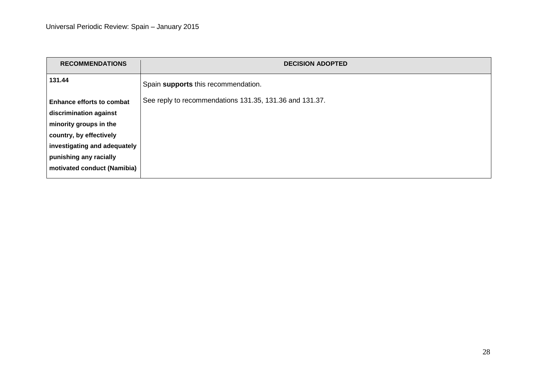| <b>RECOMMENDATIONS</b>           | <b>DECISION ADOPTED</b>                                 |
|----------------------------------|---------------------------------------------------------|
| 131.44                           | Spain supports this recommendation.                     |
| <b>Enhance efforts to combat</b> | See reply to recommendations 131.35, 131.36 and 131.37. |
| discrimination against           |                                                         |
| minority groups in the           |                                                         |
| country, by effectively          |                                                         |
| investigating and adequately     |                                                         |
| punishing any racially           |                                                         |
| motivated conduct (Namibia)      |                                                         |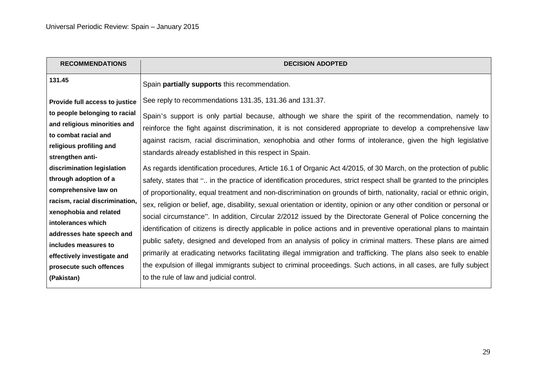| <b>RECOMMENDATIONS</b>                | <b>DECISION ADOPTED</b>                                                                                                 |
|---------------------------------------|-------------------------------------------------------------------------------------------------------------------------|
| 131.45                                | Spain partially supports this recommendation.                                                                           |
| <b>Provide full access to justice</b> | See reply to recommendations 131.35, 131.36 and 131.37.                                                                 |
| to people belonging to racial         | Spain's support is only partial because, although we share the spirit of the recommendation, namely to                  |
| and religious minorities and          | reinforce the fight against discrimination, it is not considered appropriate to develop a comprehensive law             |
| to combat racial and                  | against racism, racial discrimination, xenophobia and other forms of intolerance, given the high legislative            |
| religious profiling and               | standards already established in this respect in Spain.                                                                 |
| strengthen anti-                      |                                                                                                                         |
| discrimination legislation            | As regards identification procedures, Article 16.1 of Organic Act 4/2015, of 30 March, on the protection of public      |
| through adoption of a                 | safety, states that " in the practice of identification procedures, strict respect shall be granted to the principles   |
| comprehensive law on                  | of proportionality, equal treatment and non-discrimination on grounds of birth, nationality, racial or ethnic origin,   |
| racism, racial discrimination,        | sex, religion or belief, age, disability, sexual orientation or identity, opinion or any other condition or personal or |
| xenophobia and related                | social circumstance". In addition, Circular 2/2012 issued by the Directorate General of Police concerning the           |
| intolerances which                    |                                                                                                                         |
| addresses hate speech and             | identification of citizens is directly applicable in police actions and in preventive operational plans to maintain     |
| includes measures to                  | public safety, designed and developed from an analysis of policy in criminal matters. These plans are aimed             |
| effectively investigate and           | primarily at eradicating networks facilitating illegal immigration and trafficking. The plans also seek to enable       |
| prosecute such offences               | the expulsion of illegal immigrants subject to criminal proceedings. Such actions, in all cases, are fully subject      |
| (Pakistan)                            | to the rule of law and judicial control.                                                                                |
|                                       |                                                                                                                         |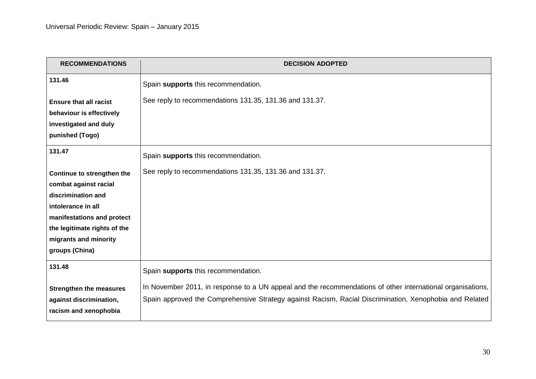| <b>RECOMMENDATIONS</b>         | <b>DECISION ADOPTED</b>                                                                                    |
|--------------------------------|------------------------------------------------------------------------------------------------------------|
| 131.46                         | Spain supports this recommendation.                                                                        |
| <b>Ensure that all racist</b>  | See reply to recommendations 131.35, 131.36 and 131.37.                                                    |
| behaviour is effectively       |                                                                                                            |
| investigated and duly          |                                                                                                            |
| punished (Togo)                |                                                                                                            |
| 131.47                         | Spain supports this recommendation.                                                                        |
| Continue to strengthen the     | See reply to recommendations 131.35, 131.36 and 131.37.                                                    |
| combat against racial          |                                                                                                            |
| discrimination and             |                                                                                                            |
| intolerance in all             |                                                                                                            |
| manifestations and protect     |                                                                                                            |
| the legitimate rights of the   |                                                                                                            |
| migrants and minority          |                                                                                                            |
| groups (China)                 |                                                                                                            |
| 131.48                         | Spain supports this recommendation.                                                                        |
| <b>Strengthen the measures</b> | In November 2011, in response to a UN appeal and the recommendations of other international organisations, |
| against discrimination,        | Spain approved the Comprehensive Strategy against Racism, Racial Discrimination, Xenophobia and Related    |
| racism and xenophobia          |                                                                                                            |
|                                |                                                                                                            |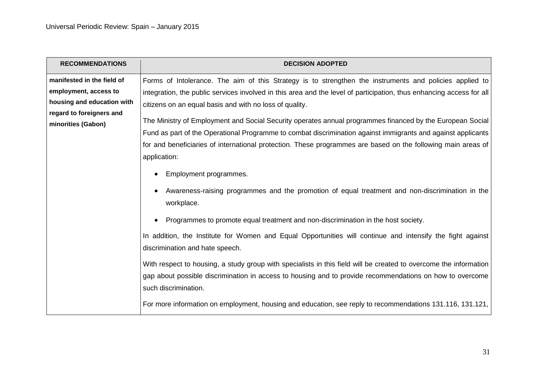| <b>RECOMMENDATIONS</b>     | <b>DECISION ADOPTED</b>                                                                                                                                                                                                                               |
|----------------------------|-------------------------------------------------------------------------------------------------------------------------------------------------------------------------------------------------------------------------------------------------------|
| manifested in the field of | Forms of Intolerance. The aim of this Strategy is to strengthen the instruments and policies applied to                                                                                                                                               |
| employment, access to      | integration, the public services involved in this area and the level of participation, thus enhancing access for all                                                                                                                                  |
| housing and education with | citizens on an equal basis and with no loss of quality.                                                                                                                                                                                               |
| regard to foreigners and   | The Ministry of Employment and Social Security operates annual programmes financed by the European Social                                                                                                                                             |
| minorities (Gabon)         | Fund as part of the Operational Programme to combat discrimination against immigrants and against applicants                                                                                                                                          |
|                            | for and beneficiaries of international protection. These programmes are based on the following main areas of<br>application:                                                                                                                          |
|                            | Employment programmes.                                                                                                                                                                                                                                |
|                            | Awareness-raising programmes and the promotion of equal treatment and non-discrimination in the<br>workplace.                                                                                                                                         |
|                            | Programmes to promote equal treatment and non-discrimination in the host society.<br>$\bullet$                                                                                                                                                        |
|                            | In addition, the Institute for Women and Equal Opportunities will continue and intensify the fight against<br>discrimination and hate speech.                                                                                                         |
|                            | With respect to housing, a study group with specialists in this field will be created to overcome the information<br>gap about possible discrimination in access to housing and to provide recommendations on how to overcome<br>such discrimination. |
|                            | For more information on employment, housing and education, see reply to recommendations 131.116, 131.121,                                                                                                                                             |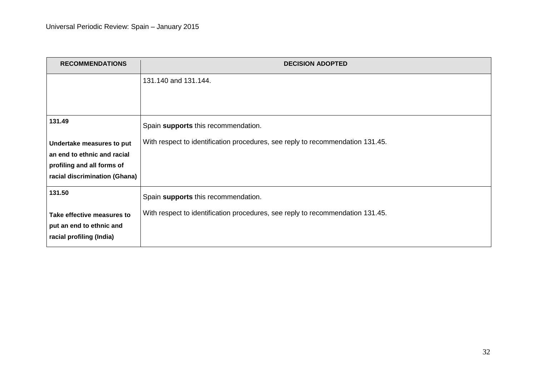| <b>RECOMMENDATIONS</b>        | <b>DECISION ADOPTED</b>                                                        |
|-------------------------------|--------------------------------------------------------------------------------|
|                               | 131.140 and 131.144.                                                           |
|                               |                                                                                |
|                               |                                                                                |
| 131.49                        | Spain supports this recommendation.                                            |
| Undertake measures to put     | With respect to identification procedures, see reply to recommendation 131.45. |
| an end to ethnic and racial   |                                                                                |
| profiling and all forms of    |                                                                                |
| racial discrimination (Ghana) |                                                                                |
| 131.50                        | Spain supports this recommendation.                                            |
| Take effective measures to    | With respect to identification procedures, see reply to recommendation 131.45. |
| put an end to ethnic and      |                                                                                |
| racial profiling (India)      |                                                                                |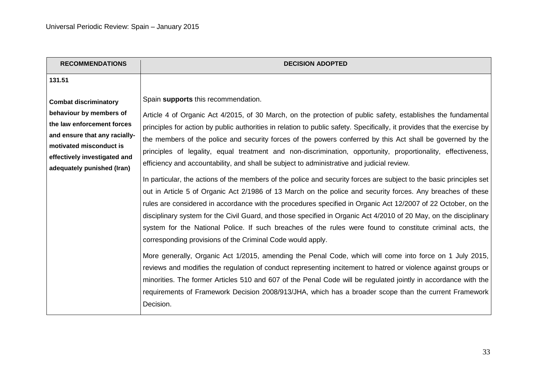| <b>RECOMMENDATIONS</b>                                                                                                                                                                                          | <b>DECISION ADOPTED</b>                                                                                                                                                                                                                                                                                                                                                                                                                                                                                                                                                                                                                                                                                                                                                                                                                                                                                                                                                                                                                                                                                                                                                                                                                                                                                                                                                                                                                                                                                                                                                                                                                                                                                                                  |
|-----------------------------------------------------------------------------------------------------------------------------------------------------------------------------------------------------------------|------------------------------------------------------------------------------------------------------------------------------------------------------------------------------------------------------------------------------------------------------------------------------------------------------------------------------------------------------------------------------------------------------------------------------------------------------------------------------------------------------------------------------------------------------------------------------------------------------------------------------------------------------------------------------------------------------------------------------------------------------------------------------------------------------------------------------------------------------------------------------------------------------------------------------------------------------------------------------------------------------------------------------------------------------------------------------------------------------------------------------------------------------------------------------------------------------------------------------------------------------------------------------------------------------------------------------------------------------------------------------------------------------------------------------------------------------------------------------------------------------------------------------------------------------------------------------------------------------------------------------------------------------------------------------------------------------------------------------------------|
| 131.51                                                                                                                                                                                                          |                                                                                                                                                                                                                                                                                                                                                                                                                                                                                                                                                                                                                                                                                                                                                                                                                                                                                                                                                                                                                                                                                                                                                                                                                                                                                                                                                                                                                                                                                                                                                                                                                                                                                                                                          |
| <b>Combat discriminatory</b><br>behaviour by members of<br>the law enforcement forces<br>and ensure that any racially-<br>motivated misconduct is<br>effectively investigated and<br>adequately punished (Iran) | Spain supports this recommendation.<br>Article 4 of Organic Act 4/2015, of 30 March, on the protection of public safety, establishes the fundamental<br>principles for action by public authorities in relation to public safety. Specifically, it provides that the exercise by<br>the members of the police and security forces of the powers conferred by this Act shall be governed by the<br>principles of legality, equal treatment and non-discrimination, opportunity, proportionality, effectiveness,<br>efficiency and accountability, and shall be subject to administrative and judicial review.<br>In particular, the actions of the members of the police and security forces are subject to the basic principles set<br>out in Article 5 of Organic Act 2/1986 of 13 March on the police and security forces. Any breaches of these<br>rules are considered in accordance with the procedures specified in Organic Act 12/2007 of 22 October, on the<br>disciplinary system for the Civil Guard, and those specified in Organic Act 4/2010 of 20 May, on the disciplinary<br>system for the National Police. If such breaches of the rules were found to constitute criminal acts, the<br>corresponding provisions of the Criminal Code would apply.<br>More generally, Organic Act 1/2015, amending the Penal Code, which will come into force on 1 July 2015,<br>reviews and modifies the regulation of conduct representing incitement to hatred or violence against groups or<br>minorities. The former Articles 510 and 607 of the Penal Code will be regulated jointly in accordance with the<br>requirements of Framework Decision 2008/913/JHA, which has a broader scope than the current Framework<br>Decision. |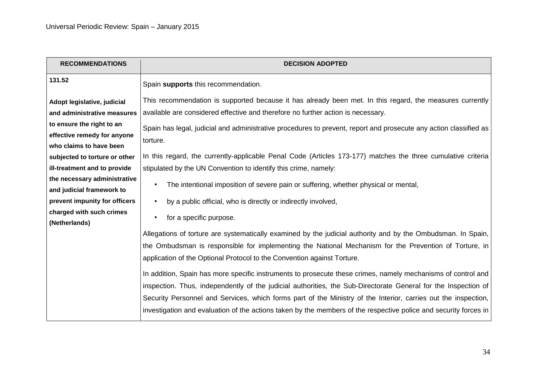| <b>RECOMMENDATIONS</b>                    | <b>DECISION ADOPTED</b>                                                                                           |
|-------------------------------------------|-------------------------------------------------------------------------------------------------------------------|
| 131.52                                    | Spain supports this recommendation.                                                                               |
| Adopt legislative, judicial               | This recommendation is supported because it has already been met. In this regard, the measures currently          |
| and administrative measures               | available are considered effective and therefore no further action is necessary.                                  |
| to ensure the right to an                 | Spain has legal, judicial and administrative procedures to prevent, report and prosecute any action classified as |
| effective remedy for anyone               | torture.                                                                                                          |
| who claims to have been                   |                                                                                                                   |
| subjected to torture or other             | In this regard, the currently-applicable Penal Code (Articles 173-177) matches the three cumulative criteria      |
| ill-treatment and to provide              | stipulated by the UN Convention to identify this crime, namely:                                                   |
| the necessary administrative              | The intentional imposition of severe pain or suffering, whether physical or mental,<br>$\bullet$                  |
| and judicial framework to                 |                                                                                                                   |
| prevent impunity for officers             | by a public official, who is directly or indirectly involved,<br>$\bullet$                                        |
| charged with such crimes<br>(Netherlands) | for a specific purpose.<br>$\bullet$                                                                              |
|                                           | Allegations of torture are systematically examined by the judicial authority and by the Ombudsman. In Spain,      |
|                                           | the Ombudsman is responsible for implementing the National Mechanism for the Prevention of Torture, in            |
|                                           | application of the Optional Protocol to the Convention against Torture.                                           |
|                                           |                                                                                                                   |
|                                           | In addition, Spain has more specific instruments to prosecute these crimes, namely mechanisms of control and      |
|                                           | inspection. Thus, independently of the judicial authorities, the Sub-Directorate General for the Inspection of    |
|                                           | Security Personnel and Services, which forms part of the Ministry of the Interior, carries out the inspection,    |
|                                           | investigation and evaluation of the actions taken by the members of the respective police and security forces in  |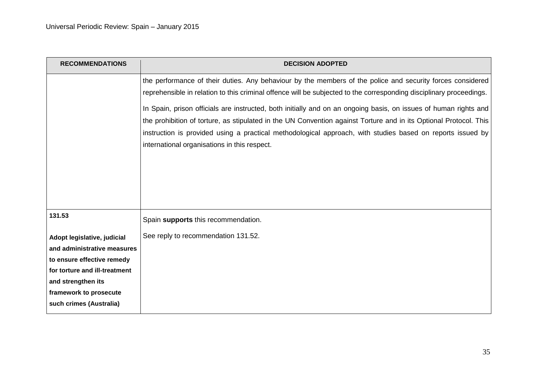| <b>RECOMMENDATIONS</b>                              | <b>DECISION ADOPTED</b>                                                                                                                                    |
|-----------------------------------------------------|------------------------------------------------------------------------------------------------------------------------------------------------------------|
|                                                     | the performance of their duties. Any behaviour by the members of the police and security forces considered                                                 |
|                                                     | reprehensible in relation to this criminal offence will be subjected to the corresponding disciplinary proceedings.                                        |
|                                                     | In Spain, prison officials are instructed, both initially and on an ongoing basis, on issues of human rights and                                           |
|                                                     | the prohibition of torture, as stipulated in the UN Convention against Torture and in its Optional Protocol. This                                          |
|                                                     | instruction is provided using a practical methodological approach, with studies based on reports issued by<br>international organisations in this respect. |
|                                                     |                                                                                                                                                            |
|                                                     |                                                                                                                                                            |
|                                                     |                                                                                                                                                            |
|                                                     |                                                                                                                                                            |
| 131.53                                              | Spain supports this recommendation.                                                                                                                        |
| Adopt legislative, judicial                         | See reply to recommendation 131.52.                                                                                                                        |
| and administrative measures                         |                                                                                                                                                            |
| to ensure effective remedy                          |                                                                                                                                                            |
| for torture and ill-treatment<br>and strengthen its |                                                                                                                                                            |
| framework to prosecute                              |                                                                                                                                                            |
| such crimes (Australia)                             |                                                                                                                                                            |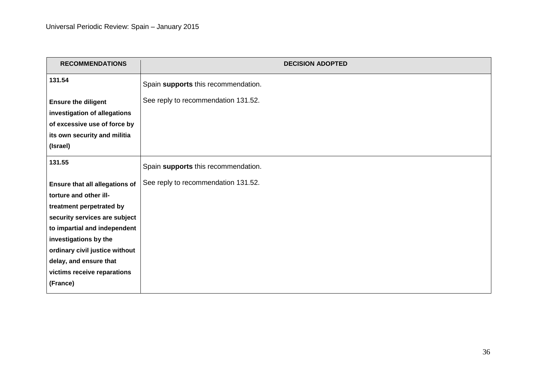| <b>RECOMMENDATIONS</b>                                        | <b>DECISION ADOPTED</b>             |
|---------------------------------------------------------------|-------------------------------------|
| 131.54                                                        | Spain supports this recommendation. |
| <b>Ensure the diligent</b><br>investigation of allegations    | See reply to recommendation 131.52. |
| of excessive use of force by<br>its own security and militia  |                                     |
| (Israel)                                                      |                                     |
| 131.55                                                        | Spain supports this recommendation. |
| Ensure that all allegations of                                | See reply to recommendation 131.52. |
| torture and other ill-                                        |                                     |
| treatment perpetrated by                                      |                                     |
| security services are subject<br>to impartial and independent |                                     |
| investigations by the                                         |                                     |
| ordinary civil justice without                                |                                     |
| delay, and ensure that                                        |                                     |
| victims receive reparations                                   |                                     |
| (France)                                                      |                                     |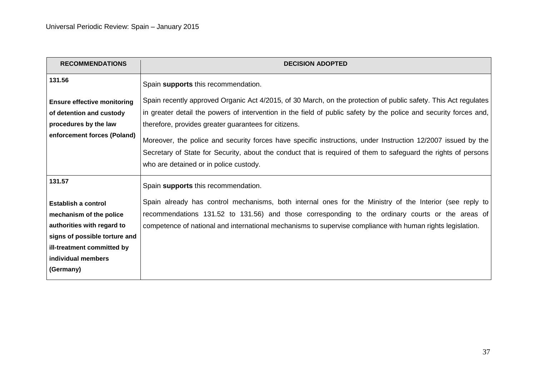| <b>RECOMMENDATIONS</b>             | <b>DECISION ADOPTED</b>                                                                                           |
|------------------------------------|-------------------------------------------------------------------------------------------------------------------|
| 131.56                             | Spain supports this recommendation.                                                                               |
| <b>Ensure effective monitoring</b> | Spain recently approved Organic Act 4/2015, of 30 March, on the protection of public safety. This Act regulates   |
| of detention and custody           | in greater detail the powers of intervention in the field of public safety by the police and security forces and, |
| procedures by the law              | therefore, provides greater guarantees for citizens.                                                              |
| enforcement forces (Poland)        | Moreover, the police and security forces have specific instructions, under Instruction 12/2007 issued by the      |
|                                    | Secretary of State for Security, about the conduct that is required of them to safeguard the rights of persons    |
|                                    | who are detained or in police custody.                                                                            |
| 131.57                             | Spain supports this recommendation.                                                                               |
| <b>Establish a control</b>         | Spain already has control mechanisms, both internal ones for the Ministry of the Interior (see reply to           |
| mechanism of the police            | recommendations 131.52 to 131.56) and those corresponding to the ordinary courts or the areas of                  |
| authorities with regard to         | competence of national and international mechanisms to supervise compliance with human rights legislation.        |
| signs of possible torture and      |                                                                                                                   |
| ill-treatment committed by         |                                                                                                                   |
| individual members                 |                                                                                                                   |
| (Germany)                          |                                                                                                                   |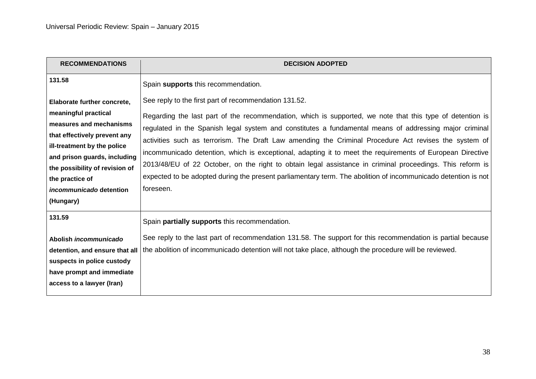| <b>RECOMMENDATIONS</b>                                                                                                                                                                                                                                                            | <b>DECISION ADOPTED</b>                                                                                                                                                                                                                                                                                                                                                                                                                                                                                                                                                                                                                                                                                                                       |
|-----------------------------------------------------------------------------------------------------------------------------------------------------------------------------------------------------------------------------------------------------------------------------------|-----------------------------------------------------------------------------------------------------------------------------------------------------------------------------------------------------------------------------------------------------------------------------------------------------------------------------------------------------------------------------------------------------------------------------------------------------------------------------------------------------------------------------------------------------------------------------------------------------------------------------------------------------------------------------------------------------------------------------------------------|
| 131.58                                                                                                                                                                                                                                                                            | Spain supports this recommendation.                                                                                                                                                                                                                                                                                                                                                                                                                                                                                                                                                                                                                                                                                                           |
| Elaborate further concrete,<br>meaningful practical<br>measures and mechanisms<br>that effectively prevent any<br>ill-treatment by the police<br>and prison guards, including<br>the possibility of revision of<br>the practice of<br><i>incommunicado</i> detention<br>(Hungary) | See reply to the first part of recommendation 131.52.<br>Regarding the last part of the recommendation, which is supported, we note that this type of detention is<br>regulated in the Spanish legal system and constitutes a fundamental means of addressing major criminal<br>activities such as terrorism. The Draft Law amending the Criminal Procedure Act revises the system of<br>incommunicado detention, which is exceptional, adapting it to meet the requirements of European Directive<br>2013/48/EU of 22 October, on the right to obtain legal assistance in criminal proceedings. This reform is<br>expected to be adopted during the present parliamentary term. The abolition of incommunicado detention is not<br>foreseen. |
| 131.59                                                                                                                                                                                                                                                                            | Spain partially supports this recommendation.                                                                                                                                                                                                                                                                                                                                                                                                                                                                                                                                                                                                                                                                                                 |
| Abolish incommunicado<br>detention, and ensure that all<br>suspects in police custody<br>have prompt and immediate<br>access to a lawyer (Iran)                                                                                                                                   | See reply to the last part of recommendation 131.58. The support for this recommendation is partial because<br>the abolition of incommunicado detention will not take place, although the procedure will be reviewed.                                                                                                                                                                                                                                                                                                                                                                                                                                                                                                                         |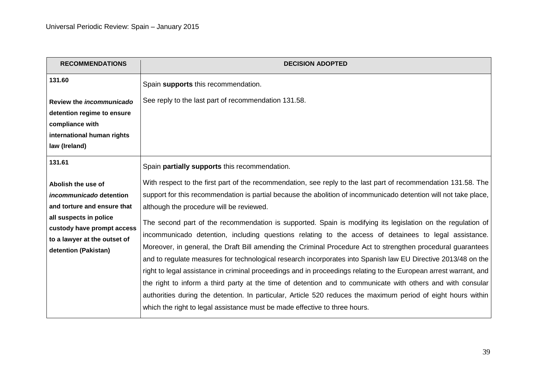| <b>RECOMMENDATIONS</b>                               | <b>DECISION ADOPTED</b>                                                                                           |
|------------------------------------------------------|-------------------------------------------------------------------------------------------------------------------|
| 131.60                                               | Spain supports this recommendation.                                                                               |
| Review the incommunicado                             | See reply to the last part of recommendation 131.58.                                                              |
| detention regime to ensure                           |                                                                                                                   |
| compliance with                                      |                                                                                                                   |
| international human rights<br>law (Ireland)          |                                                                                                                   |
|                                                      |                                                                                                                   |
| 131.61                                               | Spain partially supports this recommendation.                                                                     |
| Abolish the use of                                   | With respect to the first part of the recommendation, see reply to the last part of recommendation 131.58. The    |
| incommunicado detention                              | support for this recommendation is partial because the abolition of incommunicado detention will not take place,  |
| and torture and ensure that                          | although the procedure will be reviewed.                                                                          |
| all suspects in police                               | The second part of the recommendation is supported. Spain is modifying its legislation on the regulation of       |
| custody have prompt access                           | incommunicado detention, including questions relating to the access of detainees to legal assistance.             |
| to a lawyer at the outset of<br>detention (Pakistan) | Moreover, in general, the Draft Bill amending the Criminal Procedure Act to strengthen procedural guarantees      |
|                                                      | and to regulate measures for technological research incorporates into Spanish law EU Directive 2013/48 on the     |
|                                                      | right to legal assistance in criminal proceedings and in proceedings relating to the European arrest warrant, and |
|                                                      | the right to inform a third party at the time of detention and to communicate with others and with consular       |
|                                                      | authorities during the detention. In particular, Article 520 reduces the maximum period of eight hours within     |
|                                                      | which the right to legal assistance must be made effective to three hours.                                        |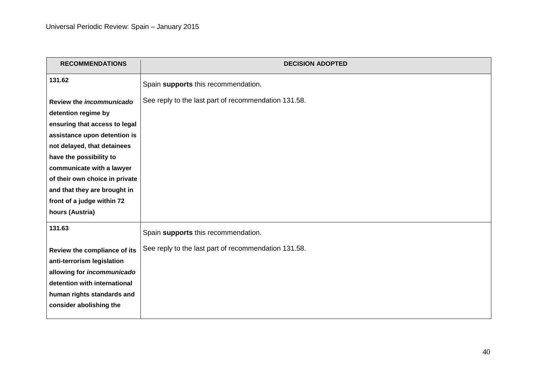| <b>RECOMMENDATIONS</b>         | <b>DECISION ADOPTED</b>                              |
|--------------------------------|------------------------------------------------------|
| 131.62                         | Spain supports this recommendation.                  |
| Review the incommunicado       | See reply to the last part of recommendation 131.58. |
| detention regime by            |                                                      |
| ensuring that access to legal  |                                                      |
| assistance upon detention is   |                                                      |
| not delayed, that detainees    |                                                      |
| have the possibility to        |                                                      |
| communicate with a lawyer      |                                                      |
| of their own choice in private |                                                      |
| and that they are brought in   |                                                      |
| front of a judge within 72     |                                                      |
| hours (Austria)                |                                                      |
| 131.63                         | Spain supports this recommendation.                  |
| Review the compliance of its   | See reply to the last part of recommendation 131.58. |
| anti-terrorism legislation     |                                                      |
| allowing for incommunicado     |                                                      |
| detention with international   |                                                      |
| human rights standards and     |                                                      |
| consider abolishing the        |                                                      |
|                                |                                                      |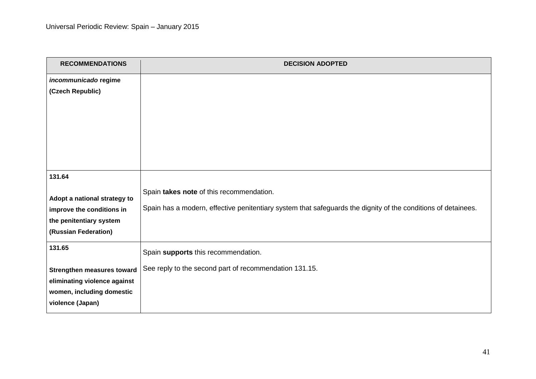| <b>RECOMMENDATIONS</b>                                    | <b>DECISION ADOPTED</b>                                                                                       |
|-----------------------------------------------------------|---------------------------------------------------------------------------------------------------------------|
| incommunicado regime                                      |                                                                                                               |
| (Czech Republic)                                          |                                                                                                               |
|                                                           |                                                                                                               |
|                                                           |                                                                                                               |
|                                                           |                                                                                                               |
|                                                           |                                                                                                               |
|                                                           |                                                                                                               |
|                                                           |                                                                                                               |
| 131.64                                                    |                                                                                                               |
|                                                           | Spain takes note of this recommendation.                                                                      |
| Adopt a national strategy to                              |                                                                                                               |
| improve the conditions in                                 | Spain has a modern, effective penitentiary system that safeguards the dignity of the conditions of detainees. |
| the penitentiary system                                   |                                                                                                               |
| (Russian Federation)                                      |                                                                                                               |
| 131.65                                                    | Spain supports this recommendation.                                                                           |
|                                                           | See reply to the second part of recommendation 131.15.                                                        |
| <b>Strengthen measures toward</b>                         |                                                                                                               |
| eliminating violence against<br>women, including domestic |                                                                                                               |
| violence (Japan)                                          |                                                                                                               |
|                                                           |                                                                                                               |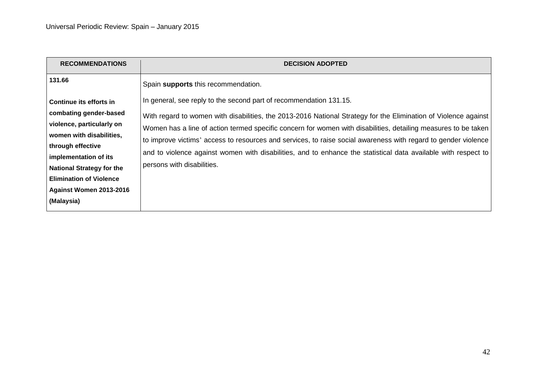| <b>RECOMMENDATIONS</b>                                                                                                                                                                                                                   | <b>DECISION ADOPTED</b>                                                                                                                                                                                                                                                                                                                                                                                                                                                                                                                                                                                          |
|------------------------------------------------------------------------------------------------------------------------------------------------------------------------------------------------------------------------------------------|------------------------------------------------------------------------------------------------------------------------------------------------------------------------------------------------------------------------------------------------------------------------------------------------------------------------------------------------------------------------------------------------------------------------------------------------------------------------------------------------------------------------------------------------------------------------------------------------------------------|
| 131.66<br>Continue its efforts in<br>combating gender-based<br>violence, particularly on<br>women with disabilities,<br>through effective<br>implementation of its<br><b>National Strategy for the</b><br><b>Elimination of Violence</b> | Spain supports this recommendation.<br>In general, see reply to the second part of recommendation 131.15.<br>With regard to women with disabilities, the 2013-2016 National Strategy for the Elimination of Violence against<br>Women has a line of action termed specific concern for women with disabilities, detailing measures to be taken<br>to improve victims' access to resources and services, to raise social awareness with regard to gender violence<br>and to violence against women with disabilities, and to enhance the statistical data available with respect to<br>persons with disabilities. |
| Against Women 2013-2016<br>(Malaysia)                                                                                                                                                                                                    |                                                                                                                                                                                                                                                                                                                                                                                                                                                                                                                                                                                                                  |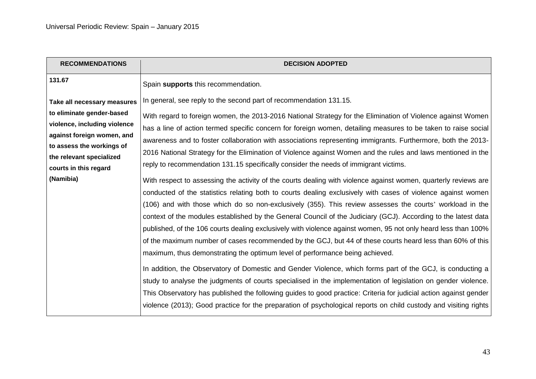| <b>RECOMMENDATIONS</b>                                                                                                                                                                                                | <b>DECISION ADOPTED</b>                                                                                                                                                                                                                                                                                                                                                                                                                                                                                                                                                                                                                                                                                                                                                                                                                                                                                                                                                                                                                                                                                                                                                                                                                                                                                                                                                                                                                                                                                                                                                                                                                    |
|-----------------------------------------------------------------------------------------------------------------------------------------------------------------------------------------------------------------------|--------------------------------------------------------------------------------------------------------------------------------------------------------------------------------------------------------------------------------------------------------------------------------------------------------------------------------------------------------------------------------------------------------------------------------------------------------------------------------------------------------------------------------------------------------------------------------------------------------------------------------------------------------------------------------------------------------------------------------------------------------------------------------------------------------------------------------------------------------------------------------------------------------------------------------------------------------------------------------------------------------------------------------------------------------------------------------------------------------------------------------------------------------------------------------------------------------------------------------------------------------------------------------------------------------------------------------------------------------------------------------------------------------------------------------------------------------------------------------------------------------------------------------------------------------------------------------------------------------------------------------------------|
| 131.67                                                                                                                                                                                                                | Spain supports this recommendation.                                                                                                                                                                                                                                                                                                                                                                                                                                                                                                                                                                                                                                                                                                                                                                                                                                                                                                                                                                                                                                                                                                                                                                                                                                                                                                                                                                                                                                                                                                                                                                                                        |
| Take all necessary measures<br>to eliminate gender-based<br>violence, including violence<br>against foreign women, and<br>to assess the workings of<br>the relevant specialized<br>courts in this regard<br>(Namibia) | In general, see reply to the second part of recommendation 131.15.<br>With regard to foreign women, the 2013-2016 National Strategy for the Elimination of Violence against Women<br>has a line of action termed specific concern for foreign women, detailing measures to be taken to raise social<br>awareness and to foster collaboration with associations representing immigrants. Furthermore, both the 2013-<br>2016 National Strategy for the Elimination of Violence against Women and the rules and laws mentioned in the<br>reply to recommendation 131.15 specifically consider the needs of immigrant victims.<br>With respect to assessing the activity of the courts dealing with violence against women, quarterly reviews are<br>conducted of the statistics relating both to courts dealing exclusively with cases of violence against women<br>(106) and with those which do so non-exclusively (355). This review assesses the courts' workload in the<br>context of the modules established by the General Council of the Judiciary (GCJ). According to the latest data<br>published, of the 106 courts dealing exclusively with violence against women, 95 not only heard less than 100%<br>of the maximum number of cases recommended by the GCJ, but 44 of these courts heard less than 60% of this<br>maximum, thus demonstrating the optimum level of performance being achieved.<br>In addition, the Observatory of Domestic and Gender Violence, which forms part of the GCJ, is conducting a<br>study to analyse the judgments of courts specialised in the implementation of legislation on gender violence. |
|                                                                                                                                                                                                                       | This Observatory has published the following guides to good practice: Criteria for judicial action against gender<br>violence (2013); Good practice for the preparation of psychological reports on child custody and visiting rights                                                                                                                                                                                                                                                                                                                                                                                                                                                                                                                                                                                                                                                                                                                                                                                                                                                                                                                                                                                                                                                                                                                                                                                                                                                                                                                                                                                                      |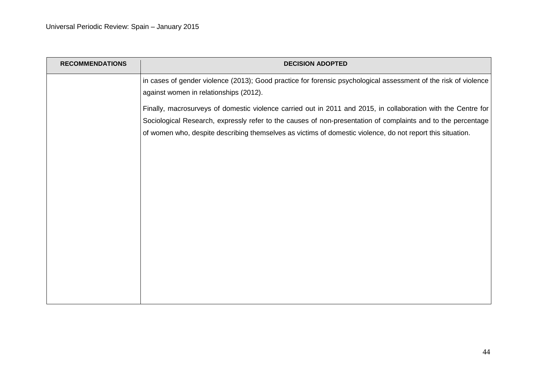| <b>RECOMMENDATIONS</b> | <b>DECISION ADOPTED</b>                                                                                                                                                                                                                                                                                                                     |
|------------------------|---------------------------------------------------------------------------------------------------------------------------------------------------------------------------------------------------------------------------------------------------------------------------------------------------------------------------------------------|
|                        | in cases of gender violence (2013); Good practice for forensic psychological assessment of the risk of violence<br>against women in relationships (2012).                                                                                                                                                                                   |
|                        | Finally, macrosurveys of domestic violence carried out in 2011 and 2015, in collaboration with the Centre for<br>Sociological Research, expressly refer to the causes of non-presentation of complaints and to the percentage<br>of women who, despite describing themselves as victims of domestic violence, do not report this situation. |
|                        |                                                                                                                                                                                                                                                                                                                                             |
|                        |                                                                                                                                                                                                                                                                                                                                             |
|                        |                                                                                                                                                                                                                                                                                                                                             |
|                        |                                                                                                                                                                                                                                                                                                                                             |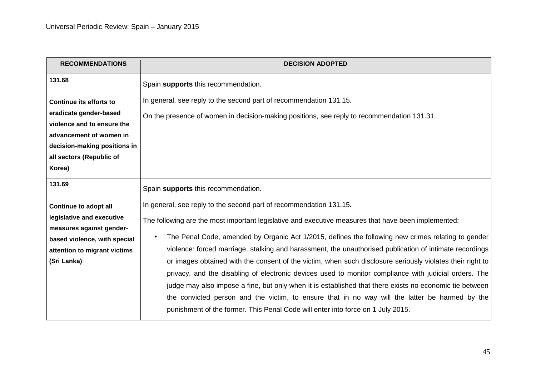| <b>RECOMMENDATIONS</b>                                                                                                                                                                  | <b>DECISION ADOPTED</b>                                                                                                                                                                                                                                                                                                                                                                                                                                                                                                                                                                                                                                                                                                                                                                                                                                                                                                       |
|-----------------------------------------------------------------------------------------------------------------------------------------------------------------------------------------|-------------------------------------------------------------------------------------------------------------------------------------------------------------------------------------------------------------------------------------------------------------------------------------------------------------------------------------------------------------------------------------------------------------------------------------------------------------------------------------------------------------------------------------------------------------------------------------------------------------------------------------------------------------------------------------------------------------------------------------------------------------------------------------------------------------------------------------------------------------------------------------------------------------------------------|
| 131.68                                                                                                                                                                                  | Spain supports this recommendation.                                                                                                                                                                                                                                                                                                                                                                                                                                                                                                                                                                                                                                                                                                                                                                                                                                                                                           |
| <b>Continue its efforts to</b><br>eradicate gender-based<br>violence and to ensure the<br>advancement of women in<br>decision-making positions in<br>all sectors (Republic of<br>Korea) | In general, see reply to the second part of recommendation 131.15.<br>On the presence of women in decision-making positions, see reply to recommendation 131.31.                                                                                                                                                                                                                                                                                                                                                                                                                                                                                                                                                                                                                                                                                                                                                              |
| 131.69                                                                                                                                                                                  | Spain supports this recommendation.                                                                                                                                                                                                                                                                                                                                                                                                                                                                                                                                                                                                                                                                                                                                                                                                                                                                                           |
| <b>Continue to adopt all</b><br>legislative and executive<br>measures against gender-<br>based violence, with special<br>attention to migrant victims<br>(Sri Lanka)                    | In general, see reply to the second part of recommendation 131.15.<br>The following are the most important legislative and executive measures that have been implemented:<br>The Penal Code, amended by Organic Act 1/2015, defines the following new crimes relating to gender<br>$\bullet$<br>violence: forced marriage, stalking and harassment, the unauthorised publication of intimate recordings<br>or images obtained with the consent of the victim, when such disclosure seriously violates their right to<br>privacy, and the disabling of electronic devices used to monitor compliance with judicial orders. The<br>judge may also impose a fine, but only when it is established that there exists no economic tie between<br>the convicted person and the victim, to ensure that in no way will the latter be harmed by the<br>punishment of the former. This Penal Code will enter into force on 1 July 2015. |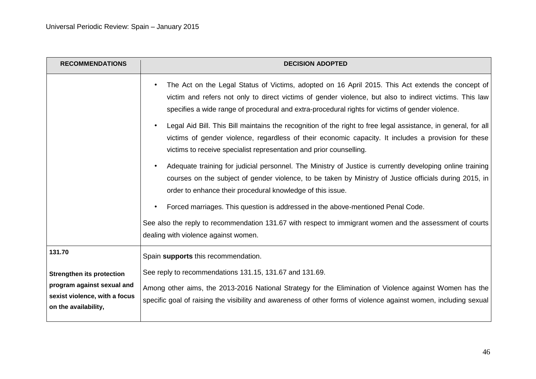| <b>RECOMMENDATIONS</b>                                                                                                  | <b>DECISION ADOPTED</b>                                                                                                                                                                                                                                                                                                       |
|-------------------------------------------------------------------------------------------------------------------------|-------------------------------------------------------------------------------------------------------------------------------------------------------------------------------------------------------------------------------------------------------------------------------------------------------------------------------|
|                                                                                                                         | The Act on the Legal Status of Victims, adopted on 16 April 2015. This Act extends the concept of<br>$\bullet$<br>victim and refers not only to direct victims of gender violence, but also to indirect victims. This law<br>specifies a wide range of procedural and extra-procedural rights for victims of gender violence. |
|                                                                                                                         | Legal Aid Bill. This Bill maintains the recognition of the right to free legal assistance, in general, for all<br>$\bullet$<br>victims of gender violence, regardless of their economic capacity. It includes a provision for these<br>victims to receive specialist representation and prior counselling.                    |
|                                                                                                                         | Adequate training for judicial personnel. The Ministry of Justice is currently developing online training<br>$\bullet$<br>courses on the subject of gender violence, to be taken by Ministry of Justice officials during 2015, in<br>order to enhance their procedural knowledge of this issue.                               |
|                                                                                                                         | Forced marriages. This question is addressed in the above-mentioned Penal Code.<br>$\bullet$                                                                                                                                                                                                                                  |
|                                                                                                                         | See also the reply to recommendation 131.67 with respect to immigrant women and the assessment of courts<br>dealing with violence against women.                                                                                                                                                                              |
| 131.70                                                                                                                  | Spain supports this recommendation.                                                                                                                                                                                                                                                                                           |
| <b>Strengthen its protection</b><br>program against sexual and<br>sexist violence, with a focus<br>on the availability, | See reply to recommendations 131.15, 131.67 and 131.69.<br>Among other aims, the 2013-2016 National Strategy for the Elimination of Violence against Women has the<br>specific goal of raising the visibility and awareness of other forms of violence against women, including sexual                                        |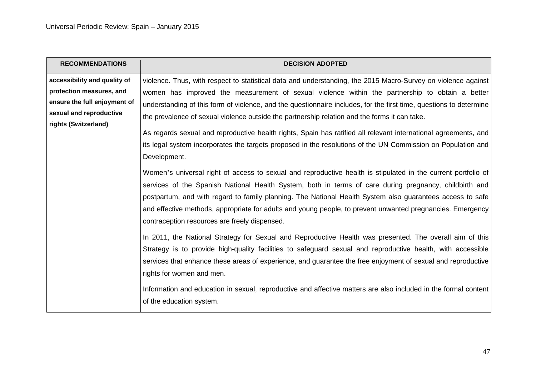| <b>RECOMMENDATIONS</b>       | <b>DECISION ADOPTED</b>                                                                                                                                                                                                                                                                                                                                                                                                                                                                                             |
|------------------------------|---------------------------------------------------------------------------------------------------------------------------------------------------------------------------------------------------------------------------------------------------------------------------------------------------------------------------------------------------------------------------------------------------------------------------------------------------------------------------------------------------------------------|
| accessibility and quality of | violence. Thus, with respect to statistical data and understanding, the 2015 Macro-Survey on violence against                                                                                                                                                                                                                                                                                                                                                                                                       |
| protection measures, and     | women has improved the measurement of sexual violence within the partnership to obtain a better                                                                                                                                                                                                                                                                                                                                                                                                                     |
| ensure the full enjoyment of | understanding of this form of violence, and the questionnaire includes, for the first time, questions to determine                                                                                                                                                                                                                                                                                                                                                                                                  |
| sexual and reproductive      | the prevalence of sexual violence outside the partnership relation and the forms it can take.                                                                                                                                                                                                                                                                                                                                                                                                                       |
| rights (Switzerland)         | As regards sexual and reproductive health rights, Spain has ratified all relevant international agreements, and<br>its legal system incorporates the targets proposed in the resolutions of the UN Commission on Population and                                                                                                                                                                                                                                                                                     |
|                              | Development.<br>Women's universal right of access to sexual and reproductive health is stipulated in the current portfolio of<br>services of the Spanish National Health System, both in terms of care during pregnancy, childbirth and<br>postpartum, and with regard to family planning. The National Health System also guarantees access to safe<br>and effective methods, appropriate for adults and young people, to prevent unwanted pregnancies. Emergency<br>contraception resources are freely dispensed. |
|                              | In 2011, the National Strategy for Sexual and Reproductive Health was presented. The overall aim of this<br>Strategy is to provide high-quality facilities to safeguard sexual and reproductive health, with accessible<br>services that enhance these areas of experience, and guarantee the free enjoyment of sexual and reproductive<br>rights for women and men.<br>Information and education in sexual, reproductive and affective matters are also included in the formal content<br>of the education system. |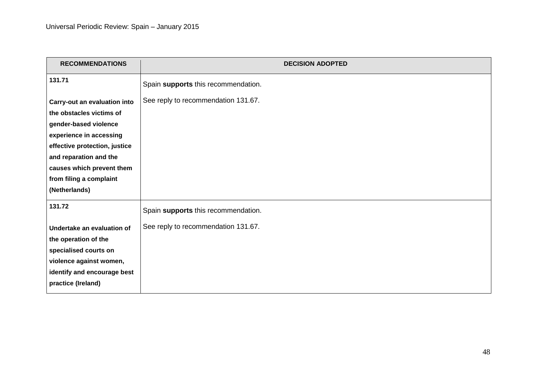| <b>RECOMMENDATIONS</b>                                                                                                                                                                                                                           | <b>DECISION ADOPTED</b>                                                    |
|--------------------------------------------------------------------------------------------------------------------------------------------------------------------------------------------------------------------------------------------------|----------------------------------------------------------------------------|
| 131.71                                                                                                                                                                                                                                           | Spain supports this recommendation.                                        |
| Carry-out an evaluation into<br>the obstacles victims of<br>gender-based violence<br>experience in accessing<br>effective protection, justice<br>and reparation and the<br>causes which prevent them<br>from filing a complaint<br>(Netherlands) | See reply to recommendation 131.67.                                        |
| 131.72<br>Undertake an evaluation of<br>the operation of the<br>specialised courts on<br>violence against women,<br>identify and encourage best<br>practice (Ireland)                                                                            | Spain supports this recommendation.<br>See reply to recommendation 131.67. |
|                                                                                                                                                                                                                                                  |                                                                            |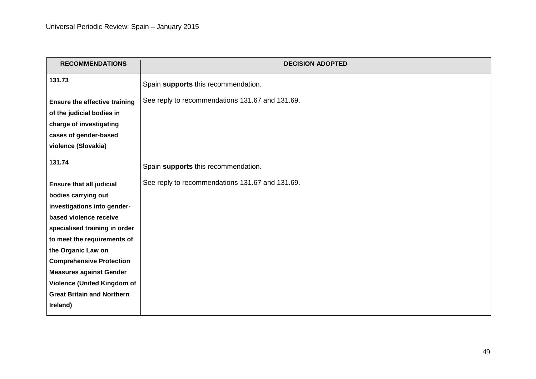| <b>RECOMMENDATIONS</b>                                                  | <b>DECISION ADOPTED</b>                         |
|-------------------------------------------------------------------------|-------------------------------------------------|
| 131.73                                                                  | Spain supports this recommendation.             |
| <b>Ensure the effective training</b>                                    | See reply to recommendations 131.67 and 131.69. |
| of the judicial bodies in                                               |                                                 |
| charge of investigating                                                 |                                                 |
| cases of gender-based                                                   |                                                 |
| violence (Slovakia)                                                     |                                                 |
| 131.74                                                                  | Spain supports this recommendation.             |
| <b>Ensure that all judicial</b>                                         | See reply to recommendations 131.67 and 131.69. |
| bodies carrying out                                                     |                                                 |
| investigations into gender-                                             |                                                 |
| based violence receive                                                  |                                                 |
| specialised training in order                                           |                                                 |
| to meet the requirements of                                             |                                                 |
| the Organic Law on                                                      |                                                 |
| <b>Comprehensive Protection</b>                                         |                                                 |
| <b>Measures against Gender</b>                                          |                                                 |
| <b>Violence (United Kingdom of</b><br><b>Great Britain and Northern</b> |                                                 |
| Ireland)                                                                |                                                 |
|                                                                         |                                                 |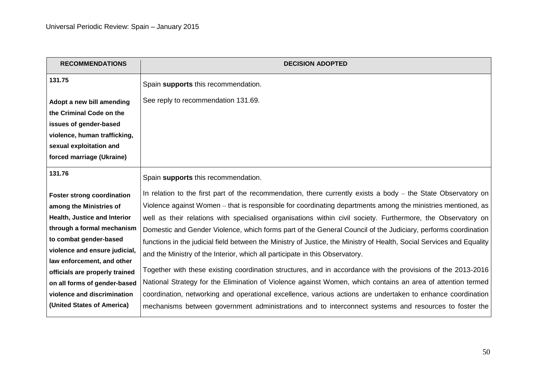| <b>DECISION ADOPTED</b>                                                                                                                                                                                                                                                                                                                                                                                                                                                                                                                                                                                                                                                                                                                                                                                                                                                                                                                                                                                                                                                                                                        |
|--------------------------------------------------------------------------------------------------------------------------------------------------------------------------------------------------------------------------------------------------------------------------------------------------------------------------------------------------------------------------------------------------------------------------------------------------------------------------------------------------------------------------------------------------------------------------------------------------------------------------------------------------------------------------------------------------------------------------------------------------------------------------------------------------------------------------------------------------------------------------------------------------------------------------------------------------------------------------------------------------------------------------------------------------------------------------------------------------------------------------------|
| Spain supports this recommendation.                                                                                                                                                                                                                                                                                                                                                                                                                                                                                                                                                                                                                                                                                                                                                                                                                                                                                                                                                                                                                                                                                            |
| See reply to recommendation 131.69.                                                                                                                                                                                                                                                                                                                                                                                                                                                                                                                                                                                                                                                                                                                                                                                                                                                                                                                                                                                                                                                                                            |
| Spain supports this recommendation.                                                                                                                                                                                                                                                                                                                                                                                                                                                                                                                                                                                                                                                                                                                                                                                                                                                                                                                                                                                                                                                                                            |
| In relation to the first part of the recommendation, there currently exists a body – the State Observatory on<br>Violence against Women – that is responsible for coordinating departments among the ministries mentioned, as<br>well as their relations with specialised organisations within civil society. Furthermore, the Observatory on<br>Domestic and Gender Violence, which forms part of the General Council of the Judiciary, performs coordination<br>functions in the judicial field between the Ministry of Justice, the Ministry of Health, Social Services and Equality<br>and the Ministry of the Interior, which all participate in this Observatory.<br>Together with these existing coordination structures, and in accordance with the provisions of the 2013-2016<br>National Strategy for the Elimination of Violence against Women, which contains an area of attention termed<br>coordination, networking and operational excellence, various actions are undertaken to enhance coordination<br>mechanisms between government administrations and to interconnect systems and resources to foster the |
|                                                                                                                                                                                                                                                                                                                                                                                                                                                                                                                                                                                                                                                                                                                                                                                                                                                                                                                                                                                                                                                                                                                                |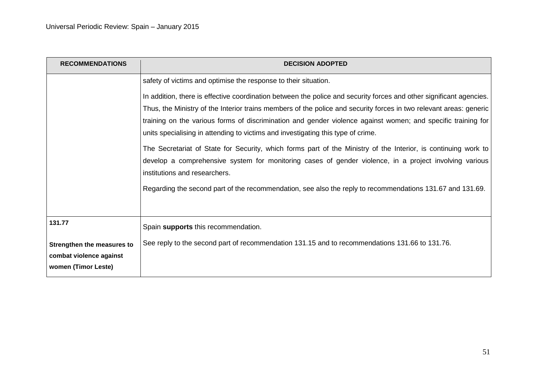| <b>RECOMMENDATIONS</b>                                                                 | <b>DECISION ADOPTED</b>                                                                                                                                                                                                                                                                                                                                                                                                                                                                                                                                                                                                                                                                                                                                                                                                                                                                    |
|----------------------------------------------------------------------------------------|--------------------------------------------------------------------------------------------------------------------------------------------------------------------------------------------------------------------------------------------------------------------------------------------------------------------------------------------------------------------------------------------------------------------------------------------------------------------------------------------------------------------------------------------------------------------------------------------------------------------------------------------------------------------------------------------------------------------------------------------------------------------------------------------------------------------------------------------------------------------------------------------|
|                                                                                        | safety of victims and optimise the response to their situation.<br>In addition, there is effective coordination between the police and security forces and other significant agencies.<br>Thus, the Ministry of the Interior trains members of the police and security forces in two relevant areas: generic<br>training on the various forms of discrimination and gender violence against women; and specific training for<br>units specialising in attending to victims and investigating this type of crime.<br>The Secretariat of State for Security, which forms part of the Ministry of the Interior, is continuing work to<br>develop a comprehensive system for monitoring cases of gender violence, in a project involving various<br>institutions and researchers.<br>Regarding the second part of the recommendation, see also the reply to recommendations 131.67 and 131.69. |
| 131.77<br>Strengthen the measures to<br>combat violence against<br>women (Timor Leste) | Spain supports this recommendation.<br>See reply to the second part of recommendation 131.15 and to recommendations 131.66 to 131.76.                                                                                                                                                                                                                                                                                                                                                                                                                                                                                                                                                                                                                                                                                                                                                      |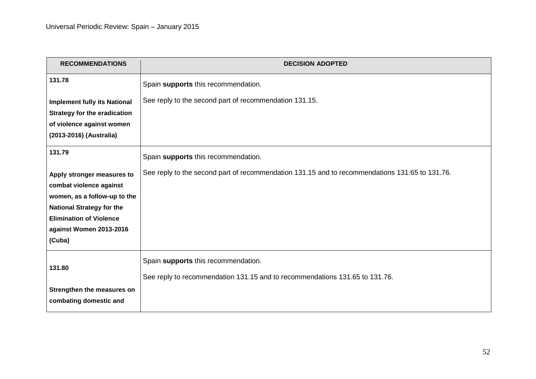| <b>RECOMMENDATIONS</b>                                    | <b>DECISION ADOPTED</b>                                                                        |
|-----------------------------------------------------------|------------------------------------------------------------------------------------------------|
| 131.78                                                    | Spain supports this recommendation.                                                            |
| <b>Implement fully its National</b>                       | See reply to the second part of recommendation 131.15.                                         |
| <b>Strategy for the eradication</b>                       |                                                                                                |
| of violence against women                                 |                                                                                                |
| (2013-2016) (Australia)                                   |                                                                                                |
| 131.79                                                    | Spain supports this recommendation.                                                            |
| Apply stronger measures to                                | See reply to the second part of recommendation 131.15 and to recommendations 131.65 to 131.76. |
| combat violence against                                   |                                                                                                |
| women, as a follow-up to the                              |                                                                                                |
| <b>National Strategy for the</b>                          |                                                                                                |
| <b>Elimination of Violence</b><br>against Women 2013-2016 |                                                                                                |
| (Cuba)                                                    |                                                                                                |
| 131.80                                                    | Spain supports this recommendation.                                                            |
|                                                           | See reply to recommendation 131.15 and to recommendations 131.65 to 131.76.                    |
| Strengthen the measures on                                |                                                                                                |
| combating domestic and                                    |                                                                                                |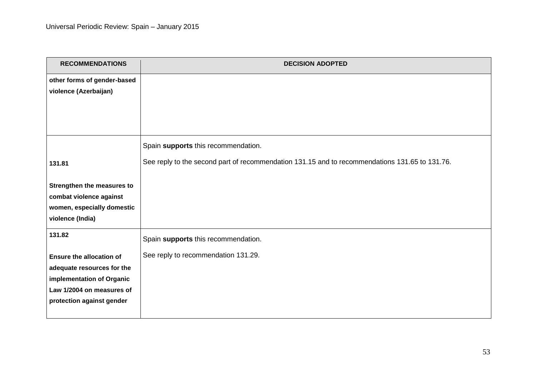| <b>RECOMMENDATIONS</b>                                 | <b>DECISION ADOPTED</b>                                                                        |
|--------------------------------------------------------|------------------------------------------------------------------------------------------------|
| other forms of gender-based                            |                                                                                                |
| violence (Azerbaijan)                                  |                                                                                                |
|                                                        |                                                                                                |
|                                                        |                                                                                                |
|                                                        |                                                                                                |
|                                                        | Spain supports this recommendation.                                                            |
|                                                        | See reply to the second part of recommendation 131.15 and to recommendations 131.65 to 131.76. |
| 131.81                                                 |                                                                                                |
| Strengthen the measures to                             |                                                                                                |
| combat violence against                                |                                                                                                |
| women, especially domestic                             |                                                                                                |
| violence (India)                                       |                                                                                                |
| 131.82                                                 | Spain supports this recommendation.                                                            |
|                                                        |                                                                                                |
| <b>Ensure the allocation of</b>                        | See reply to recommendation 131.29.                                                            |
| adequate resources for the                             |                                                                                                |
| implementation of Organic                              |                                                                                                |
| Law 1/2004 on measures of<br>protection against gender |                                                                                                |
|                                                        |                                                                                                |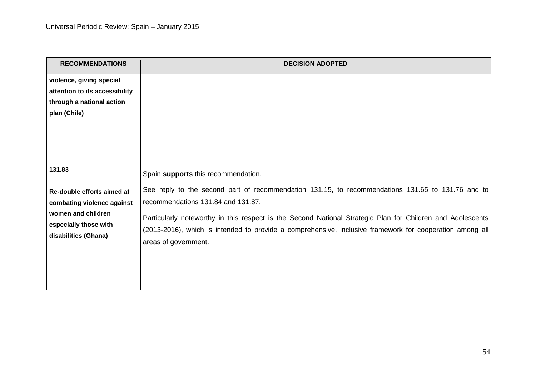| <b>RECOMMENDATIONS</b>                                                                                                                    | <b>DECISION ADOPTED</b>                                                                                                                                                                                                                                                                                                                                                                                  |
|-------------------------------------------------------------------------------------------------------------------------------------------|----------------------------------------------------------------------------------------------------------------------------------------------------------------------------------------------------------------------------------------------------------------------------------------------------------------------------------------------------------------------------------------------------------|
| violence, giving special<br>attention to its accessibility<br>through a national action<br>plan (Chile)                                   |                                                                                                                                                                                                                                                                                                                                                                                                          |
| 131.83<br>Re-double efforts aimed at<br>combating violence against<br>women and children<br>especially those with<br>disabilities (Ghana) | Spain supports this recommendation.<br>See reply to the second part of recommendation 131.15, to recommendations 131.65 to 131.76 and to<br>recommendations 131.84 and 131.87.<br>Particularly noteworthy in this respect is the Second National Strategic Plan for Children and Adolescents<br>(2013-2016), which is intended to provide a comprehensive, inclusive framework for cooperation among all |
|                                                                                                                                           | areas of government.                                                                                                                                                                                                                                                                                                                                                                                     |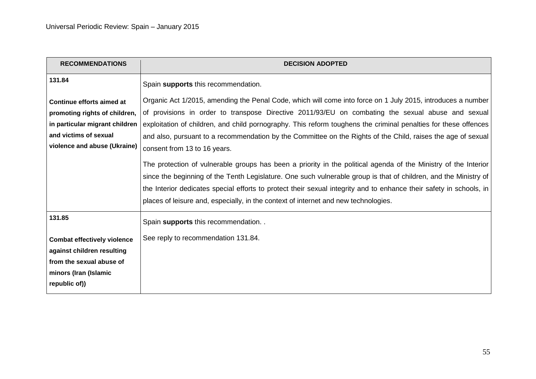| <b>RECOMMENDATIONS</b>                                                                                                                                | <b>DECISION ADOPTED</b>                                                                                                                                                                                                                                                                                                                                                                                                                                                                                                                                                                                                                                                                                                                                                                                                                                                                                                                  |
|-------------------------------------------------------------------------------------------------------------------------------------------------------|------------------------------------------------------------------------------------------------------------------------------------------------------------------------------------------------------------------------------------------------------------------------------------------------------------------------------------------------------------------------------------------------------------------------------------------------------------------------------------------------------------------------------------------------------------------------------------------------------------------------------------------------------------------------------------------------------------------------------------------------------------------------------------------------------------------------------------------------------------------------------------------------------------------------------------------|
| 131.84                                                                                                                                                | Spain supports this recommendation.                                                                                                                                                                                                                                                                                                                                                                                                                                                                                                                                                                                                                                                                                                                                                                                                                                                                                                      |
| Continue efforts aimed at<br>promoting rights of children,<br>in particular migrant children<br>and victims of sexual<br>violence and abuse (Ukraine) | Organic Act 1/2015, amending the Penal Code, which will come into force on 1 July 2015, introduces a number<br>of provisions in order to transpose Directive 2011/93/EU on combating the sexual abuse and sexual<br>exploitation of children, and child pornography. This reform toughens the criminal penalties for these offences<br>and also, pursuant to a recommendation by the Committee on the Rights of the Child, raises the age of sexual<br>consent from 13 to 16 years.<br>The protection of vulnerable groups has been a priority in the political agenda of the Ministry of the Interior<br>since the beginning of the Tenth Legislature. One such vulnerable group is that of children, and the Ministry of<br>the Interior dedicates special efforts to protect their sexual integrity and to enhance their safety in schools, in<br>places of leisure and, especially, in the context of internet and new technologies. |
| 131.85<br><b>Combat effectively violence</b>                                                                                                          | Spain supports this recommendation. .<br>See reply to recommendation 131.84.                                                                                                                                                                                                                                                                                                                                                                                                                                                                                                                                                                                                                                                                                                                                                                                                                                                             |
| against children resulting<br>from the sexual abuse of<br>minors (Iran (Islamic<br>republic of))                                                      |                                                                                                                                                                                                                                                                                                                                                                                                                                                                                                                                                                                                                                                                                                                                                                                                                                                                                                                                          |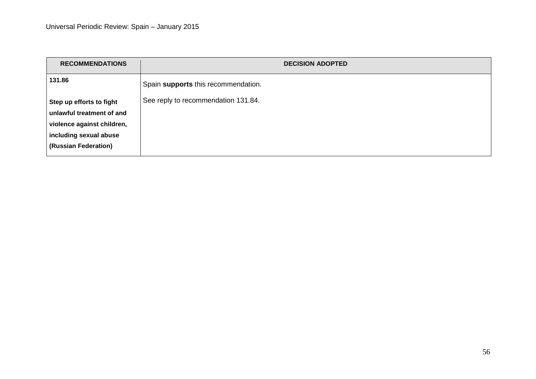| <b>RECOMMENDATIONS</b>     | <b>DECISION ADOPTED</b>             |
|----------------------------|-------------------------------------|
| 131.86                     | Spain supports this recommendation. |
| Step up efforts to fight   | See reply to recommendation 131.84. |
| unlawful treatment of and  |                                     |
| violence against children, |                                     |
| including sexual abuse     |                                     |
| (Russian Federation)       |                                     |
|                            |                                     |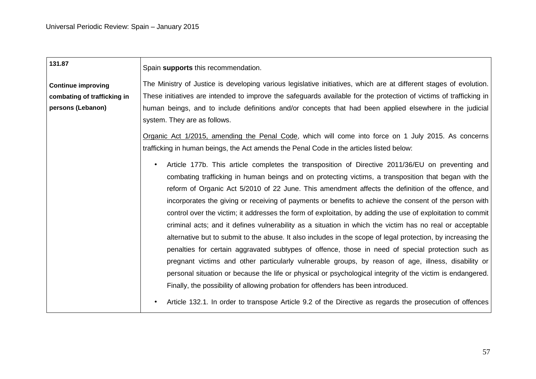| 131.87                      | Spain supports this recommendation.                                                                                |
|-----------------------------|--------------------------------------------------------------------------------------------------------------------|
| <b>Continue improving</b>   | The Ministry of Justice is developing various legislative initiatives, which are at different stages of evolution. |
| combating of trafficking in | These initiatives are intended to improve the safeguards available for the protection of victims of trafficking in |
| persons (Lebanon)           | human beings, and to include definitions and/or concepts that had been applied elsewhere in the judicial           |
|                             | system. They are as follows.                                                                                       |
|                             | Organic Act 1/2015, amending the Penal Code, which will come into force on 1 July 2015. As concerns                |
|                             | trafficking in human beings, the Act amends the Penal Code in the articles listed below:                           |
|                             | Article 177b. This article completes the transposition of Directive 2011/36/EU on preventing and<br>$\bullet$      |
|                             | combating trafficking in human beings and on protecting victims, a transposition that began with the               |
|                             | reform of Organic Act 5/2010 of 22 June. This amendment affects the definition of the offence, and                 |
|                             | incorporates the giving or receiving of payments or benefits to achieve the consent of the person with             |
|                             | control over the victim; it addresses the form of exploitation, by adding the use of exploitation to commit        |
|                             | criminal acts; and it defines vulnerability as a situation in which the victim has no real or acceptable           |
|                             | alternative but to submit to the abuse. It also includes in the scope of legal protection, by increasing the       |
|                             | penalties for certain aggravated subtypes of offence, those in need of special protection such as                  |
|                             | pregnant victims and other particularly vulnerable groups, by reason of age, illness, disability or                |
|                             | personal situation or because the life or physical or psychological integrity of the victim is endangered.         |
|                             | Finally, the possibility of allowing probation for offenders has been introduced.                                  |
|                             | Article 132.1. In order to transpose Article 9.2 of the Directive as regards the prosecution of offences           |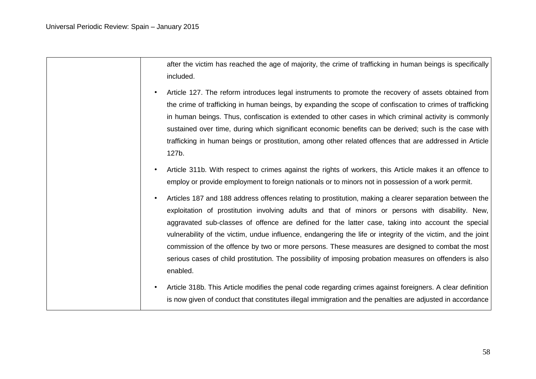after the victim has reached the age of majority, the crime of trafficking in human beings is specifically included.

- Article 127. The reform introduces legal instruments to promote the recovery of assets obtained from the crime of trafficking in human beings, by expanding the scope of confiscation to crimes of trafficking in human beings. Thus, confiscation is extended to other cases in which criminal activity is commonly sustained over time, during which significant economic benefits can be derived; such is the case with trafficking in human beings or prostitution, among other related offences that are addressed in Article 127b.
- Article 311b. With respect to crimes against the rights of workers, this Article makes it an offence to employ or provide employment to foreign nationals or to minors not in possession of a work permit.
- Articles 187 and 188 address offences relating to prostitution, making a clearer separation between the exploitation of prostitution involving adults and that of minors or persons with disability. New, aggravated sub-classes of offence are defined for the latter case, taking into account the special vulnerability of the victim, undue influence, endangering the life or integrity of the victim, and the joint commission of the offence by two or more persons. These measures are designed to combat the most serious cases of child prostitution. The possibility of imposing probation measures on offenders is also enabled.
- Article 318b. This Article modifies the penal code regarding crimes against foreigners. A clear definition is now given of conduct that constitutes illegal immigration and the penalties are adjusted in accordance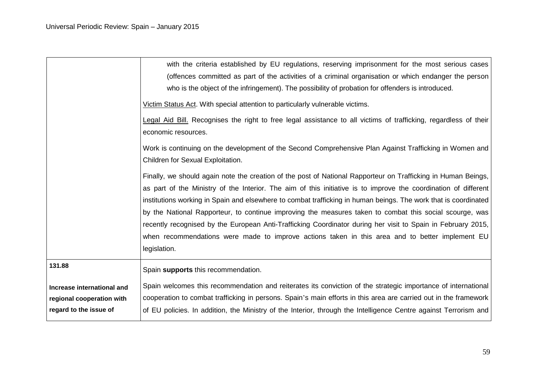|                                                                                   | with the criteria established by EU regulations, reserving imprisonment for the most serious cases<br>(offences committed as part of the activities of a criminal organisation or which endanger the person<br>who is the object of the infringement). The possibility of probation for offenders is introduced.                                      |
|-----------------------------------------------------------------------------------|-------------------------------------------------------------------------------------------------------------------------------------------------------------------------------------------------------------------------------------------------------------------------------------------------------------------------------------------------------|
|                                                                                   | Victim Status Act. With special attention to particularly vulnerable victims.                                                                                                                                                                                                                                                                         |
|                                                                                   | Legal Aid Bill. Recognises the right to free legal assistance to all victims of trafficking, regardless of their<br>economic resources.                                                                                                                                                                                                               |
|                                                                                   | Work is continuing on the development of the Second Comprehensive Plan Against Trafficking in Women and<br>Children for Sexual Exploitation.                                                                                                                                                                                                          |
|                                                                                   | Finally, we should again note the creation of the post of National Rapporteur on Trafficking in Human Beings,<br>as part of the Ministry of the Interior. The aim of this initiative is to improve the coordination of different<br>institutions working in Spain and elsewhere to combat trafficking in human beings. The work that is coordinated   |
|                                                                                   | by the National Rapporteur, to continue improving the measures taken to combat this social scourge, was<br>recently recognised by the European Anti-Trafficking Coordinator during her visit to Spain in February 2015,<br>when recommendations were made to improve actions taken in this area and to better implement EU<br>legislation.            |
| 131.88                                                                            | Spain supports this recommendation.                                                                                                                                                                                                                                                                                                                   |
| Increase international and<br>regional cooperation with<br>regard to the issue of | Spain welcomes this recommendation and reiterates its conviction of the strategic importance of international<br>cooperation to combat trafficking in persons. Spain's main efforts in this area are carried out in the framework<br>of EU policies. In addition, the Ministry of the Interior, through the Intelligence Centre against Terrorism and |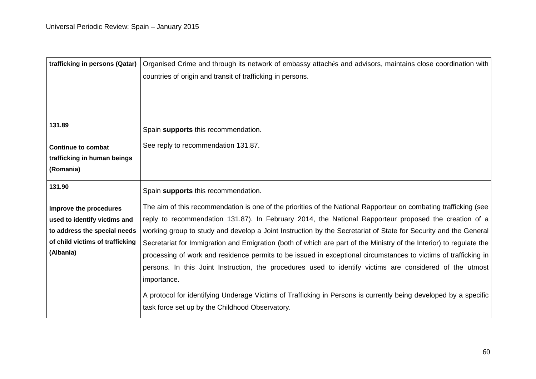| trafficking in persons (Qatar)  | Organised Crime and through its network of embassy attachés and advisors, maintains close coordination with         |
|---------------------------------|---------------------------------------------------------------------------------------------------------------------|
|                                 | countries of origin and transit of trafficking in persons.                                                          |
|                                 |                                                                                                                     |
|                                 |                                                                                                                     |
|                                 |                                                                                                                     |
| 131.89                          | Spain supports this recommendation.                                                                                 |
| <b>Continue to combat</b>       | See reply to recommendation 131.87.                                                                                 |
| trafficking in human beings     |                                                                                                                     |
| (Romania)                       |                                                                                                                     |
| 131.90                          | Spain supports this recommendation.                                                                                 |
| Improve the procedures          | The aim of this recommendation is one of the priorities of the National Rapporteur on combating trafficking (see    |
| used to identify victims and    | reply to recommendation 131.87). In February 2014, the National Rapporteur proposed the creation of a               |
| to address the special needs    | working group to study and develop a Joint Instruction by the Secretariat of State for Security and the General     |
| of child victims of trafficking | Secretariat for Immigration and Emigration (both of which are part of the Ministry of the Interior) to regulate the |
| (Albania)                       | processing of work and residence permits to be issued in exceptional circumstances to victims of trafficking in     |
|                                 | persons. In this Joint Instruction, the procedures used to identify victims are considered of the utmost            |
|                                 | importance.                                                                                                         |
|                                 | A protocol for identifying Underage Victims of Trafficking in Persons is currently being developed by a specific    |
|                                 | task force set up by the Childhood Observatory.                                                                     |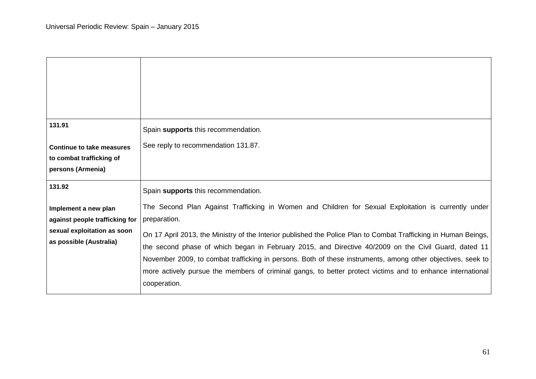| 131.91                                                                                                           | Spain supports this recommendation.                                                                                                                                                                                                                                                                                                                                                                                                                            |
|------------------------------------------------------------------------------------------------------------------|----------------------------------------------------------------------------------------------------------------------------------------------------------------------------------------------------------------------------------------------------------------------------------------------------------------------------------------------------------------------------------------------------------------------------------------------------------------|
| Continue to take measures<br>to combat trafficking of<br>persons (Armenia)                                       | See reply to recommendation 131.87.                                                                                                                                                                                                                                                                                                                                                                                                                            |
| 131.92                                                                                                           | Spain supports this recommendation.                                                                                                                                                                                                                                                                                                                                                                                                                            |
| Implement a new plan<br>against people trafficking for<br>sexual exploitation as soon<br>as possible (Australia) | The Second Plan Against Trafficking in Women and Children for Sexual Exploitation is currently under<br>preparation.<br>On 17 April 2013, the Ministry of the Interior published the Police Plan to Combat Trafficking in Human Beings,<br>the second phase of which began in February 2015, and Directive 40/2009 on the Civil Guard, dated 11<br>November 2009, to combat trafficking in persons. Both of these instruments, among other objectives, seek to |
|                                                                                                                  | more actively pursue the members of criminal gangs, to better protect victims and to enhance international<br>cooperation.                                                                                                                                                                                                                                                                                                                                     |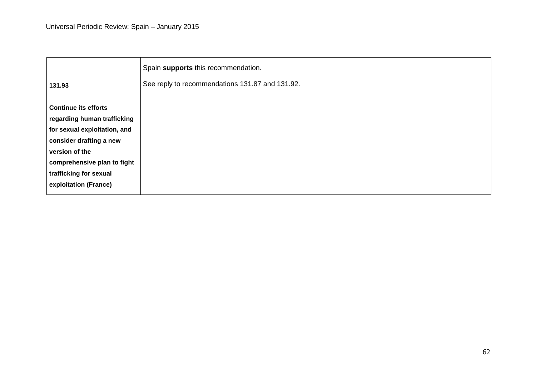|                              | Spain supports this recommendation.             |
|------------------------------|-------------------------------------------------|
| 131.93                       | See reply to recommendations 131.87 and 131.92. |
| <b>Continue its efforts</b>  |                                                 |
| regarding human trafficking  |                                                 |
| for sexual exploitation, and |                                                 |
| consider drafting a new      |                                                 |
| version of the               |                                                 |
| comprehensive plan to fight  |                                                 |
| trafficking for sexual       |                                                 |
| exploitation (France)        |                                                 |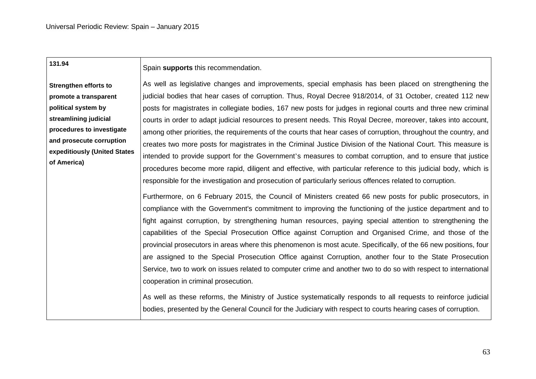| 131.94                       | Spain supports this recommendation.                                                                                                                                                                                                                                                                                                                                                                                                                                                                                                                                                                                                                                                                                                                                                                                                       |
|------------------------------|-------------------------------------------------------------------------------------------------------------------------------------------------------------------------------------------------------------------------------------------------------------------------------------------------------------------------------------------------------------------------------------------------------------------------------------------------------------------------------------------------------------------------------------------------------------------------------------------------------------------------------------------------------------------------------------------------------------------------------------------------------------------------------------------------------------------------------------------|
| <b>Strengthen efforts to</b> | As well as legislative changes and improvements, special emphasis has been placed on strengthening the                                                                                                                                                                                                                                                                                                                                                                                                                                                                                                                                                                                                                                                                                                                                    |
| promote a transparent        | judicial bodies that hear cases of corruption. Thus, Royal Decree 918/2014, of 31 October, created 112 new                                                                                                                                                                                                                                                                                                                                                                                                                                                                                                                                                                                                                                                                                                                                |
| political system by          | posts for magistrates in collegiate bodies, 167 new posts for judges in regional courts and three new criminal                                                                                                                                                                                                                                                                                                                                                                                                                                                                                                                                                                                                                                                                                                                            |
| streamlining judicial        | courts in order to adapt judicial resources to present needs. This Royal Decree, moreover, takes into account,                                                                                                                                                                                                                                                                                                                                                                                                                                                                                                                                                                                                                                                                                                                            |
| procedures to investigate    | among other priorities, the requirements of the courts that hear cases of corruption, throughout the country, and                                                                                                                                                                                                                                                                                                                                                                                                                                                                                                                                                                                                                                                                                                                         |
| and prosecute corruption     | creates two more posts for magistrates in the Criminal Justice Division of the National Court. This measure is                                                                                                                                                                                                                                                                                                                                                                                                                                                                                                                                                                                                                                                                                                                            |
| expeditiously (United States | intended to provide support for the Government's measures to combat corruption, and to ensure that justice                                                                                                                                                                                                                                                                                                                                                                                                                                                                                                                                                                                                                                                                                                                                |
| of America)                  | procedures become more rapid, diligent and effective, with particular reference to this judicial body, which is                                                                                                                                                                                                                                                                                                                                                                                                                                                                                                                                                                                                                                                                                                                           |
|                              | responsible for the investigation and prosecution of particularly serious offences related to corruption.                                                                                                                                                                                                                                                                                                                                                                                                                                                                                                                                                                                                                                                                                                                                 |
|                              | Furthermore, on 6 February 2015, the Council of Ministers created 66 new posts for public prosecutors, in<br>compliance with the Government's commitment to improving the functioning of the justice department and to<br>fight against corruption, by strengthening human resources, paying special attention to strengthening the<br>capabilities of the Special Prosecution Office against Corruption and Organised Crime, and those of the<br>provincial prosecutors in areas where this phenomenon is most acute. Specifically, of the 66 new positions, four<br>are assigned to the Special Prosecution Office against Corruption, another four to the State Prosecution<br>Service, two to work on issues related to computer crime and another two to do so with respect to international<br>cooperation in criminal prosecution. |
|                              | As well as these reforms, the Ministry of Justice systematically responds to all requests to reinforce judicial<br>bodies, presented by the General Council for the Judiciary with respect to courts hearing cases of corruption.                                                                                                                                                                                                                                                                                                                                                                                                                                                                                                                                                                                                         |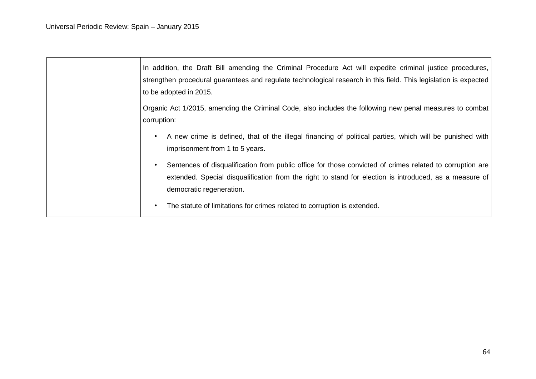| In addition, the Draft Bill amending the Criminal Procedure Act will expedite criminal justice procedures,<br>strengthen procedural guarantees and regulate technological research in this field. This legislation is expected<br>to be adopted in 2015. |
|----------------------------------------------------------------------------------------------------------------------------------------------------------------------------------------------------------------------------------------------------------|
| Organic Act 1/2015, amending the Criminal Code, also includes the following new penal measures to combat<br>corruption:                                                                                                                                  |
| A new crime is defined, that of the illegal financing of political parties, which will be punished with<br>imprisonment from 1 to 5 years.                                                                                                               |
| Sentences of disqualification from public office for those convicted of crimes related to corruption are<br>extended. Special disqualification from the right to stand for election is introduced, as a measure of<br>democratic regeneration.           |
| The statute of limitations for crimes related to corruption is extended.<br>٠                                                                                                                                                                            |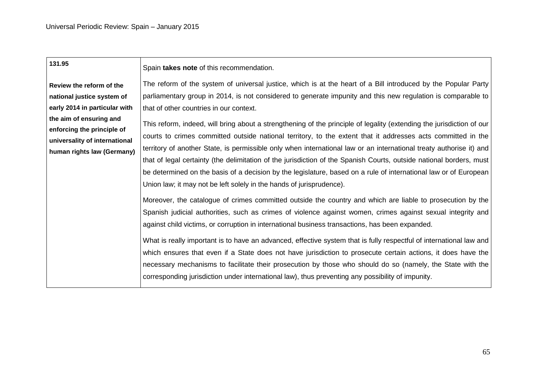| 131.95                                                                                                               | Spain takes note of this recommendation.                                                                                                                                                                                                                                                                                                                                                                                                                                                                                                                                                                                                                                        |
|----------------------------------------------------------------------------------------------------------------------|---------------------------------------------------------------------------------------------------------------------------------------------------------------------------------------------------------------------------------------------------------------------------------------------------------------------------------------------------------------------------------------------------------------------------------------------------------------------------------------------------------------------------------------------------------------------------------------------------------------------------------------------------------------------------------|
|                                                                                                                      |                                                                                                                                                                                                                                                                                                                                                                                                                                                                                                                                                                                                                                                                                 |
| Review the reform of the                                                                                             | The reform of the system of universal justice, which is at the heart of a Bill introduced by the Popular Party                                                                                                                                                                                                                                                                                                                                                                                                                                                                                                                                                                  |
| national justice system of                                                                                           | parliamentary group in 2014, is not considered to generate impunity and this new regulation is comparable to                                                                                                                                                                                                                                                                                                                                                                                                                                                                                                                                                                    |
| early 2014 in particular with                                                                                        | that of other countries in our context.                                                                                                                                                                                                                                                                                                                                                                                                                                                                                                                                                                                                                                         |
| the aim of ensuring and<br>enforcing the principle of<br>universality of international<br>human rights law (Germany) | This reform, indeed, will bring about a strengthening of the principle of legality (extending the jurisdiction of our<br>courts to crimes committed outside national territory, to the extent that it addresses acts committed in the<br>territory of another State, is permissible only when international law or an international treaty authorise it) and<br>that of legal certainty (the delimitation of the jurisdiction of the Spanish Courts, outside national borders, must<br>be determined on the basis of a decision by the legislature, based on a rule of international law or of European<br>Union law; it may not be left solely in the hands of jurisprudence). |
|                                                                                                                      | Moreover, the catalogue of crimes committed outside the country and which are liable to prosecution by the<br>Spanish judicial authorities, such as crimes of violence against women, crimes against sexual integrity and<br>against child victims, or corruption in international business transactions, has been expanded.<br>What is really important is to have an advanced, effective system that is fully respectful of international law and                                                                                                                                                                                                                             |
|                                                                                                                      | which ensures that even if a State does not have jurisdiction to prosecute certain actions, it does have the<br>necessary mechanisms to facilitate their prosecution by those who should do so (namely, the State with the<br>corresponding jurisdiction under international law), thus preventing any possibility of impunity.                                                                                                                                                                                                                                                                                                                                                 |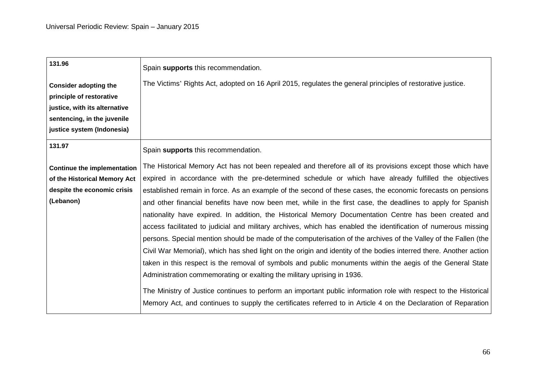| 131.96                             | Spain supports this recommendation.                                                                               |
|------------------------------------|-------------------------------------------------------------------------------------------------------------------|
| <b>Consider adopting the</b>       | The Victims' Rights Act, adopted on 16 April 2015, regulates the general principles of restorative justice.       |
| principle of restorative           |                                                                                                                   |
| justice, with its alternative      |                                                                                                                   |
| sentencing, in the juvenile        |                                                                                                                   |
| justice system (Indonesia)         |                                                                                                                   |
| 131.97                             | Spain supports this recommendation.                                                                               |
| <b>Continue the implementation</b> | The Historical Memory Act has not been repealed and therefore all of its provisions except those which have       |
| of the Historical Memory Act       | expired in accordance with the pre-determined schedule or which have already fulfilled the objectives             |
| despite the economic crisis        | established remain in force. As an example of the second of these cases, the economic forecasts on pensions       |
| (Lebanon)                          | and other financial benefits have now been met, while in the first case, the deadlines to apply for Spanish       |
|                                    | nationality have expired. In addition, the Historical Memory Documentation Centre has been created and            |
|                                    | access facilitated to judicial and military archives, which has enabled the identification of numerous missing    |
|                                    | persons. Special mention should be made of the computerisation of the archives of the Valley of the Fallen (the   |
|                                    | Civil War Memorial), which has shed light on the origin and identity of the bodies interred there. Another action |
|                                    | taken in this respect is the removal of symbols and public monuments within the aegis of the General State        |
|                                    | Administration commemorating or exalting the military uprising in 1936.                                           |
|                                    | The Ministry of Justice continues to perform an important public information role with respect to the Historical  |
|                                    | Memory Act, and continues to supply the certificates referred to in Article 4 on the Declaration of Reparation    |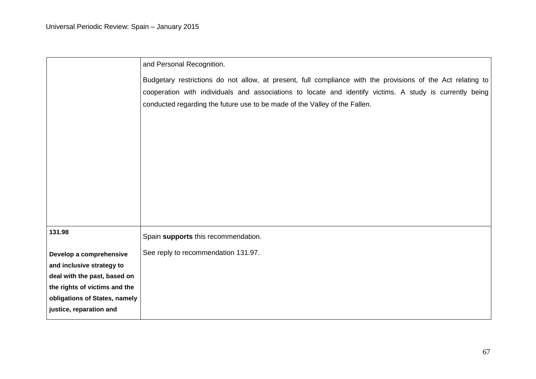|                                                           | and Personal Recognition.                                                                                   |
|-----------------------------------------------------------|-------------------------------------------------------------------------------------------------------------|
|                                                           | Budgetary restrictions do not allow, at present, full compliance with the provisions of the Act relating to |
|                                                           | cooperation with individuals and associations to locate and identify victims. A study is currently being    |
|                                                           | conducted regarding the future use to be made of the Valley of the Fallen.                                  |
|                                                           |                                                                                                             |
|                                                           |                                                                                                             |
|                                                           |                                                                                                             |
|                                                           |                                                                                                             |
|                                                           |                                                                                                             |
|                                                           |                                                                                                             |
|                                                           |                                                                                                             |
|                                                           |                                                                                                             |
| 131.98                                                    | Spain supports this recommendation.                                                                         |
|                                                           |                                                                                                             |
| Develop a comprehensive                                   | See reply to recommendation 131.97.                                                                         |
| and inclusive strategy to<br>deal with the past, based on |                                                                                                             |
| the rights of victims and the                             |                                                                                                             |
| obligations of States, namely                             |                                                                                                             |
| justice, reparation and                                   |                                                                                                             |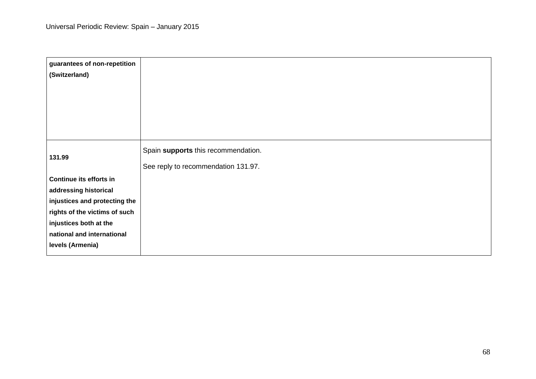| guarantees of non-repetition<br>(Switzerland)        |                                                                            |
|------------------------------------------------------|----------------------------------------------------------------------------|
| 131.99                                               | Spain supports this recommendation.<br>See reply to recommendation 131.97. |
| Continue its efforts in                              |                                                                            |
| addressing historical                                |                                                                            |
| injustices and protecting the                        |                                                                            |
| rights of the victims of such                        |                                                                            |
| injustices both at the<br>national and international |                                                                            |
| levels (Armenia)                                     |                                                                            |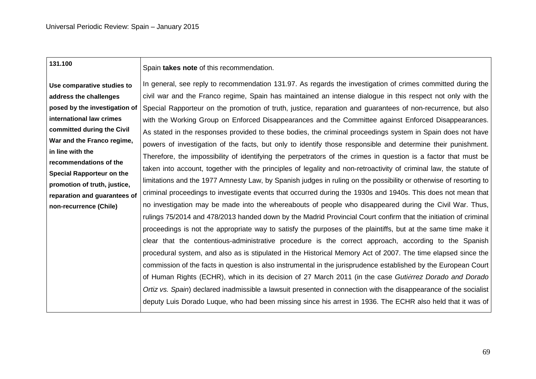| 131.100                                                      | Spain takes note of this recommendation.                                                                           |
|--------------------------------------------------------------|--------------------------------------------------------------------------------------------------------------------|
| Use comparative studies to                                   | In general, see reply to recommendation 131.97. As regards the investigation of crimes committed during the        |
| address the challenges                                       | civil war and the Franco regime, Spain has maintained an intense dialogue in this respect not only with the        |
| posed by the investigation of                                | Special Rapporteur on the promotion of truth, justice, reparation and guarantees of non-recurrence, but also       |
| international law crimes                                     | with the Working Group on Enforced Disappearances and the Committee against Enforced Disappearances.               |
| committed during the Civil                                   | As stated in the responses provided to these bodies, the criminal proceedings system in Spain does not have        |
| War and the Franco regime,                                   | powers of investigation of the facts, but only to identify those responsible and determine their punishment.       |
| in line with the                                             | Therefore, the impossibility of identifying the perpetrators of the crimes in question is a factor that must be    |
| recommendations of the                                       | taken into account, together with the principles of legality and non-retroactivity of criminal law, the statute of |
| <b>Special Rapporteur on the</b>                             | limitations and the 1977 Amnesty Law, by Spanish judges in ruling on the possibility or otherwise of resorting to  |
| promotion of truth, justice,<br>reparation and guarantees of | criminal proceedings to investigate events that occurred during the 1930s and 1940s. This does not mean that       |
| non-recurrence (Chile)                                       | no investigation may be made into the whereabouts of people who disappeared during the Civil War. Thus,            |
|                                                              | rulings 75/2014 and 478/2013 handed down by the Madrid Provincial Court confirm that the initiation of criminal    |
|                                                              | proceedings is not the appropriate way to satisfy the purposes of the plaintiffs, but at the same time make it     |
|                                                              | clear that the contentious-administrative procedure is the correct approach, according to the Spanish              |
|                                                              | procedural system, and also as is stipulated in the Historical Memory Act of 2007. The time elapsed since the      |
|                                                              | commission of the facts in question is also instrumental in the jurisprudence established by the European Court    |
|                                                              | of Human Rights (ECHR), which in its decision of 27 March 2011 (in the case Gutiérrez Dorado and Dorado            |
|                                                              | Ortiz vs. Spain) declared inadmissible a lawsuit presented in connection with the disappearance of the socialist   |
|                                                              | deputy Luis Dorado Luque, who had been missing since his arrest in 1936. The ECHR also held that it was of         |
|                                                              |                                                                                                                    |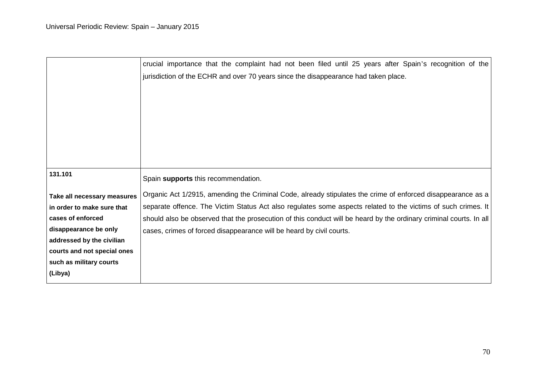| crucial importance that the complaint had not been filed until 25 years after Spain's recognition of the           |
|--------------------------------------------------------------------------------------------------------------------|
| jurisdiction of the ECHR and over 70 years since the disappearance had taken place.                                |
|                                                                                                                    |
|                                                                                                                    |
|                                                                                                                    |
|                                                                                                                    |
|                                                                                                                    |
|                                                                                                                    |
|                                                                                                                    |
| Spain supports this recommendation.                                                                                |
| Organic Act 1/2915, amending the Criminal Code, already stipulates the crime of enforced disappearance as a        |
| separate offence. The Victim Status Act also regulates some aspects related to the victims of such crimes. It      |
| should also be observed that the prosecution of this conduct will be heard by the ordinary criminal courts. In all |
| cases, crimes of forced disappearance will be heard by civil courts.                                               |
|                                                                                                                    |
|                                                                                                                    |
|                                                                                                                    |
|                                                                                                                    |
|                                                                                                                    |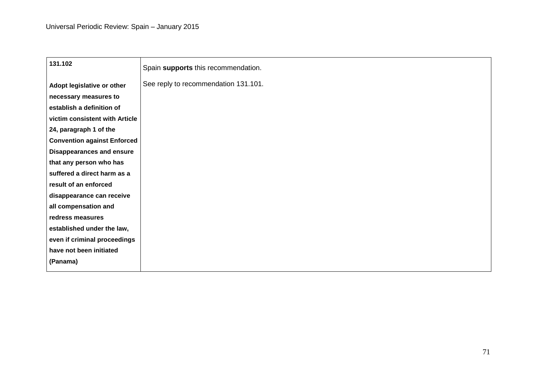| 131.102                            | Spain supports this recommendation.  |
|------------------------------------|--------------------------------------|
| Adopt legislative or other         | See reply to recommendation 131.101. |
| necessary measures to              |                                      |
| establish a definition of          |                                      |
| victim consistent with Article     |                                      |
| 24, paragraph 1 of the             |                                      |
| <b>Convention against Enforced</b> |                                      |
| <b>Disappearances and ensure</b>   |                                      |
| that any person who has            |                                      |
| suffered a direct harm as a        |                                      |
| result of an enforced              |                                      |
| disappearance can receive          |                                      |
| all compensation and               |                                      |
| redress measures                   |                                      |
| established under the law,         |                                      |
| even if criminal proceedings       |                                      |
| have not been initiated            |                                      |
| (Panama)                           |                                      |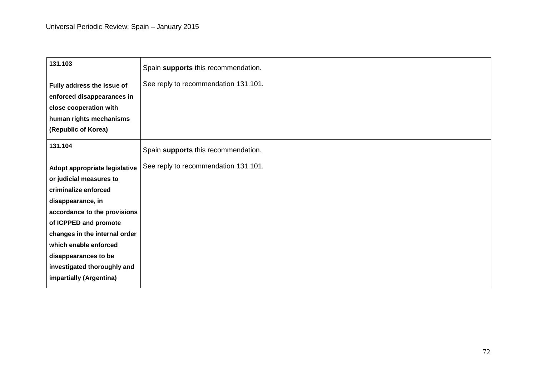| 131.103                       | Spain supports this recommendation.  |
|-------------------------------|--------------------------------------|
| Fully address the issue of    | See reply to recommendation 131.101. |
| enforced disappearances in    |                                      |
| close cooperation with        |                                      |
| human rights mechanisms       |                                      |
| (Republic of Korea)           |                                      |
| 131.104                       | Spain supports this recommendation.  |
| Adopt appropriate legislative | See reply to recommendation 131.101. |
| or judicial measures to       |                                      |
| criminalize enforced          |                                      |
| disappearance, in             |                                      |
| accordance to the provisions  |                                      |
| of ICPPED and promote         |                                      |
| changes in the internal order |                                      |
| which enable enforced         |                                      |
| disappearances to be          |                                      |
| investigated thoroughly and   |                                      |
| impartially (Argentina)       |                                      |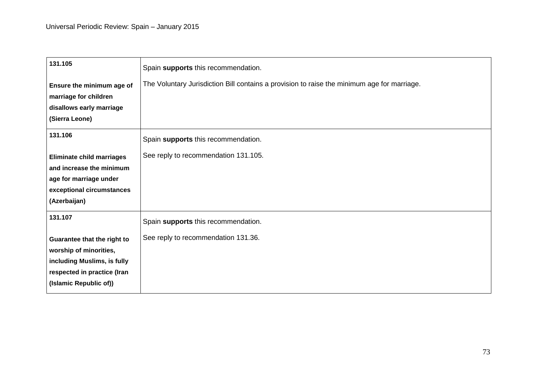| Spain supports this recommendation.                                                         |
|---------------------------------------------------------------------------------------------|
| The Voluntary Jurisdiction Bill contains a provision to raise the minimum age for marriage. |
|                                                                                             |
|                                                                                             |
|                                                                                             |
| Spain supports this recommendation.                                                         |
| See reply to recommendation 131.105.                                                        |
|                                                                                             |
|                                                                                             |
|                                                                                             |
|                                                                                             |
| Spain supports this recommendation.                                                         |
| See reply to recommendation 131.36.                                                         |
|                                                                                             |
|                                                                                             |
|                                                                                             |
|                                                                                             |
|                                                                                             |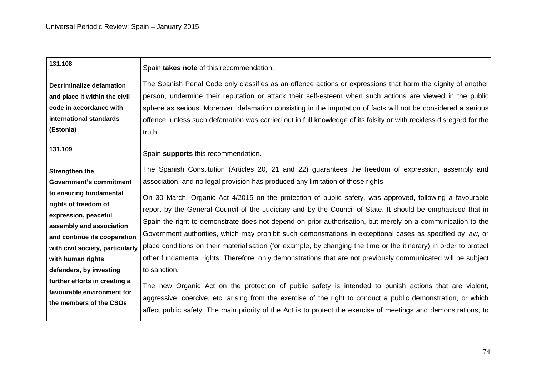| 131.108                                                                                                                                                                                                                 | Spain takes note of this recommendation.                                                                                                                                                                                                                                                                                                                                                                                                                                                                                                                                                                                                                                                                     |
|-------------------------------------------------------------------------------------------------------------------------------------------------------------------------------------------------------------------------|--------------------------------------------------------------------------------------------------------------------------------------------------------------------------------------------------------------------------------------------------------------------------------------------------------------------------------------------------------------------------------------------------------------------------------------------------------------------------------------------------------------------------------------------------------------------------------------------------------------------------------------------------------------------------------------------------------------|
| Decriminalize defamation                                                                                                                                                                                                | The Spanish Penal Code only classifies as an offence actions or expressions that harm the dignity of another                                                                                                                                                                                                                                                                                                                                                                                                                                                                                                                                                                                                 |
| and place it within the civil                                                                                                                                                                                           | person, undermine their reputation or attack their self-esteem when such actions are viewed in the public                                                                                                                                                                                                                                                                                                                                                                                                                                                                                                                                                                                                    |
| code in accordance with                                                                                                                                                                                                 | sphere as serious. Moreover, defamation consisting in the imputation of facts will not be considered a serious                                                                                                                                                                                                                                                                                                                                                                                                                                                                                                                                                                                               |
| international standards                                                                                                                                                                                                 | offence, unless such defamation was carried out in full knowledge of its falsity or with reckless disregard for the                                                                                                                                                                                                                                                                                                                                                                                                                                                                                                                                                                                          |
| (Estonia)                                                                                                                                                                                                               | truth.                                                                                                                                                                                                                                                                                                                                                                                                                                                                                                                                                                                                                                                                                                       |
| 131.109                                                                                                                                                                                                                 | Spain supports this recommendation.                                                                                                                                                                                                                                                                                                                                                                                                                                                                                                                                                                                                                                                                          |
| <b>Strengthen the</b>                                                                                                                                                                                                   | The Spanish Constitution (Articles 20, 21 and 22) guarantees the freedom of expression, assembly and                                                                                                                                                                                                                                                                                                                                                                                                                                                                                                                                                                                                         |
| <b>Government's commitment</b>                                                                                                                                                                                          | association, and no legal provision has produced any limitation of those rights.                                                                                                                                                                                                                                                                                                                                                                                                                                                                                                                                                                                                                             |
| to ensuring fundamental<br>rights of freedom of<br>expression, peaceful<br>assembly and association<br>and continue its cooperation<br>with civil society, particularly<br>with human rights<br>defenders, by investing | On 30 March, Organic Act 4/2015 on the protection of public safety, was approved, following a favourable<br>report by the General Council of the Judiciary and by the Council of State. It should be emphasised that in<br>Spain the right to demonstrate does not depend on prior authorisation, but merely on a communication to the<br>Government authorities, which may prohibit such demonstrations in exceptional cases as specified by law, or<br>place conditions on their materialisation (for example, by changing the time or the itinerary) in order to protect<br>other fundamental rights. Therefore, only demonstrations that are not previously communicated will be subject<br>to sanction. |
| further efforts in creating a                                                                                                                                                                                           | The new Organic Act on the protection of public safety is intended to punish actions that are violent,                                                                                                                                                                                                                                                                                                                                                                                                                                                                                                                                                                                                       |
| favourable environment for                                                                                                                                                                                              | aggressive, coercive, etc. arising from the exercise of the right to conduct a public demonstration, or which                                                                                                                                                                                                                                                                                                                                                                                                                                                                                                                                                                                                |
| the members of the CSOs                                                                                                                                                                                                 | affect public safety. The main priority of the Act is to protect the exercise of meetings and demonstrations, to                                                                                                                                                                                                                                                                                                                                                                                                                                                                                                                                                                                             |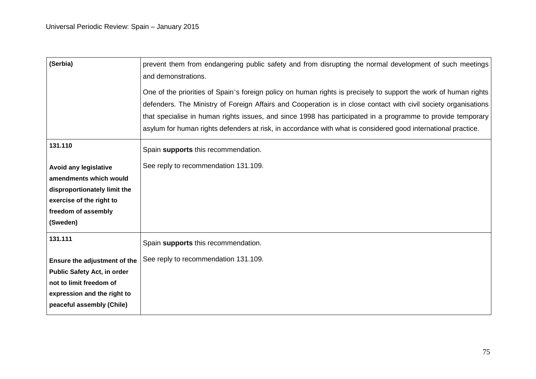| (Serbia)                           | prevent them from endangering public safety and from disrupting the normal development of such meetings<br>and demonstrations. |
|------------------------------------|--------------------------------------------------------------------------------------------------------------------------------|
|                                    | One of the priorities of Spain's foreign policy on human rights is precisely to support the work of human rights               |
|                                    | defenders. The Ministry of Foreign Affairs and Cooperation is in close contact with civil society organisations                |
|                                    | that specialise in human rights issues, and since 1998 has participated in a programme to provide temporary                    |
|                                    | asylum for human rights defenders at risk, in accordance with what is considered good international practice.                  |
| 131.110                            | Spain supports this recommendation.                                                                                            |
| <b>Avoid any legislative</b>       | See reply to recommendation 131.109.                                                                                           |
| amendments which would             |                                                                                                                                |
| disproportionately limit the       |                                                                                                                                |
| exercise of the right to           |                                                                                                                                |
| freedom of assembly                |                                                                                                                                |
| (Sweden)                           |                                                                                                                                |
| 131.111                            | Spain supports this recommendation.                                                                                            |
| Ensure the adjustment of the       | See reply to recommendation 131.109.                                                                                           |
| <b>Public Safety Act, in order</b> |                                                                                                                                |
| not to limit freedom of            |                                                                                                                                |
| expression and the right to        |                                                                                                                                |
| peaceful assembly (Chile)          |                                                                                                                                |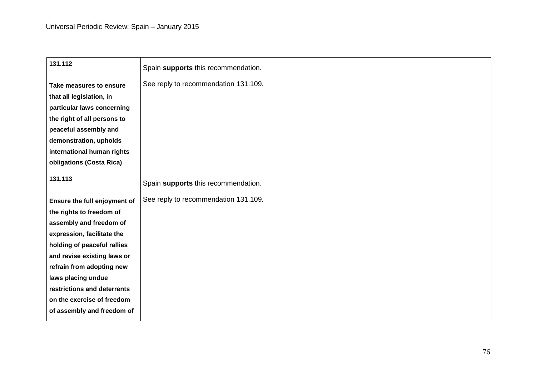| 131.112                      | Spain supports this recommendation.  |
|------------------------------|--------------------------------------|
| Take measures to ensure      | See reply to recommendation 131.109. |
| that all legislation, in     |                                      |
| particular laws concerning   |                                      |
| the right of all persons to  |                                      |
| peaceful assembly and        |                                      |
| demonstration, upholds       |                                      |
| international human rights   |                                      |
| obligations (Costa Rica)     |                                      |
| 131.113                      | Spain supports this recommendation.  |
| Ensure the full enjoyment of | See reply to recommendation 131.109. |
| the rights to freedom of     |                                      |
| assembly and freedom of      |                                      |
| expression, facilitate the   |                                      |
| holding of peaceful rallies  |                                      |
| and revise existing laws or  |                                      |
| refrain from adopting new    |                                      |
| laws placing undue           |                                      |
| restrictions and deterrents  |                                      |
| on the exercise of freedom   |                                      |
| of assembly and freedom of   |                                      |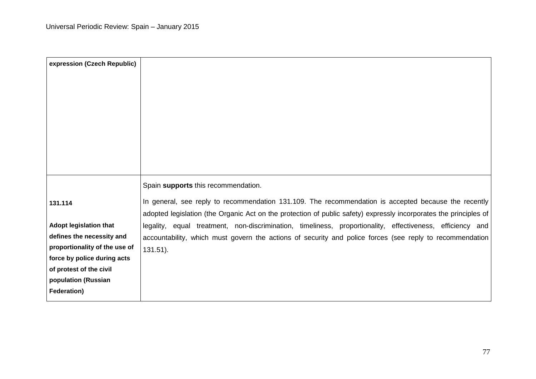| expression (Czech Republic)   |                                                                                                                   |
|-------------------------------|-------------------------------------------------------------------------------------------------------------------|
|                               |                                                                                                                   |
|                               |                                                                                                                   |
|                               |                                                                                                                   |
|                               |                                                                                                                   |
|                               |                                                                                                                   |
|                               |                                                                                                                   |
|                               |                                                                                                                   |
|                               |                                                                                                                   |
|                               | Spain supports this recommendation.                                                                               |
|                               | In general, see reply to recommendation 131.109. The recommendation is accepted because the recently              |
| 131.114                       | adopted legislation (the Organic Act on the protection of public safety) expressly incorporates the principles of |
| <b>Adopt legislation that</b> | legality, equal treatment, non-discrimination, timeliness, proportionality, effectiveness, efficiency and         |
| defines the necessity and     | accountability, which must govern the actions of security and police forces (see reply to recommendation          |
| proportionality of the use of | $131.51$ ).                                                                                                       |
| force by police during acts   |                                                                                                                   |
| of protest of the civil       |                                                                                                                   |
| population (Russian           |                                                                                                                   |
| Federation)                   |                                                                                                                   |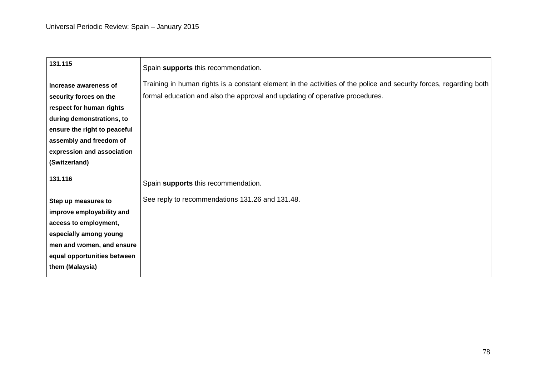| 131.115                      | Spain supports this recommendation.                                                                                |
|------------------------------|--------------------------------------------------------------------------------------------------------------------|
| Increase awareness of        | Training in human rights is a constant element in the activities of the police and security forces, regarding both |
| security forces on the       | formal education and also the approval and updating of operative procedures.                                       |
| respect for human rights     |                                                                                                                    |
| during demonstrations, to    |                                                                                                                    |
| ensure the right to peaceful |                                                                                                                    |
| assembly and freedom of      |                                                                                                                    |
| expression and association   |                                                                                                                    |
| (Switzerland)                |                                                                                                                    |
| 131.116                      | Spain supports this recommendation.                                                                                |
| Step up measures to          | See reply to recommendations 131.26 and 131.48.                                                                    |
| improve employability and    |                                                                                                                    |
| access to employment,        |                                                                                                                    |
| especially among young       |                                                                                                                    |
| men and women, and ensure    |                                                                                                                    |
| equal opportunities between  |                                                                                                                    |
| them (Malaysia)              |                                                                                                                    |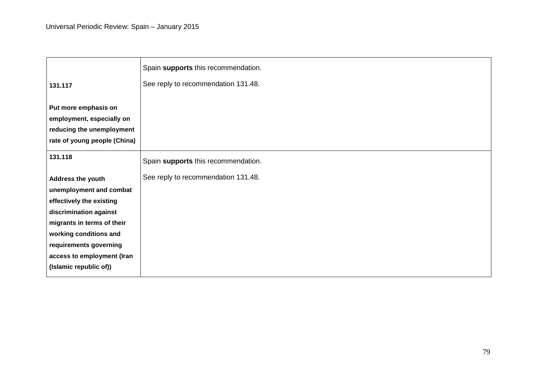|                              | Spain supports this recommendation. |
|------------------------------|-------------------------------------|
| 131.117                      | See reply to recommendation 131.48. |
|                              |                                     |
| Put more emphasis on         |                                     |
| employment, especially on    |                                     |
| reducing the unemployment    |                                     |
| rate of young people (China) |                                     |
| 131.118                      |                                     |
|                              | Spain supports this recommendation. |
| Address the youth            | See reply to recommendation 131.48. |
| unemployment and combat      |                                     |
| effectively the existing     |                                     |
| discrimination against       |                                     |
| migrants in terms of their   |                                     |
| working conditions and       |                                     |
| requirements governing       |                                     |
| access to employment (Iran   |                                     |
| (Islamic republic of))       |                                     |
|                              |                                     |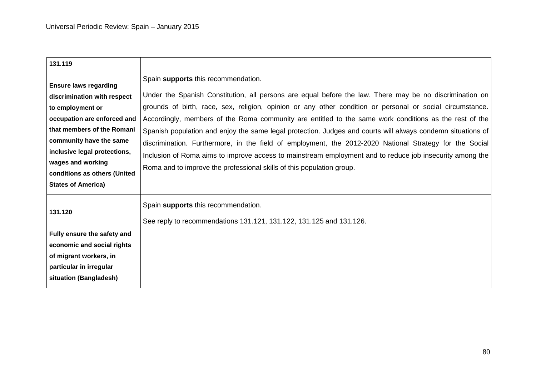| 131.119<br>Spain supports this recommendation.<br><b>Ensure laws regarding</b><br>discrimination with respect<br>to employment or<br>occupation are enforced and<br>that members of the Romani<br>community have the same<br>inclusive legal protections,<br>wages and working<br>Roma and to improve the professional skills of this population group.<br>conditions as others (United<br><b>States of America)</b><br>Spain supports this recommendation.<br>131.120<br>See reply to recommendations 131.121, 131.122, 131.125 and 131.126.<br>Fully ensure the safety and |                            |                                                                                                                                                                                                                                                                                                                                                                                                                                                                                                                                                                                                                                                                      |
|------------------------------------------------------------------------------------------------------------------------------------------------------------------------------------------------------------------------------------------------------------------------------------------------------------------------------------------------------------------------------------------------------------------------------------------------------------------------------------------------------------------------------------------------------------------------------|----------------------------|----------------------------------------------------------------------------------------------------------------------------------------------------------------------------------------------------------------------------------------------------------------------------------------------------------------------------------------------------------------------------------------------------------------------------------------------------------------------------------------------------------------------------------------------------------------------------------------------------------------------------------------------------------------------|
|                                                                                                                                                                                                                                                                                                                                                                                                                                                                                                                                                                              |                            |                                                                                                                                                                                                                                                                                                                                                                                                                                                                                                                                                                                                                                                                      |
|                                                                                                                                                                                                                                                                                                                                                                                                                                                                                                                                                                              |                            | Under the Spanish Constitution, all persons are equal before the law. There may be no discrimination on<br>grounds of birth, race, sex, religion, opinion or any other condition or personal or social circumstance.<br>Accordingly, members of the Roma community are entitled to the same work conditions as the rest of the<br>Spanish population and enjoy the same legal protection. Judges and courts will always condemn situations of<br>discrimination. Furthermore, in the field of employment, the 2012-2020 National Strategy for the Social<br>Inclusion of Roma aims to improve access to mainstream employment and to reduce job insecurity among the |
|                                                                                                                                                                                                                                                                                                                                                                                                                                                                                                                                                                              | economic and social rights |                                                                                                                                                                                                                                                                                                                                                                                                                                                                                                                                                                                                                                                                      |
| of migrant workers, in<br>particular in irregular<br>situation (Bangladesh)                                                                                                                                                                                                                                                                                                                                                                                                                                                                                                  |                            |                                                                                                                                                                                                                                                                                                                                                                                                                                                                                                                                                                                                                                                                      |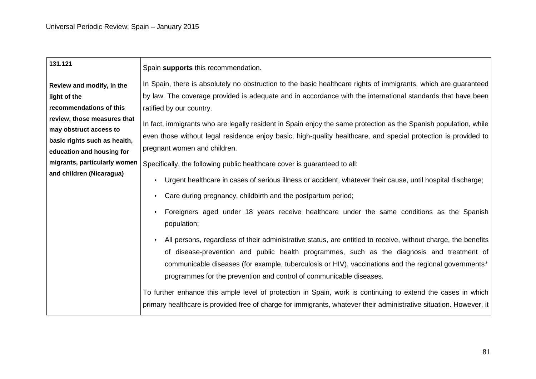| 131.121                      | Spain supports this recommendation.                                                                                                                                                                                                                                                                                                                                                        |
|------------------------------|--------------------------------------------------------------------------------------------------------------------------------------------------------------------------------------------------------------------------------------------------------------------------------------------------------------------------------------------------------------------------------------------|
| Review and modify, in the    | In Spain, there is absolutely no obstruction to the basic healthcare rights of immigrants, which are guaranteed                                                                                                                                                                                                                                                                            |
| light of the                 | by law. The coverage provided is adequate and in accordance with the international standards that have been                                                                                                                                                                                                                                                                                |
| recommendations of this      | ratified by our country.                                                                                                                                                                                                                                                                                                                                                                   |
| review, those measures that  | In fact, immigrants who are legally resident in Spain enjoy the same protection as the Spanish population, while                                                                                                                                                                                                                                                                           |
| may obstruct access to       | even those without legal residence enjoy basic, high-quality healthcare, and special protection is provided to                                                                                                                                                                                                                                                                             |
| basic rights such as health, | pregnant women and children.                                                                                                                                                                                                                                                                                                                                                               |
| education and housing for    |                                                                                                                                                                                                                                                                                                                                                                                            |
| migrants, particularly women | Specifically, the following public healthcare cover is guaranteed to all:                                                                                                                                                                                                                                                                                                                  |
| and children (Nicaragua)     | Urgent healthcare in cases of serious illness or accident, whatever their cause, until hospital discharge;                                                                                                                                                                                                                                                                                 |
|                              | Care during pregnancy, childbirth and the postpartum period;                                                                                                                                                                                                                                                                                                                               |
|                              | Foreigners aged under 18 years receive healthcare under the same conditions as the Spanish<br>population;                                                                                                                                                                                                                                                                                  |
|                              | All persons, regardless of their administrative status, are entitled to receive, without charge, the benefits<br>of disease-prevention and public health programmes, such as the diagnosis and treatment of<br>communicable diseases (for example, tuberculosis or HIV), vaccinations and the regional governments'<br>programmes for the prevention and control of communicable diseases. |
|                              | To further enhance this ample level of protection in Spain, work is continuing to extend the cases in which<br>primary healthcare is provided free of charge for immigrants, whatever their administrative situation. However, it                                                                                                                                                          |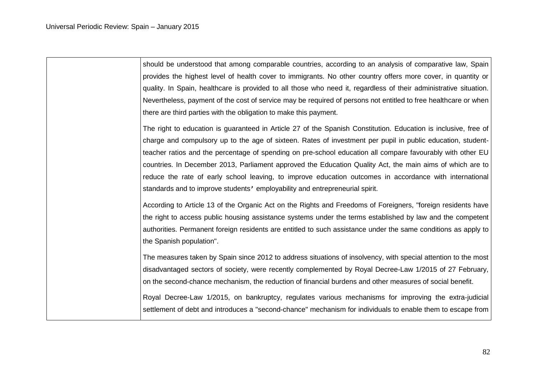should be understood that among comparable countries, according to an analysis of comparative law, Spain provides the highest level of health cover to immigrants. No other country offers more cover, in quantity or quality. In Spain, healthcare is provided to all those who need it, regardless of their administrative situation. Nevertheless, payment of the cost of service may be required of persons not entitled to free healthcare or when there are third parties with the obligation to make this payment.

The right to education is guaranteed in Article 27 of the Spanish Constitution. Education is inclusive, free of charge and compulsory up to the age of sixteen. Rates of investment per pupil in public education, studentteacher ratios and the percentage of spending on pre-school education all compare favourably with other EU countries. In December 2013, Parliament approved the Education Quality Act, the main aims of which are to reduce the rate of early school leaving, to improve education outcomes in accordance with international standards and to improve students' employability and entrepreneurial spirit.

According to Article 13 of the Organic Act on the Rights and Freedoms of Foreigners, "foreign residents have the right to access public housing assistance systems under the terms established by law and the competent authorities. Permanent foreign residents are entitled to such assistance under the same conditions as apply to the Spanish population".

The measures taken by Spain since 2012 to address situations of insolvency, with special attention to the most disadvantaged sectors of society, were recently complemented by Royal Decree-Law 1/2015 of 27 February, on the second-chance mechanism, the reduction of financial burdens and other measures of social benefit.

Royal Decree-Law 1/2015, on bankruptcy, regulates various mechanisms for improving the extra-judicial settlement of debt and introduces a "second-chance" mechanism for individuals to enable them to escape from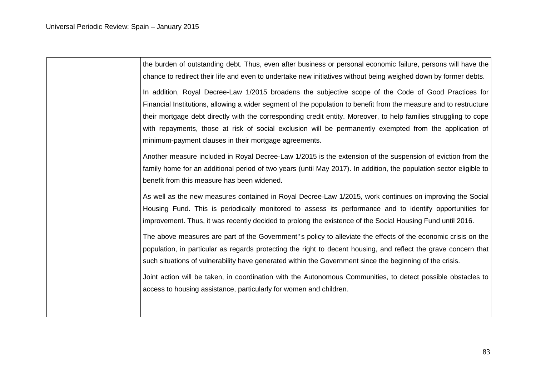the burden of outstanding debt. Thus, even after business or personal economic failure, persons will have the chance to redirect their life and even to undertake new initiatives without being weighed down by former debts. In addition, Royal Decree-Law 1/2015 broadens the subjective scope of the Code of Good Practices for Financial Institutions, allowing a wider segment of the population to benefit from the measure and to restructure their mortgage debt directly with the corresponding credit entity. Moreover, to help families struggling to cope with repayments, those at risk of social exclusion will be permanently exempted from the application of minimum-payment clauses in their mortgage agreements. Another measure included in Royal Decree-Law 1/2015 is the extension of the suspension of eviction from the family home for an additional period of two years (until May 2017). In addition, the population sector eligible to benefit from this measure has been widened. As well as the new measures contained in Royal Decree-Law 1/2015, work continues on improving the Social Housing Fund. This is periodically monitored to assess its performance and to identify opportunities for improvement. Thus, it was recently decided to prolong the existence of the Social Housing Fund until 2016. The above measures are part of the Government's policy to alleviate the effects of the economic crisis on the population, in particular as regards protecting the right to decent housing, and reflect the grave concern that such situations of vulnerability have generated within the Government since the beginning of the crisis.

Joint action will be taken, in coordination with the Autonomous Communities, to detect possible obstacles to access to housing assistance, particularly for women and children.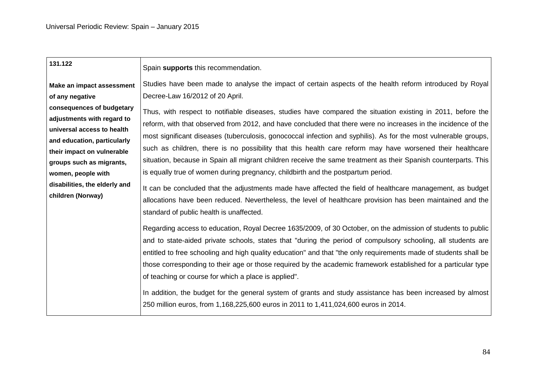| 131.122                                                                                                                                                                                                                                                    | Spain supports this recommendation.                                                                                                                                                                                                                                                                                                                                                                                                                                                                                                                                                                                                                                                                                                                                                                                                                                                                                                        |
|------------------------------------------------------------------------------------------------------------------------------------------------------------------------------------------------------------------------------------------------------------|--------------------------------------------------------------------------------------------------------------------------------------------------------------------------------------------------------------------------------------------------------------------------------------------------------------------------------------------------------------------------------------------------------------------------------------------------------------------------------------------------------------------------------------------------------------------------------------------------------------------------------------------------------------------------------------------------------------------------------------------------------------------------------------------------------------------------------------------------------------------------------------------------------------------------------------------|
| Make an impact assessment                                                                                                                                                                                                                                  | Studies have been made to analyse the impact of certain aspects of the health reform introduced by Royal                                                                                                                                                                                                                                                                                                                                                                                                                                                                                                                                                                                                                                                                                                                                                                                                                                   |
| of any negative                                                                                                                                                                                                                                            | Decree-Law 16/2012 of 20 April.                                                                                                                                                                                                                                                                                                                                                                                                                                                                                                                                                                                                                                                                                                                                                                                                                                                                                                            |
| consequences of budgetary<br>adjustments with regard to<br>universal access to health<br>and education, particularly<br>their impact on vulnerable<br>groups such as migrants,<br>women, people with<br>disabilities, the elderly and<br>children (Norway) | Thus, with respect to notifiable diseases, studies have compared the situation existing in 2011, before the<br>reform, with that observed from 2012, and have concluded that there were no increases in the incidence of the<br>most significant diseases (tuberculosis, gonococcal infection and syphilis). As for the most vulnerable groups,<br>such as children, there is no possibility that this health care reform may have worsened their healthcare<br>situation, because in Spain all migrant children receive the same treatment as their Spanish counterparts. This<br>is equally true of women during pregnancy, childbirth and the postpartum period.<br>It can be concluded that the adjustments made have affected the field of healthcare management, as budget<br>allocations have been reduced. Nevertheless, the level of healthcare provision has been maintained and the<br>standard of public health is unaffected. |
|                                                                                                                                                                                                                                                            | Regarding access to education, Royal Decree 1635/2009, of 30 October, on the admission of students to public<br>and to state-aided private schools, states that "during the period of compulsory schooling, all students are<br>entitled to free schooling and high quality education" and that "the only requirements made of students shall be<br>those corresponding to their age or those required by the academic framework established for a particular type<br>of teaching or course for which a place is applied".<br>In addition, the budget for the general system of grants and study assistance has been increased by almost<br>250 million euros, from 1,168,225,600 euros in 2011 to 1,411,024,600 euros in 2014.                                                                                                                                                                                                            |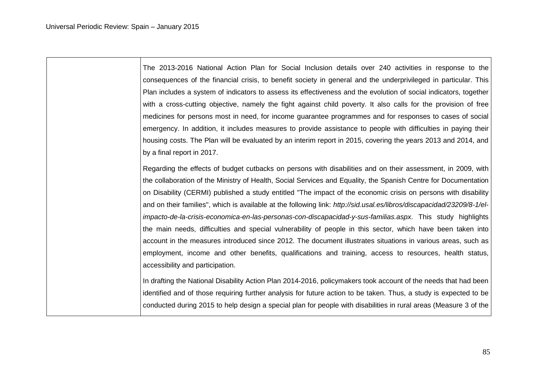The 2013-2016 National Action Plan for Social Inclusion details over 240 activities in response to the consequences of the financial crisis, to benefit society in general and the underprivileged in particular. This Plan includes a system of indicators to assess its effectiveness and the evolution of social indicators, together with a cross-cutting objective, namely the fight against child poverty. It also calls for the provision of free medicines for persons most in need, for income guarantee programmes and for responses to cases of social emergency. In addition, it includes measures to provide assistance to people with difficulties in paying their housing costs. The Plan will be evaluated by an interim report in 2015, covering the years 2013 and 2014, and by a final report in 2017.

Regarding the effects of budget cutbacks on persons with disabilities and on their assessment, in 2009, with the collaboration of the Ministry of Health, Social Services and Equality, the Spanish Centre for Documentation on Disability (CERMI) published a study entitled "The impact of the economic crisis on persons with disability and on their families", which is available at the following link: *http://sid.usal.es/libros/discapacidad/23209/8-1/elimpacto-de-la-crisis-economica-en-las-personas-con-discapacidad-y-sus-familias.aspx*. This study highlights the main needs, difficulties and special vulnerability of people in this sector, which have been taken into account in the measures introduced since 2012. The document illustrates situations in various areas, such as employment, income and other benefits, qualifications and training, access to resources, health status, accessibility and participation.

In drafting the National Disability Action Plan 2014-2016, policymakers took account of the needs that had been identified and of those requiring further analysis for future action to be taken. Thus, a study is expected to be conducted during 2015 to help design a special plan for people with disabilities in rural areas (Measure 3 of the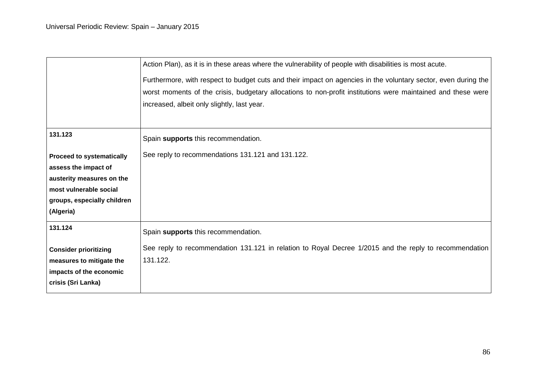|                                  | Action Plan), as it is in these areas where the vulnerability of people with disabilities is most acute.       |
|----------------------------------|----------------------------------------------------------------------------------------------------------------|
|                                  | Furthermore, with respect to budget cuts and their impact on agencies in the voluntary sector, even during the |
|                                  | worst moments of the crisis, budgetary allocations to non-profit institutions were maintained and these were   |
|                                  | increased, albeit only slightly, last year.                                                                    |
|                                  |                                                                                                                |
| 131.123                          | Spain supports this recommendation.                                                                            |
| <b>Proceed to systematically</b> | See reply to recommendations 131.121 and 131.122.                                                              |
| assess the impact of             |                                                                                                                |
| austerity measures on the        |                                                                                                                |
| most vulnerable social           |                                                                                                                |
| groups, especially children      |                                                                                                                |
| (Algeria)                        |                                                                                                                |
| 131.124                          | Spain supports this recommendation.                                                                            |
| <b>Consider prioritizing</b>     | See reply to recommendation 131.121 in relation to Royal Decree 1/2015 and the reply to recommendation         |
| measures to mitigate the         | 131.122.                                                                                                       |
| impacts of the economic          |                                                                                                                |
| crisis (Sri Lanka)               |                                                                                                                |
|                                  |                                                                                                                |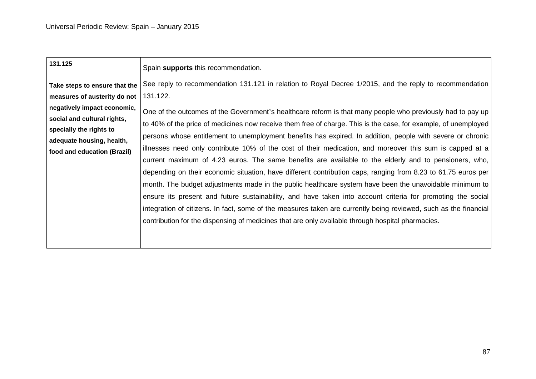| 131.125                                                                                                                                                                                                            | Spain supports this recommendation.                                                                                                                                                                                                                                                                                                                                                                                                                                                                                                                                                                                                                                                                                                                                                                                                                                                                                                                                                                                                                                                                                                                                                                                                                        |
|--------------------------------------------------------------------------------------------------------------------------------------------------------------------------------------------------------------------|------------------------------------------------------------------------------------------------------------------------------------------------------------------------------------------------------------------------------------------------------------------------------------------------------------------------------------------------------------------------------------------------------------------------------------------------------------------------------------------------------------------------------------------------------------------------------------------------------------------------------------------------------------------------------------------------------------------------------------------------------------------------------------------------------------------------------------------------------------------------------------------------------------------------------------------------------------------------------------------------------------------------------------------------------------------------------------------------------------------------------------------------------------------------------------------------------------------------------------------------------------|
| Take steps to ensure that the<br>measures of austerity do not<br>negatively impact economic,<br>social and cultural rights,<br>specially the rights to<br>adequate housing, health,<br>food and education (Brazil) | See reply to recommendation 131.121 in relation to Royal Decree 1/2015, and the reply to recommendation<br>131.122.<br>One of the outcomes of the Government's healthcare reform is that many people who previously had to pay up<br>to 40% of the price of medicines now receive them free of charge. This is the case, for example, of unemployed<br>persons whose entitlement to unemployment benefits has expired. In addition, people with severe or chronic<br>illnesses need only contribute 10% of the cost of their medication, and moreover this sum is capped at a<br>current maximum of 4.23 euros. The same benefits are available to the elderly and to pensioners, who,<br>depending on their economic situation, have different contribution caps, ranging from 8.23 to 61.75 euros per<br>month. The budget adjustments made in the public healthcare system have been the unavoidable minimum to<br>ensure its present and future sustainability, and have taken into account criteria for promoting the social<br>integration of citizens. In fact, some of the measures taken are currently being reviewed, such as the financial<br>contribution for the dispensing of medicines that are only available through hospital pharmacies. |
|                                                                                                                                                                                                                    |                                                                                                                                                                                                                                                                                                                                                                                                                                                                                                                                                                                                                                                                                                                                                                                                                                                                                                                                                                                                                                                                                                                                                                                                                                                            |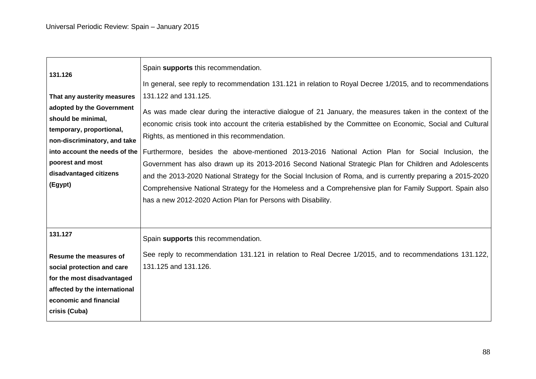| 131.126                                                                                                                                                                                                                              | Spain supports this recommendation.<br>In general, see reply to recommendation 131.121 in relation to Royal Decree 1/2015, and to recommendations                                                                                                                                                                                                                                                                                                                                                                                                                                                                                                                                                                                                                                                            |
|--------------------------------------------------------------------------------------------------------------------------------------------------------------------------------------------------------------------------------------|--------------------------------------------------------------------------------------------------------------------------------------------------------------------------------------------------------------------------------------------------------------------------------------------------------------------------------------------------------------------------------------------------------------------------------------------------------------------------------------------------------------------------------------------------------------------------------------------------------------------------------------------------------------------------------------------------------------------------------------------------------------------------------------------------------------|
| That any austerity measures<br>adopted by the Government<br>should be minimal,<br>temporary, proportional,<br>non-discriminatory, and take<br>into account the needs of the<br>poorest and most<br>disadvantaged citizens<br>(Egypt) | 131.122 and 131.125.<br>As was made clear during the interactive dialogue of 21 January, the measures taken in the context of the<br>economic crisis took into account the criteria established by the Committee on Economic, Social and Cultural<br>Rights, as mentioned in this recommendation.<br>Furthermore, besides the above-mentioned 2013-2016 National Action Plan for Social Inclusion, the<br>Government has also drawn up its 2013-2016 Second National Strategic Plan for Children and Adolescents<br>and the 2013-2020 National Strategy for the Social Inclusion of Roma, and is currently preparing a 2015-2020<br>Comprehensive National Strategy for the Homeless and a Comprehensive plan for Family Support. Spain also<br>has a new 2012-2020 Action Plan for Persons with Disability. |
| 131.127<br><b>Resume the measures of</b><br>social protection and care<br>for the most disadvantaged<br>affected by the international<br>economic and financial<br>crisis (Cuba)                                                     | Spain supports this recommendation.<br>See reply to recommendation 131.121 in relation to Real Decree 1/2015, and to recommendations 131.122,<br>131.125 and 131.126.                                                                                                                                                                                                                                                                                                                                                                                                                                                                                                                                                                                                                                        |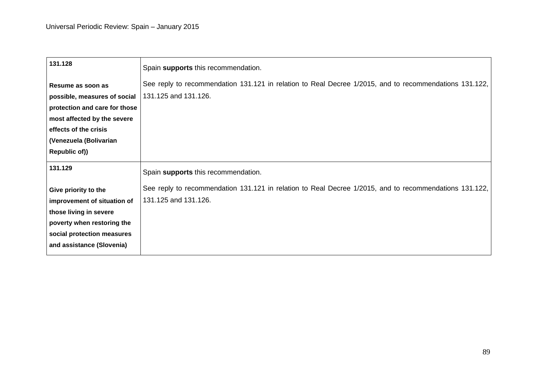| Spain supports this recommendation.                                                                    |
|--------------------------------------------------------------------------------------------------------|
| See reply to recommendation 131.121 in relation to Real Decree 1/2015, and to recommendations 131.122, |
| 131.125 and 131.126.                                                                                   |
|                                                                                                        |
|                                                                                                        |
|                                                                                                        |
|                                                                                                        |
|                                                                                                        |
| Spain supports this recommendation.                                                                    |
| See reply to recommendation 131.121 in relation to Real Decree 1/2015, and to recommendations 131.122, |
| 131.125 and 131.126.                                                                                   |
|                                                                                                        |
|                                                                                                        |
|                                                                                                        |
|                                                                                                        |
|                                                                                                        |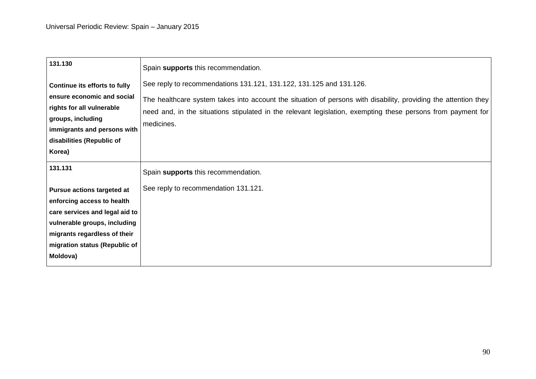| 131.130                                                                                                                                                                                                        | Spain supports this recommendation.                                                                                                                                                                                                                                                                                  |
|----------------------------------------------------------------------------------------------------------------------------------------------------------------------------------------------------------------|----------------------------------------------------------------------------------------------------------------------------------------------------------------------------------------------------------------------------------------------------------------------------------------------------------------------|
| Continue its efforts to fully<br>ensure economic and social<br>rights for all vulnerable<br>groups, including<br>immigrants and persons with<br>disabilities (Republic of<br>Korea)                            | See reply to recommendations 131.121, 131.122, 131.125 and 131.126.<br>The healthcare system takes into account the situation of persons with disability, providing the attention they<br>need and, in the situations stipulated in the relevant legislation, exempting these persons from payment for<br>medicines. |
| 131.131                                                                                                                                                                                                        | Spain supports this recommendation.                                                                                                                                                                                                                                                                                  |
| <b>Pursue actions targeted at</b><br>enforcing access to health<br>care services and legal aid to<br>vulnerable groups, including<br>migrants regardless of their<br>migration status (Republic of<br>Moldova) | See reply to recommendation 131.121.                                                                                                                                                                                                                                                                                 |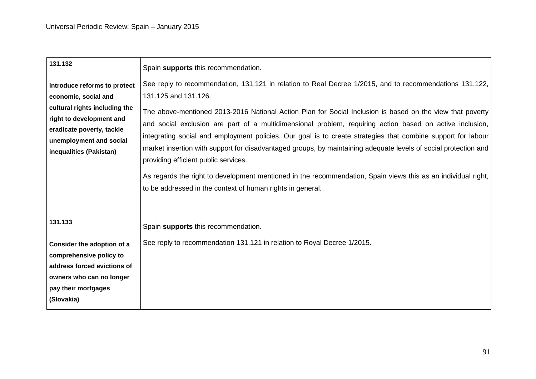| 131.132                                                                                                                                                                                              | Spain supports this recommendation.                                                                                                                                                                                                                                                                                                                                                                                                                                                                                                                                                                                                 |
|------------------------------------------------------------------------------------------------------------------------------------------------------------------------------------------------------|-------------------------------------------------------------------------------------------------------------------------------------------------------------------------------------------------------------------------------------------------------------------------------------------------------------------------------------------------------------------------------------------------------------------------------------------------------------------------------------------------------------------------------------------------------------------------------------------------------------------------------------|
| Introduce reforms to protect<br>economic, social and<br>cultural rights including the<br>right to development and<br>eradicate poverty, tackle<br>unemployment and social<br>inequalities (Pakistan) | See reply to recommendation, 131.121 in relation to Real Decree 1/2015, and to recommendations 131.122,<br>131.125 and 131.126.<br>The above-mentioned 2013-2016 National Action Plan for Social Inclusion is based on the view that poverty<br>and social exclusion are part of a multidimensional problem, requiring action based on active inclusion,<br>integrating social and employment policies. Our goal is to create strategies that combine support for labour<br>market insertion with support for disadvantaged groups, by maintaining adequate levels of social protection and<br>providing efficient public services. |
|                                                                                                                                                                                                      | As regards the right to development mentioned in the recommendation, Spain views this as an individual right,<br>to be addressed in the context of human rights in general.                                                                                                                                                                                                                                                                                                                                                                                                                                                         |
| 131.133                                                                                                                                                                                              | Spain supports this recommendation.                                                                                                                                                                                                                                                                                                                                                                                                                                                                                                                                                                                                 |
| Consider the adoption of a<br>comprehensive policy to<br>address forced evictions of<br>owners who can no longer<br>pay their mortgages<br>(Slovakia)                                                | See reply to recommendation 131.121 in relation to Royal Decree 1/2015.                                                                                                                                                                                                                                                                                                                                                                                                                                                                                                                                                             |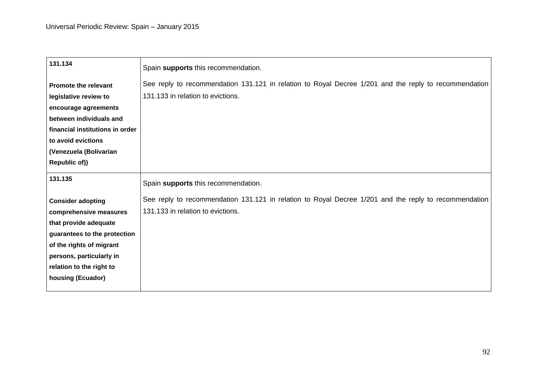| 131.134                                                                                                                                                                                                              | Spain supports this recommendation.                                                                                                        |
|----------------------------------------------------------------------------------------------------------------------------------------------------------------------------------------------------------------------|--------------------------------------------------------------------------------------------------------------------------------------------|
| <b>Promote the relevant</b><br>legislative review to<br>encourage agreements<br>between individuals and<br>financial institutions in order<br>to avoid evictions<br>(Venezuela (Bolivarian                           | See reply to recommendation 131.121 in relation to Royal Decree 1/201 and the reply to recommendation<br>131.133 in relation to evictions. |
| Republic of))                                                                                                                                                                                                        |                                                                                                                                            |
| 131.135                                                                                                                                                                                                              | Spain supports this recommendation.                                                                                                        |
| <b>Consider adopting</b><br>comprehensive measures<br>that provide adequate<br>guarantees to the protection<br>of the rights of migrant<br>persons, particularly in<br>relation to the right to<br>housing (Ecuador) | See reply to recommendation 131.121 in relation to Royal Decree 1/201 and the reply to recommendation<br>131.133 in relation to evictions. |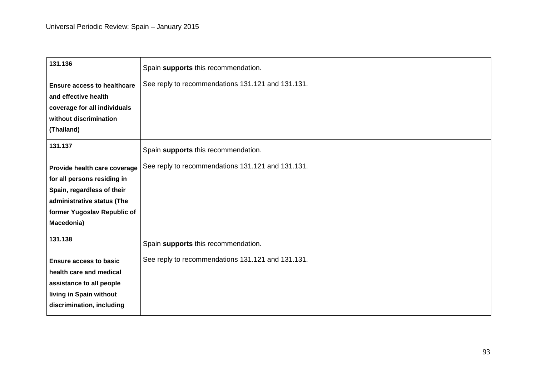| 131.136                            | Spain supports this recommendation.               |
|------------------------------------|---------------------------------------------------|
| <b>Ensure access to healthcare</b> | See reply to recommendations 131.121 and 131.131. |
| and effective health               |                                                   |
| coverage for all individuals       |                                                   |
| without discrimination             |                                                   |
| (Thailand)                         |                                                   |
| 131.137                            | Spain supports this recommendation.               |
| Provide health care coverage       | See reply to recommendations 131.121 and 131.131. |
| for all persons residing in        |                                                   |
| Spain, regardless of their         |                                                   |
| administrative status (The         |                                                   |
| former Yugoslav Republic of        |                                                   |
| Macedonia)                         |                                                   |
| 131.138                            | Spain supports this recommendation.               |
| <b>Ensure access to basic</b>      | See reply to recommendations 131.121 and 131.131. |
| health care and medical            |                                                   |
| assistance to all people           |                                                   |
| living in Spain without            |                                                   |
| discrimination, including          |                                                   |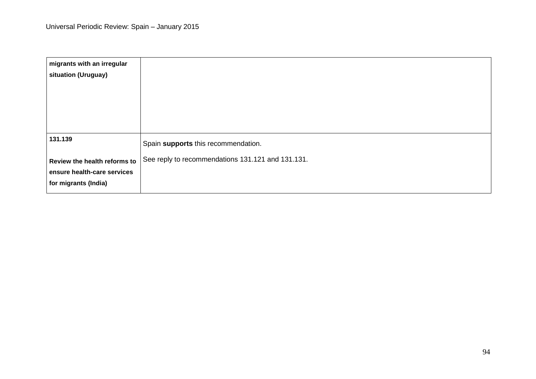| migrants with an irregular   |                                                   |
|------------------------------|---------------------------------------------------|
| situation (Uruguay)          |                                                   |
|                              |                                                   |
|                              |                                                   |
|                              |                                                   |
|                              |                                                   |
| 131.139                      |                                                   |
|                              | Spain supports this recommendation.               |
| Review the health reforms to | See reply to recommendations 131.121 and 131.131. |
| ensure health-care services  |                                                   |
| for migrants (India)         |                                                   |
|                              |                                                   |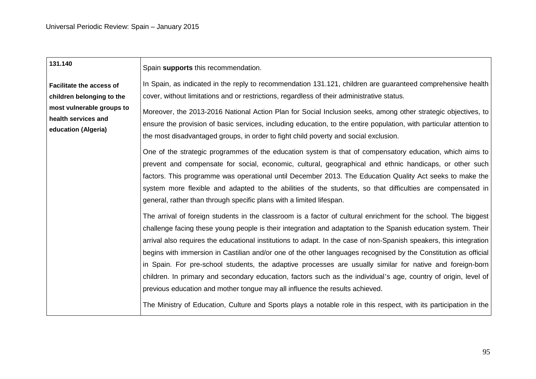| 131.140                                                                 | Spain supports this recommendation.                                                                                                                                                                                                                                                                                                                                                                                                                                                                                                                                                                                                                                                                                                                                                                                                                                                                             |
|-------------------------------------------------------------------------|-----------------------------------------------------------------------------------------------------------------------------------------------------------------------------------------------------------------------------------------------------------------------------------------------------------------------------------------------------------------------------------------------------------------------------------------------------------------------------------------------------------------------------------------------------------------------------------------------------------------------------------------------------------------------------------------------------------------------------------------------------------------------------------------------------------------------------------------------------------------------------------------------------------------|
| <b>Facilitate the access of</b><br>children belonging to the            | In Spain, as indicated in the reply to recommendation 131.121, children are guaranteed comprehensive health<br>cover, without limitations and or restrictions, regardless of their administrative status.                                                                                                                                                                                                                                                                                                                                                                                                                                                                                                                                                                                                                                                                                                       |
| most vulnerable groups to<br>health services and<br>education (Algeria) | Moreover, the 2013-2016 National Action Plan for Social Inclusion seeks, among other strategic objectives, to<br>ensure the provision of basic services, including education, to the entire population, with particular attention to<br>the most disadvantaged groups, in order to fight child poverty and social exclusion.                                                                                                                                                                                                                                                                                                                                                                                                                                                                                                                                                                                    |
|                                                                         | One of the strategic programmes of the education system is that of compensatory education, which aims to<br>prevent and compensate for social, economic, cultural, geographical and ethnic handicaps, or other such<br>factors. This programme was operational until December 2013. The Education Quality Act seeks to make the<br>system more flexible and adapted to the abilities of the students, so that difficulties are compensated in<br>general, rather than through specific plans with a limited lifespan.                                                                                                                                                                                                                                                                                                                                                                                           |
|                                                                         | The arrival of foreign students in the classroom is a factor of cultural enrichment for the school. The biggest<br>challenge facing these young people is their integration and adaptation to the Spanish education system. Their<br>arrival also requires the educational institutions to adapt. In the case of non-Spanish speakers, this integration<br>begins with immersion in Castilian and/or one of the other languages recognised by the Constitution as official<br>in Spain. For pre-school students, the adaptive processes are usually similar for native and foreign-born<br>children. In primary and secondary education, factors such as the individual's age, country of origin, level of<br>previous education and mother tongue may all influence the results achieved.<br>The Ministry of Education, Culture and Sports plays a notable role in this respect, with its participation in the |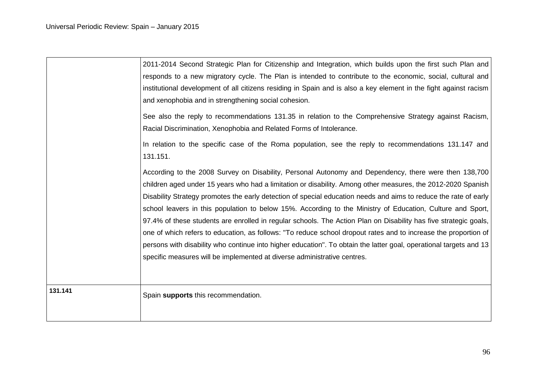|         | 2011-2014 Second Strategic Plan for Citizenship and Integration, which builds upon the first such Plan and         |
|---------|--------------------------------------------------------------------------------------------------------------------|
|         | responds to a new migratory cycle. The Plan is intended to contribute to the economic, social, cultural and        |
|         | institutional development of all citizens residing in Spain and is also a key element in the fight against racism  |
|         | and xenophobia and in strengthening social cohesion.                                                               |
|         | See also the reply to recommendations 131.35 in relation to the Comprehensive Strategy against Racism,             |
|         | Racial Discrimination, Xenophobia and Related Forms of Intolerance.                                                |
|         | In relation to the specific case of the Roma population, see the reply to recommendations 131.147 and              |
|         | 131.151.                                                                                                           |
|         | According to the 2008 Survey on Disability, Personal Autonomy and Dependency, there were then 138,700              |
|         | children aged under 15 years who had a limitation or disability. Among other measures, the 2012-2020 Spanish       |
|         | Disability Strategy promotes the early detection of special education needs and aims to reduce the rate of early   |
|         | school leavers in this population to below 15%. According to the Ministry of Education, Culture and Sport,         |
|         | 97.4% of these students are enrolled in regular schools. The Action Plan on Disability has five strategic goals,   |
|         | one of which refers to education, as follows: "To reduce school dropout rates and to increase the proportion of    |
|         | persons with disability who continue into higher education". To obtain the latter goal, operational targets and 13 |
|         | specific measures will be implemented at diverse administrative centres.                                           |
|         |                                                                                                                    |
| 131.141 | Spain supports this recommendation.                                                                                |
|         |                                                                                                                    |
|         |                                                                                                                    |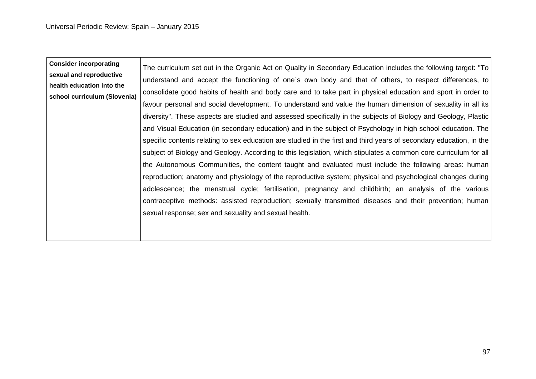| <b>Consider incorporating</b>                             | The curriculum set out in the Organic Act on Quality in Secondary Education includes the following target: "To      |
|-----------------------------------------------------------|---------------------------------------------------------------------------------------------------------------------|
| sexual and reproductive                                   | understand and accept the functioning of one's own body and that of others, to respect differences, to              |
| health education into the<br>school curriculum (Slovenia) | consolidate good habits of health and body care and to take part in physical education and sport in order to        |
|                                                           | favour personal and social development. To understand and value the human dimension of sexuality in all its         |
|                                                           | diversity". These aspects are studied and assessed specifically in the subjects of Biology and Geology, Plastic     |
|                                                           | and Visual Education (in secondary education) and in the subject of Psychology in high school education. The        |
|                                                           | specific contents relating to sex education are studied in the first and third years of secondary education, in the |
|                                                           | subject of Biology and Geology. According to this legislation, which stipulates a common core curriculum for all    |
|                                                           | the Autonomous Communities, the content taught and evaluated must include the following areas: human                |
|                                                           | reproduction; anatomy and physiology of the reproductive system; physical and psychological changes during          |
|                                                           | adolescence; the menstrual cycle; fertilisation, pregnancy and childbirth; an analysis of the various               |
|                                                           | contraceptive methods: assisted reproduction; sexually transmitted diseases and their prevention; human             |
|                                                           | sexual response; sex and sexuality and sexual health.                                                               |
|                                                           |                                                                                                                     |
|                                                           |                                                                                                                     |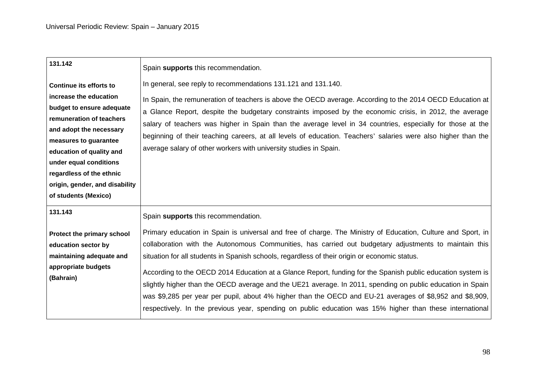| 131.142                                                                                                                                                                                                                                               | Spain supports this recommendation.                                                                                                                                                                                                                                                                                                                                                                                                                                                                                                                                                                                                                                                                                                                                         |
|-------------------------------------------------------------------------------------------------------------------------------------------------------------------------------------------------------------------------------------------------------|-----------------------------------------------------------------------------------------------------------------------------------------------------------------------------------------------------------------------------------------------------------------------------------------------------------------------------------------------------------------------------------------------------------------------------------------------------------------------------------------------------------------------------------------------------------------------------------------------------------------------------------------------------------------------------------------------------------------------------------------------------------------------------|
| <b>Continue its efforts to</b><br>increase the education                                                                                                                                                                                              | In general, see reply to recommendations 131.121 and 131.140.<br>In Spain, the remuneration of teachers is above the OECD average. According to the 2014 OECD Education at                                                                                                                                                                                                                                                                                                                                                                                                                                                                                                                                                                                                  |
| budget to ensure adequate<br>remuneration of teachers<br>and adopt the necessary<br>measures to guarantee<br>education of quality and<br>under equal conditions<br>regardless of the ethnic<br>origin, gender, and disability<br>of students (Mexico) | a Glance Report, despite the budgetary constraints imposed by the economic crisis, in 2012, the average<br>salary of teachers was higher in Spain than the average level in 34 countries, especially for those at the<br>beginning of their teaching careers, at all levels of education. Teachers' salaries were also higher than the<br>average salary of other workers with university studies in Spain.                                                                                                                                                                                                                                                                                                                                                                 |
| 131.143                                                                                                                                                                                                                                               | Spain supports this recommendation.                                                                                                                                                                                                                                                                                                                                                                                                                                                                                                                                                                                                                                                                                                                                         |
| Protect the primary school<br>education sector by<br>maintaining adequate and<br>appropriate budgets<br>(Bahrain)                                                                                                                                     | Primary education in Spain is universal and free of charge. The Ministry of Education, Culture and Sport, in<br>collaboration with the Autonomous Communities, has carried out budgetary adjustments to maintain this<br>situation for all students in Spanish schools, regardless of their origin or economic status.<br>According to the OECD 2014 Education at a Glance Report, funding for the Spanish public education system is<br>slightly higher than the OECD average and the UE21 average. In 2011, spending on public education in Spain<br>was \$9,285 per year per pupil, about 4% higher than the OECD and EU-21 averages of \$8,952 and \$8,909,<br>respectively. In the previous year, spending on public education was 15% higher than these international |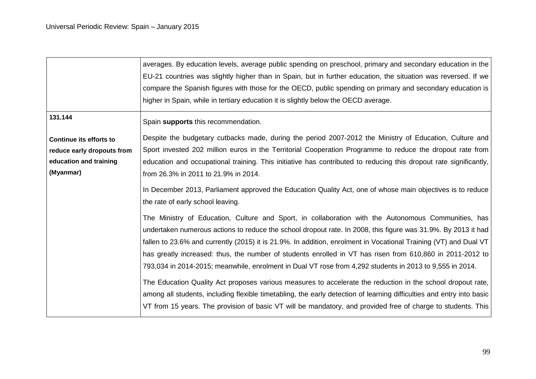|                                                                                                     | averages. By education levels, average public spending on preschool, primary and secondary education in the<br>EU-21 countries was slightly higher than in Spain, but in further education, the situation was reversed. If we<br>compare the Spanish figures with those for the OECD, public spending on primary and secondary education is<br>higher in Spain, while in tertiary education it is slightly below the OECD average.                                                                                                                                                                                                                                               |
|-----------------------------------------------------------------------------------------------------|----------------------------------------------------------------------------------------------------------------------------------------------------------------------------------------------------------------------------------------------------------------------------------------------------------------------------------------------------------------------------------------------------------------------------------------------------------------------------------------------------------------------------------------------------------------------------------------------------------------------------------------------------------------------------------|
| 131.144                                                                                             | Spain supports this recommendation.                                                                                                                                                                                                                                                                                                                                                                                                                                                                                                                                                                                                                                              |
| <b>Continue its efforts to</b><br>reduce early dropouts from<br>education and training<br>(Myanmar) | Despite the budgetary cutbacks made, during the period 2007-2012 the Ministry of Education, Culture and<br>Sport invested 202 million euros in the Territorial Cooperation Programme to reduce the dropout rate from<br>education and occupational training. This initiative has contributed to reducing this dropout rate significantly,<br>from 26.3% in 2011 to 21.9% in 2014.                                                                                                                                                                                                                                                                                                |
|                                                                                                     | In December 2013, Parliament approved the Education Quality Act, one of whose main objectives is to reduce<br>the rate of early school leaving.                                                                                                                                                                                                                                                                                                                                                                                                                                                                                                                                  |
|                                                                                                     | The Ministry of Education, Culture and Sport, in collaboration with the Autonomous Communities, has<br>undertaken numerous actions to reduce the school dropout rate. In 2008, this figure was 31.9%. By 2013 it had<br>fallen to 23.6% and currently (2015) it is 21.9%. In addition, enrolment in Vocational Training (VT) and Dual VT<br>has greatly increased: thus, the number of students enrolled in VT has risen from 610,860 in 2011-2012 to<br>793,034 in 2014-2015; meanwhile, enrolment in Dual VT rose from 4,292 students in 2013 to 9,555 in 2014.<br>The Education Quality Act proposes various measures to accelerate the reduction in the school dropout rate, |
|                                                                                                     | among all students, including flexible timetabling, the early detection of learning difficulties and entry into basic<br>VT from 15 years. The provision of basic VT will be mandatory, and provided free of charge to students. This                                                                                                                                                                                                                                                                                                                                                                                                                                            |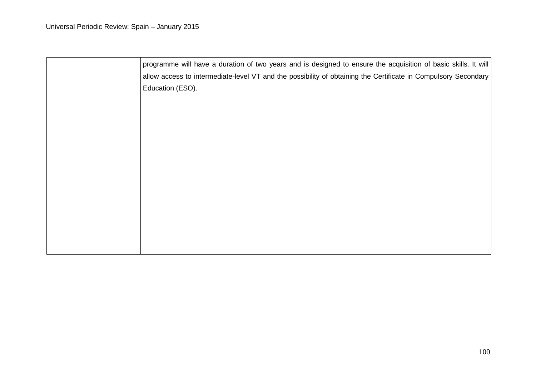| programme will have a duration of two years and is designed to ensure the acquisition of basic skills. It will |
|----------------------------------------------------------------------------------------------------------------|
| allow access to intermediate-level VT and the possibility of obtaining the Certificate in Compulsory Secondary |
| Education (ESO).                                                                                               |
|                                                                                                                |
|                                                                                                                |
|                                                                                                                |
|                                                                                                                |
|                                                                                                                |
|                                                                                                                |
|                                                                                                                |
|                                                                                                                |
|                                                                                                                |
|                                                                                                                |
|                                                                                                                |
|                                                                                                                |
|                                                                                                                |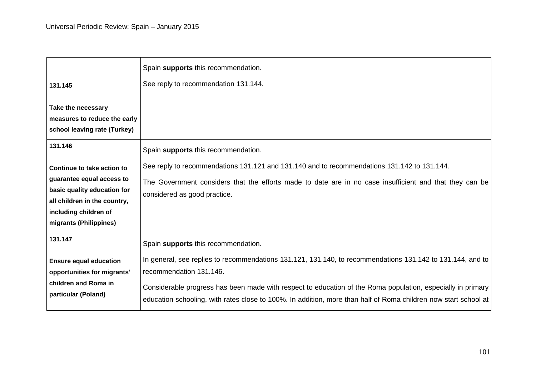|                                                                                                                                                                           | Spain supports this recommendation.                                                                                                                                                                                                                                                                                                                                     |
|---------------------------------------------------------------------------------------------------------------------------------------------------------------------------|-------------------------------------------------------------------------------------------------------------------------------------------------------------------------------------------------------------------------------------------------------------------------------------------------------------------------------------------------------------------------|
| 131.145                                                                                                                                                                   | See reply to recommendation 131.144.                                                                                                                                                                                                                                                                                                                                    |
| Take the necessary<br>measures to reduce the early<br>school leaving rate (Turkey)                                                                                        |                                                                                                                                                                                                                                                                                                                                                                         |
| 131.146                                                                                                                                                                   | Spain supports this recommendation.                                                                                                                                                                                                                                                                                                                                     |
| Continue to take action to<br>guarantee equal access to<br>basic quality education for<br>all children in the country,<br>including children of<br>migrants (Philippines) | See reply to recommendations 131.121 and 131.140 and to recommendations 131.142 to 131.144.<br>The Government considers that the efforts made to date are in no case insufficient and that they can be<br>considered as good practice.                                                                                                                                  |
| 131.147                                                                                                                                                                   | Spain supports this recommendation.                                                                                                                                                                                                                                                                                                                                     |
| <b>Ensure equal education</b><br>opportunities for migrants'<br>children and Roma in<br>particular (Poland)                                                               | In general, see replies to recommendations 131.121, 131.140, to recommendations 131.142 to 131.144, and to<br>recommendation 131.146.<br>Considerable progress has been made with respect to education of the Roma population, especially in primary<br>education schooling, with rates close to 100%. In addition, more than half of Roma children now start school at |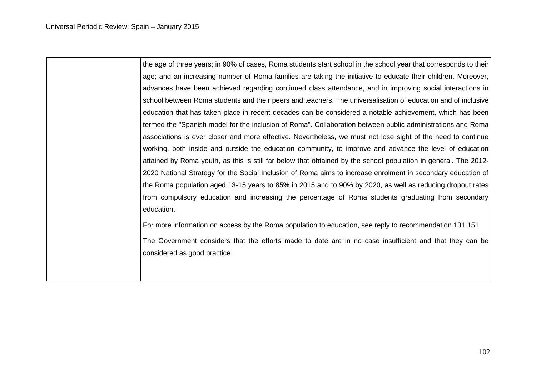the age of three years; in 90% of cases, Roma students start school in the school year that corresponds to their age; and an increasing number of Roma families are taking the initiative to educate their children. Moreover, advances have been achieved regarding continued class attendance, and in improving social interactions in school between Roma students and their peers and teachers. The universalisation of education and of inclusive education that has taken place in recent decades can be considered a notable achievement, which has been termed the "Spanish model for the inclusion of Roma". Collaboration between public administrations and Roma associations is ever closer and more effective. Nevertheless, we must not lose sight of the need to continue working, both inside and outside the education community, to improve and advance the level of education attained by Roma youth, as this is still far below that obtained by the school population in general. The 2012- 2020 National Strategy for the Social Inclusion of Roma aims to increase enrolment in secondary education of the Roma population aged 13-15 years to 85% in 2015 and to 90% by 2020, as well as reducing dropout rates from compulsory education and increasing the percentage of Roma students graduating from secondary education. For more information on access by the Roma population to education, see reply to recommendation 131.151.

The Government considers that the efforts made to date are in no case insufficient and that they can be considered as good practice.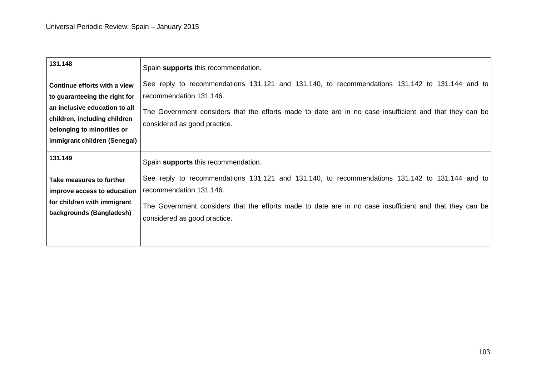| 131.148                                                                                                                                                                                      | Spain supports this recommendation.                                                                                                                                                                                                                                                                         |
|----------------------------------------------------------------------------------------------------------------------------------------------------------------------------------------------|-------------------------------------------------------------------------------------------------------------------------------------------------------------------------------------------------------------------------------------------------------------------------------------------------------------|
| Continue efforts with a view<br>to guaranteeing the right for<br>an inclusive education to all<br>children, including children<br>belonging to minorities or<br>immigrant children (Senegal) | See reply to recommendations 131.121 and 131.140, to recommendations 131.142 to 131.144 and to<br>recommendation 131.146.<br>The Government considers that the efforts made to date are in no case insufficient and that they can be<br>considered as good practice.                                        |
| 131.149<br>Take measures to further<br>improve access to education<br>for children with immigrant<br>backgrounds (Bangladesh)                                                                | Spain supports this recommendation.<br>See reply to recommendations 131.121 and 131.140, to recommendations 131.142 to 131.144 and to<br>recommendation 131.146.<br>The Government considers that the efforts made to date are in no case insufficient and that they can be<br>considered as good practice. |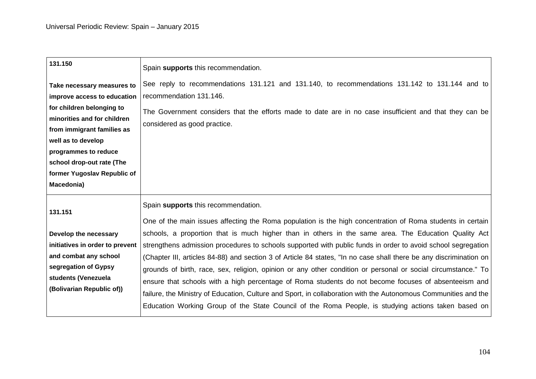| 131.150                                                                                                                                                                                                                                                                     | Spain supports this recommendation.                                                                                                                                                                                                                                                                                                                                                                                                                                                                                                                                                                                                                                                                                                                                                                                                         |
|-----------------------------------------------------------------------------------------------------------------------------------------------------------------------------------------------------------------------------------------------------------------------------|---------------------------------------------------------------------------------------------------------------------------------------------------------------------------------------------------------------------------------------------------------------------------------------------------------------------------------------------------------------------------------------------------------------------------------------------------------------------------------------------------------------------------------------------------------------------------------------------------------------------------------------------------------------------------------------------------------------------------------------------------------------------------------------------------------------------------------------------|
| Take necessary measures to<br>improve access to education<br>for children belonging to<br>minorities and for children<br>from immigrant families as<br>well as to develop<br>programmes to reduce<br>school drop-out rate (The<br>former Yugoslav Republic of<br>Macedonia) | See reply to recommendations 131.121 and 131.140, to recommendations 131.142 to 131.144 and to<br>recommendation 131.146.<br>The Government considers that the efforts made to date are in no case insufficient and that they can be<br>considered as good practice.                                                                                                                                                                                                                                                                                                                                                                                                                                                                                                                                                                        |
| 131.151<br>Develop the necessary<br>initiatives in order to prevent<br>and combat any school<br>segregation of Gypsy<br>students (Venezuela<br>(Bolivarian Republic of))                                                                                                    | Spain supports this recommendation.<br>One of the main issues affecting the Roma population is the high concentration of Roma students in certain<br>schools, a proportion that is much higher than in others in the same area. The Education Quality Act<br>strengthens admission procedures to schools supported with public funds in order to avoid school segregation<br>(Chapter III, articles 84-88) and section 3 of Article 84 states, "In no case shall there be any discrimination on<br>grounds of birth, race, sex, religion, opinion or any other condition or personal or social circumstance." To<br>ensure that schools with a high percentage of Roma students do not become focuses of absenteeism and<br>failure, the Ministry of Education, Culture and Sport, in collaboration with the Autonomous Communities and the |
|                                                                                                                                                                                                                                                                             | Education Working Group of the State Council of the Roma People, is studying actions taken based on                                                                                                                                                                                                                                                                                                                                                                                                                                                                                                                                                                                                                                                                                                                                         |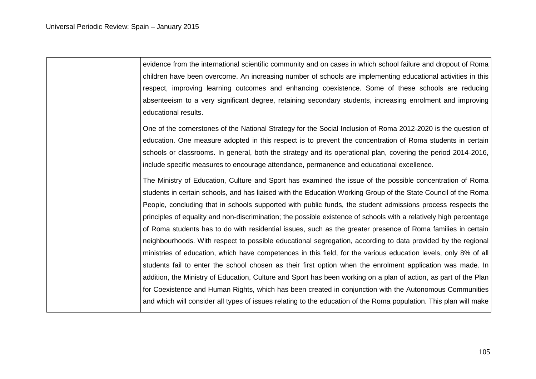evidence from the international scientific community and on cases in which school failure and dropout of Roma children have been overcome. An increasing number of schools are implementing educational activities in this respect, improving learning outcomes and enhancing coexistence. Some of these schools are reducing absenteeism to a very significant degree, retaining secondary students, increasing enrolment and improving educational results. One of the cornerstones of the National Strategy for the Social Inclusion of Roma 2012-2020 is the question of education. One measure adopted in this respect is to prevent the concentration of Roma students in certain schools or classrooms. In general, both the strategy and its operational plan, covering the period 2014-2016, include specific measures to encourage attendance, permanence and educational excellence. The Ministry of Education, Culture and Sport has examined the issue of the possible concentration of Roma students in certain schools, and has liaised with the Education Working Group of the State Council of the Roma People, concluding that in schools supported with public funds, the student admissions process respects the principles of equality and non-discrimination; the possible existence of schools with a relatively high percentage of Roma students has to do with residential issues, such as the greater presence of Roma families in certain neighbourhoods. With respect to possible educational segregation, according to data provided by the regional ministries of education, which have competences in this field, for the various education levels, only 8% of all students fail to enter the school chosen as their first option when the enrolment application was made. In addition, the Ministry of Education, Culture and Sport has been working on a plan of action, as part of the Plan for Coexistence and Human Rights, which has been created in conjunction with the Autonomous Communities and which will consider all types of issues relating to the education of the Roma population. This plan will make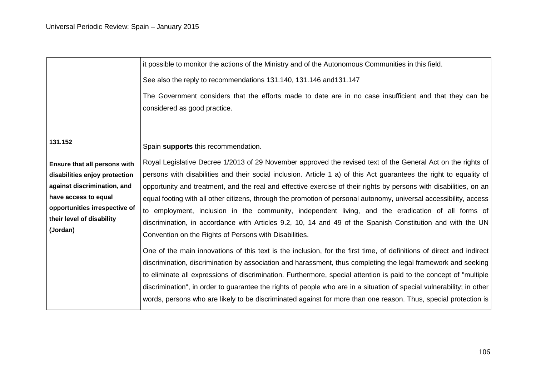|                                                                                                                                                                                                           | it possible to monitor the actions of the Ministry and of the Autonomous Communities in this field.<br>See also the reply to recommendations 131.140, 131.146 and 131.147<br>The Government considers that the efforts made to date are in no case insufficient and that they can be<br>considered as good practice.                                                                                                                                                                                                                                                                                                                                                                                                                                                                                                                                                                                                                                                                                                                                                                                                                                                                                                                                                                                                                                                                                           |
|-----------------------------------------------------------------------------------------------------------------------------------------------------------------------------------------------------------|----------------------------------------------------------------------------------------------------------------------------------------------------------------------------------------------------------------------------------------------------------------------------------------------------------------------------------------------------------------------------------------------------------------------------------------------------------------------------------------------------------------------------------------------------------------------------------------------------------------------------------------------------------------------------------------------------------------------------------------------------------------------------------------------------------------------------------------------------------------------------------------------------------------------------------------------------------------------------------------------------------------------------------------------------------------------------------------------------------------------------------------------------------------------------------------------------------------------------------------------------------------------------------------------------------------------------------------------------------------------------------------------------------------|
| 131.152<br>Ensure that all persons with<br>disabilities enjoy protection<br>against discrimination, and<br>have access to equal<br>opportunities irrespective of<br>their level of disability<br>(Jordan) | Spain supports this recommendation.<br>Royal Legislative Decree 1/2013 of 29 November approved the revised text of the General Act on the rights of<br>persons with disabilities and their social inclusion. Article 1 a) of this Act guarantees the right to equality of<br>opportunity and treatment, and the real and effective exercise of their rights by persons with disabilities, on an<br>equal footing with all other citizens, through the promotion of personal autonomy, universal accessibility, access<br>to employment, inclusion in the community, independent living, and the eradication of all forms of<br>discrimination, in accordance with Articles 9.2, 10, 14 and 49 of the Spanish Constitution and with the UN<br>Convention on the Rights of Persons with Disabilities.<br>One of the main innovations of this text is the inclusion, for the first time, of definitions of direct and indirect<br>discrimination, discrimination by association and harassment, thus completing the legal framework and seeking<br>to eliminate all expressions of discrimination. Furthermore, special attention is paid to the concept of "multiple<br>discrimination", in order to guarantee the rights of people who are in a situation of special vulnerability; in other<br>words, persons who are likely to be discriminated against for more than one reason. Thus, special protection is |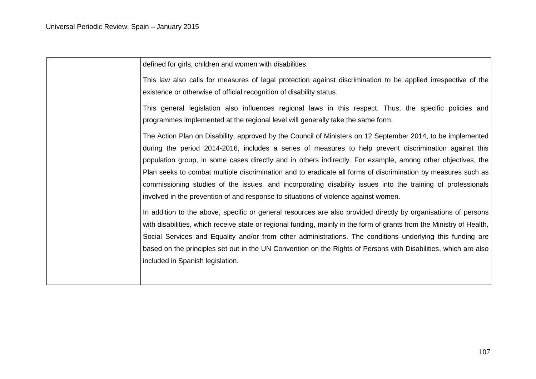defined for girls, children and women with disabilities. This law also calls for measures of legal protection against discrimination to be applied irrespective of the existence or otherwise of official recognition of disability status. This general legislation also influences regional laws in this respect. Thus, the specific policies and programmes implemented at the regional level will generally take the same form. The Action Plan on Disability, approved by the Council of Ministers on 12 September 2014, to be implemented during the period 2014-2016, includes a series of measures to help prevent discrimination against this population group, in some cases directly and in others indirectly. For example, among other objectives, the Plan seeks to combat multiple discrimination and to eradicate all forms of discrimination by measures such as commissioning studies of the issues, and incorporating disability issues into the training of professionals involved in the prevention of and response to situations of violence against women. In addition to the above, specific or general resources are also provided directly by organisations of persons with disabilities, which receive state or regional funding, mainly in the form of grants from the Ministry of Health, Social Services and Equality and/or from other administrations. The conditions underlying this funding are based on the principles set out in the UN Convention on the Rights of Persons with Disabilities, which are also included in Spanish legislation.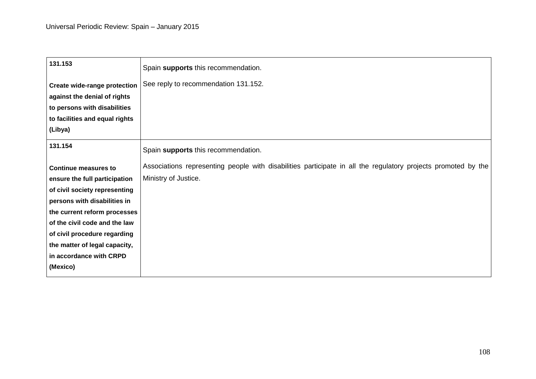| 131.153                                                      | Spain supports this recommendation.                                                                           |
|--------------------------------------------------------------|---------------------------------------------------------------------------------------------------------------|
| Create wide-range protection<br>against the denial of rights | See reply to recommendation 131.152.                                                                          |
| to persons with disabilities                                 |                                                                                                               |
| to facilities and equal rights                               |                                                                                                               |
| (Libya)                                                      |                                                                                                               |
| 131.154                                                      | Spain supports this recommendation.                                                                           |
| <b>Continue measures to</b>                                  | Associations representing people with disabilities participate in all the regulatory projects promoted by the |
| ensure the full participation                                | Ministry of Justice.                                                                                          |
| of civil society representing                                |                                                                                                               |
| persons with disabilities in                                 |                                                                                                               |
| the current reform processes                                 |                                                                                                               |
| of the civil code and the law                                |                                                                                                               |
| of civil procedure regarding                                 |                                                                                                               |
| the matter of legal capacity,<br>in accordance with CRPD     |                                                                                                               |
| (Mexico)                                                     |                                                                                                               |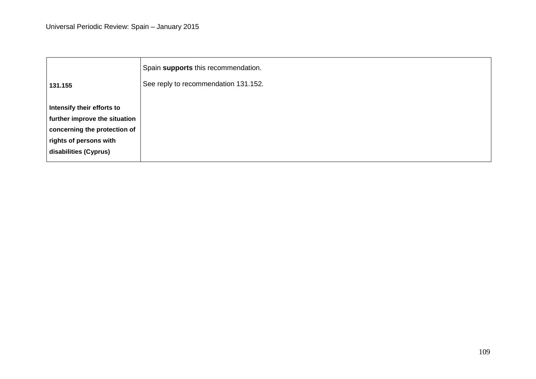|                               | Spain supports this recommendation.  |
|-------------------------------|--------------------------------------|
| 131.155                       | See reply to recommendation 131.152. |
| Intensify their efforts to    |                                      |
| further improve the situation |                                      |
| concerning the protection of  |                                      |
| rights of persons with        |                                      |
| disabilities (Cyprus)         |                                      |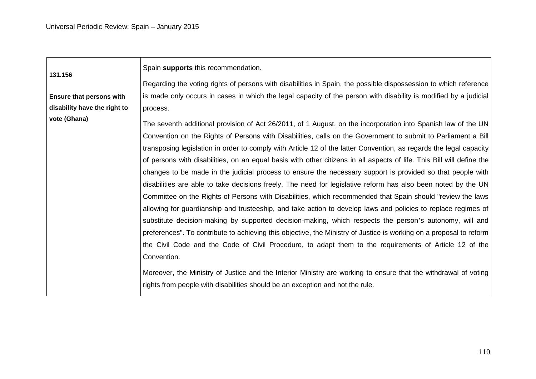| 131.156                         | Spain supports this recommendation.                                                                                   |
|---------------------------------|-----------------------------------------------------------------------------------------------------------------------|
|                                 | Regarding the voting rights of persons with disabilities in Spain, the possible dispossession to which reference      |
| <b>Ensure that persons with</b> | is made only occurs in cases in which the legal capacity of the person with disability is modified by a judicial      |
| disability have the right to    | process.                                                                                                              |
| vote (Ghana)                    | The seventh additional provision of Act 26/2011, of 1 August, on the incorporation into Spanish law of the UN         |
|                                 | Convention on the Rights of Persons with Disabilities, calls on the Government to submit to Parliament a Bill         |
|                                 | transposing legislation in order to comply with Article 12 of the latter Convention, as regards the legal capacity    |
|                                 | of persons with disabilities, on an equal basis with other citizens in all aspects of life. This Bill will define the |
|                                 | changes to be made in the judicial process to ensure the necessary support is provided so that people with            |
|                                 | disabilities are able to take decisions freely. The need for legislative reform has also been noted by the UN         |
|                                 | Committee on the Rights of Persons with Disabilities, which recommended that Spain should "review the laws            |
|                                 | allowing for guardianship and trusteeship, and take action to develop laws and policies to replace regimes of         |
|                                 | substitute decision-making by supported decision-making, which respects the person's autonomy, will and               |
|                                 | preferences". To contribute to achieving this objective, the Ministry of Justice is working on a proposal to reform   |
|                                 | the Civil Code and the Code of Civil Procedure, to adapt them to the requirements of Article 12 of the                |
|                                 | Convention.                                                                                                           |
|                                 | Moreover, the Ministry of Justice and the Interior Ministry are working to ensure that the withdrawal of voting       |
|                                 | rights from people with disabilities should be an exception and not the rule.                                         |

<u> 1989 - Johann Stoff, amerikansk politiker (d. 1989)</u>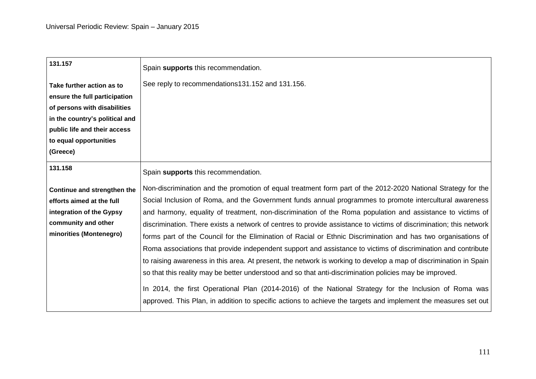| 131.157                        | Spain supports this recommendation.                                                                                |
|--------------------------------|--------------------------------------------------------------------------------------------------------------------|
| Take further action as to      | See reply to recommendations131.152 and 131.156.                                                                   |
| ensure the full participation  |                                                                                                                    |
| of persons with disabilities   |                                                                                                                    |
| in the country's political and |                                                                                                                    |
| public life and their access   |                                                                                                                    |
| to equal opportunities         |                                                                                                                    |
| (Greece)                       |                                                                                                                    |
| 131.158                        | Spain supports this recommendation.                                                                                |
| Continue and strengthen the    | Non-discrimination and the promotion of equal treatment form part of the 2012-2020 National Strategy for the       |
| efforts aimed at the full      | Social Inclusion of Roma, and the Government funds annual programmes to promote intercultural awareness            |
| integration of the Gypsy       | and harmony, equality of treatment, non-discrimination of the Roma population and assistance to victims of         |
| community and other            | discrimination. There exists a network of centres to provide assistance to victims of discrimination; this network |
| minorities (Montenegro)        | forms part of the Council for the Elimination of Racial or Ethnic Discrimination and has two organisations of      |
|                                | Roma associations that provide independent support and assistance to victims of discrimination and contribute      |
|                                | to raising awareness in this area. At present, the network is working to develop a map of discrimination in Spain  |
|                                | so that this reality may be better understood and so that anti-discrimination policies may be improved.            |
|                                | In 2014, the first Operational Plan (2014-2016) of the National Strategy for the Inclusion of Roma was             |
|                                | approved. This Plan, in addition to specific actions to achieve the targets and implement the measures set out     |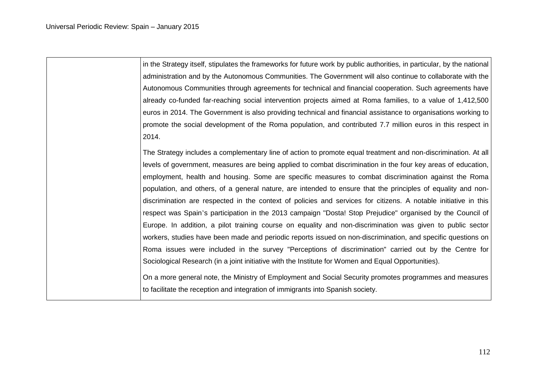in the Strategy itself, stipulates the frameworks for future work by public authorities, in particular, by the national administration and by the Autonomous Communities. The Government will also continue to collaborate with the Autonomous Communities through agreements for technical and financial cooperation. Such agreements have already co-funded far-reaching social intervention projects aimed at Roma families, to a value of 1,412,500 euros in 2014. The Government is also providing technical and financial assistance to organisations working to promote the social development of the Roma population, and contributed 7.7 million euros in this respect in 2014.

The Strategy includes a complementary line of action to promote equal treatment and non-discrimination. At all levels of government, measures are being applied to combat discrimination in the four key areas of education, employment, health and housing. Some are specific measures to combat discrimination against the Roma population, and others, of a general nature, are intended to ensure that the principles of equality and nondiscrimination are respected in the context of policies and services for citizens. A notable initiative in this respect was Spain's participation in the 2013 campaign "Dosta! Stop Prejudice" organised by the Council of Europe. In addition, a pilot training course on equality and non-discrimination was given to public sector workers, studies have been made and periodic reports issued on non-discrimination, and specific questions on Roma issues were included in the survey "Perceptions of discrimination" carried out by the Centre for Sociological Research (in a joint initiative with the Institute for Women and Equal Opportunities).

On a more general note, the Ministry of Employment and Social Security promotes programmes and measures to facilitate the reception and integration of immigrants into Spanish society.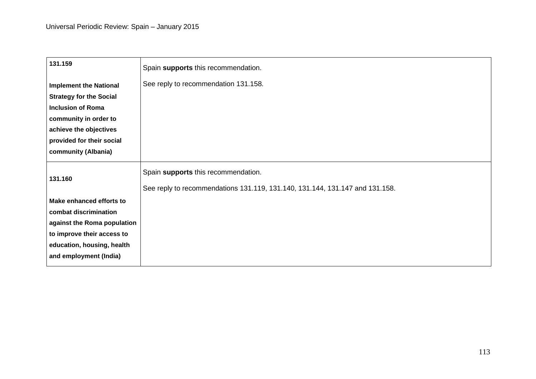| 131.159                        | Spain supports this recommendation.                                                                                 |
|--------------------------------|---------------------------------------------------------------------------------------------------------------------|
| <b>Implement the National</b>  | See reply to recommendation 131.158.                                                                                |
| <b>Strategy for the Social</b> |                                                                                                                     |
| <b>Inclusion of Roma</b>       |                                                                                                                     |
| community in order to          |                                                                                                                     |
| achieve the objectives         |                                                                                                                     |
| provided for their social      |                                                                                                                     |
| community (Albania)            |                                                                                                                     |
| 131.160                        | Spain supports this recommendation.<br>See reply to recommendations 131.119, 131.140, 131.144, 131.147 and 131.158. |
| Make enhanced efforts to       |                                                                                                                     |
| combat discrimination          |                                                                                                                     |
| against the Roma population    |                                                                                                                     |
| to improve their access to     |                                                                                                                     |
| education, housing, health     |                                                                                                                     |
| and employment (India)         |                                                                                                                     |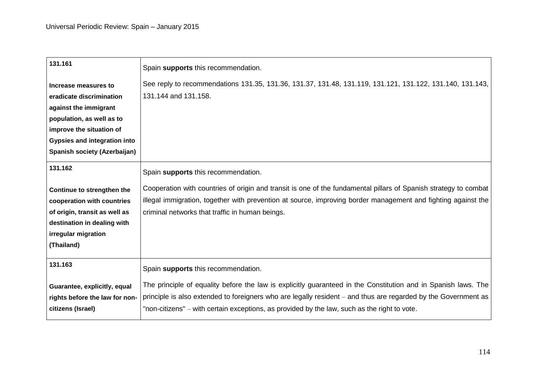| 131.161                             | Spain supports this recommendation.                                                                              |
|-------------------------------------|------------------------------------------------------------------------------------------------------------------|
| Increase measures to                | See reply to recommendations 131.35, 131.36, 131.37, 131.48, 131.119, 131.121, 131.122, 131.140, 131.143,        |
| eradicate discrimination            | 131.144 and 131.158.                                                                                             |
| against the immigrant               |                                                                                                                  |
| population, as well as to           |                                                                                                                  |
| improve the situation of            |                                                                                                                  |
| <b>Gypsies and integration into</b> |                                                                                                                  |
| Spanish society (Azerbaijan)        |                                                                                                                  |
| 131.162                             | Spain supports this recommendation.                                                                              |
| Continue to strengthen the          | Cooperation with countries of origin and transit is one of the fundamental pillars of Spanish strategy to combat |
| cooperation with countries          | illegal immigration, together with prevention at source, improving border management and fighting against the    |
| of origin, transit as well as       | criminal networks that traffic in human beings.                                                                  |
| destination in dealing with         |                                                                                                                  |
| irregular migration                 |                                                                                                                  |
| (Thailand)                          |                                                                                                                  |
| 131.163                             | Spain supports this recommendation.                                                                              |
| Guarantee, explicitly, equal        | The principle of equality before the law is explicitly guaranteed in the Constitution and in Spanish laws. The   |
| rights before the law for non-      | principle is also extended to foreigners who are legally resident - and thus are regarded by the Government as   |
| citizens (Israel)                   | "non-citizens" – with certain exceptions, as provided by the law, such as the right to vote.                     |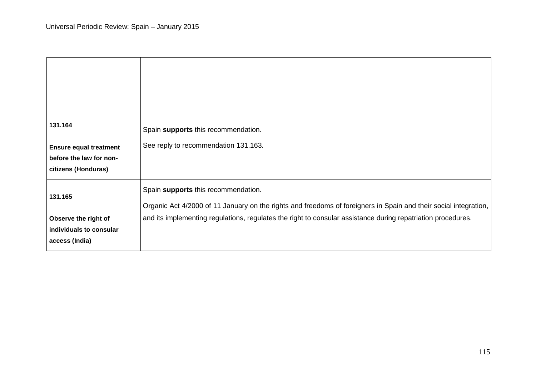| 131.164                                                           | Spain supports this recommendation.                                                                                                                     |
|-------------------------------------------------------------------|---------------------------------------------------------------------------------------------------------------------------------------------------------|
| <b>Ensure equal treatment</b>                                     | See reply to recommendation 131.163.                                                                                                                    |
| before the law for non-<br>citizens (Honduras)                    |                                                                                                                                                         |
| 131.165                                                           | Spain supports this recommendation.<br>Organic Act 4/2000 of 11 January on the rights and freedoms of foreigners in Spain and their social integration, |
| Observe the right of<br>individuals to consular<br>access (India) | and its implementing regulations, regulates the right to consular assistance during repatriation procedures.                                            |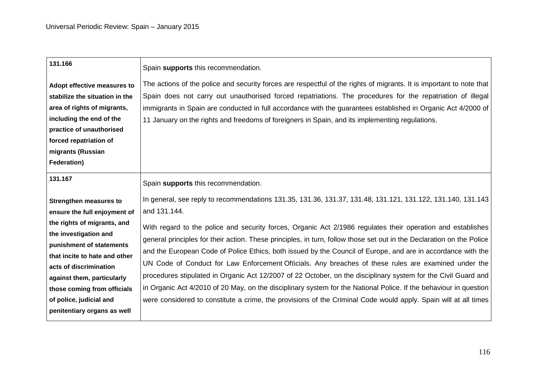| 131.166                                                                                                                                                                                              | Spain supports this recommendation.                                                                                                                                                                                                                                                                                                                                                                                                                                                                                                                                                                                                                                                                                                                                                                                    |
|------------------------------------------------------------------------------------------------------------------------------------------------------------------------------------------------------|------------------------------------------------------------------------------------------------------------------------------------------------------------------------------------------------------------------------------------------------------------------------------------------------------------------------------------------------------------------------------------------------------------------------------------------------------------------------------------------------------------------------------------------------------------------------------------------------------------------------------------------------------------------------------------------------------------------------------------------------------------------------------------------------------------------------|
| Adopt effective measures to<br>stabilize the situation in the<br>area of rights of migrants,<br>including the end of the<br>practice of unauthorised<br>forced repatriation of<br>migrants (Russian  | The actions of the police and security forces are respectful of the rights of migrants. It is important to note that<br>Spain does not carry out unauthorised forced repatriations. The procedures for the repatriation of illegal<br>immigrants in Spain are conducted in full accordance with the guarantees established in Organic Act 4/2000 of<br>11 January on the rights and freedoms of foreigners in Spain, and its implementing regulations.                                                                                                                                                                                                                                                                                                                                                                 |
| Federation)                                                                                                                                                                                          |                                                                                                                                                                                                                                                                                                                                                                                                                                                                                                                                                                                                                                                                                                                                                                                                                        |
| 131.167                                                                                                                                                                                              | Spain supports this recommendation.                                                                                                                                                                                                                                                                                                                                                                                                                                                                                                                                                                                                                                                                                                                                                                                    |
| <b>Strengthen measures to</b><br>ensure the full enjoyment of                                                                                                                                        | In general, see reply to recommendations 131.35, 131.36, 131.37, 131.48, 131.121, 131.122, 131.140, 131.143<br>and 131.144.                                                                                                                                                                                                                                                                                                                                                                                                                                                                                                                                                                                                                                                                                            |
| the investigation and<br>punishment of statements<br>that incite to hate and other<br>acts of discrimination<br>against them, particularly<br>those coming from officials<br>of police, judicial and | With regard to the police and security forces, Organic Act 2/1986 regulates their operation and establishes<br>general principles for their action. These principles, in turn, follow those set out in the Declaration on the Police<br>and the European Code of Police Ethics, both issued by the Council of Europe, and are in accordance with the<br>UN Code of Conduct for Law Enforcement Officials. Any breaches of these rules are examined under the<br>procedures stipulated in Organic Act 12/2007 of 22 October, on the disciplinary system for the Civil Guard and<br>in Organic Act 4/2010 of 20 May, on the disciplinary system for the National Police. If the behaviour in question<br>were considered to constitute a crime, the provisions of the Criminal Code would apply. Spain will at all times |
| the rights of migrants, and<br>penitentiary organs as well                                                                                                                                           |                                                                                                                                                                                                                                                                                                                                                                                                                                                                                                                                                                                                                                                                                                                                                                                                                        |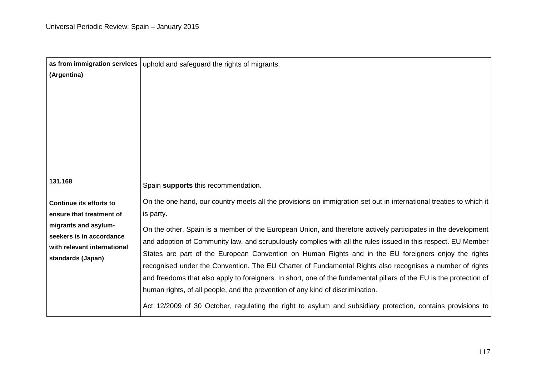| as from immigration services                     | uphold and safeguard the rights of migrants.                                                                        |
|--------------------------------------------------|---------------------------------------------------------------------------------------------------------------------|
| (Argentina)                                      |                                                                                                                     |
|                                                  |                                                                                                                     |
|                                                  |                                                                                                                     |
|                                                  |                                                                                                                     |
|                                                  |                                                                                                                     |
|                                                  |                                                                                                                     |
|                                                  |                                                                                                                     |
| 131.168                                          | Spain supports this recommendation.                                                                                 |
| Continue its efforts to                          | On the one hand, our country meets all the provisions on immigration set out in international treaties to which it  |
| ensure that treatment of                         | is party.                                                                                                           |
| migrants and asylum-<br>seekers is in accordance | On the other, Spain is a member of the European Union, and therefore actively participates in the development       |
| with relevant international                      | and adoption of Community law, and scrupulously complies with all the rules issued in this respect. EU Member       |
| standards (Japan)                                | States are part of the European Convention on Human Rights and in the EU foreigners enjoy the rights                |
|                                                  | recognised under the Convention. The EU Charter of Fundamental Rights also recognises a number of rights            |
|                                                  | and freedoms that also apply to foreigners. In short, one of the fundamental pillars of the EU is the protection of |
|                                                  | human rights, of all people, and the prevention of any kind of discrimination.                                      |
|                                                  | Act 12/2009 of 30 October, regulating the right to asylum and subsidiary protection, contains provisions to         |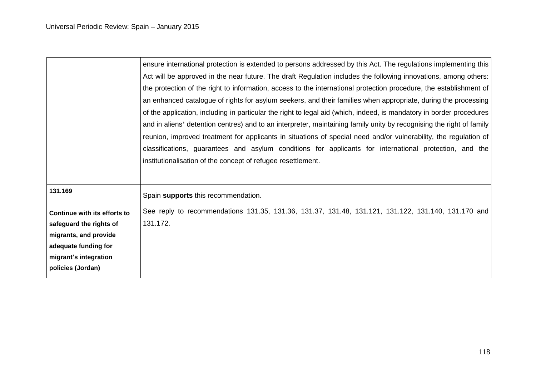|                              | ensure international protection is extended to persons addressed by this Act. The regulations implementing this      |
|------------------------------|----------------------------------------------------------------------------------------------------------------------|
|                              | Act will be approved in the near future. The draft Regulation includes the following innovations, among others:      |
|                              | the protection of the right to information, access to the international protection procedure, the establishment of   |
|                              | an enhanced catalogue of rights for asylum seekers, and their families when appropriate, during the processing       |
|                              | of the application, including in particular the right to legal aid (which, indeed, is mandatory in border procedures |
|                              | and in aliens' detention centres) and to an interpreter, maintaining family unity by recognising the right of family |
|                              | reunion, improved treatment for applicants in situations of special need and/or vulnerability, the regulation of     |
|                              | classifications, guarantees and asylum conditions for applicants for international protection, and the               |
|                              | institutionalisation of the concept of refugee resettlement.                                                         |
|                              |                                                                                                                      |
| 131.169                      | Spain supports this recommendation.                                                                                  |
| Continue with its efforts to | See reply to recommendations 131.35, 131.36, 131.37, 131.48, 131.121, 131.122, 131.140, 131.170 and                  |
| safeguard the rights of      | 131.172.                                                                                                             |
| migrants, and provide        |                                                                                                                      |
| adequate funding for         |                                                                                                                      |
| migrant's integration        |                                                                                                                      |
| policies (Jordan)            |                                                                                                                      |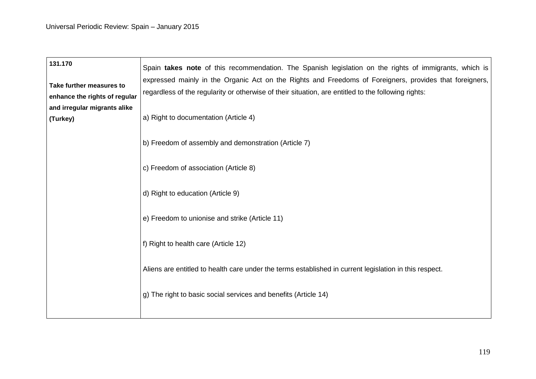| 131.170<br>Take further measures to<br>enhance the rights of regular | Spain takes note of this recommendation. The Spanish legislation on the rights of immigrants, which is<br>expressed mainly in the Organic Act on the Rights and Freedoms of Foreigners, provides that foreigners,<br>regardless of the regularity or otherwise of their situation, are entitled to the following rights: |
|----------------------------------------------------------------------|--------------------------------------------------------------------------------------------------------------------------------------------------------------------------------------------------------------------------------------------------------------------------------------------------------------------------|
| and irregular migrants alike<br>(Turkey)                             | a) Right to documentation (Article 4)                                                                                                                                                                                                                                                                                    |
|                                                                      | b) Freedom of assembly and demonstration (Article 7)                                                                                                                                                                                                                                                                     |
|                                                                      | c) Freedom of association (Article 8)                                                                                                                                                                                                                                                                                    |
|                                                                      | d) Right to education (Article 9)                                                                                                                                                                                                                                                                                        |
|                                                                      | e) Freedom to unionise and strike (Article 11)<br>f) Right to health care (Article 12)                                                                                                                                                                                                                                   |
|                                                                      | Aliens are entitled to health care under the terms established in current legislation in this respect.                                                                                                                                                                                                                   |
|                                                                      | g) The right to basic social services and benefits (Article 14)                                                                                                                                                                                                                                                          |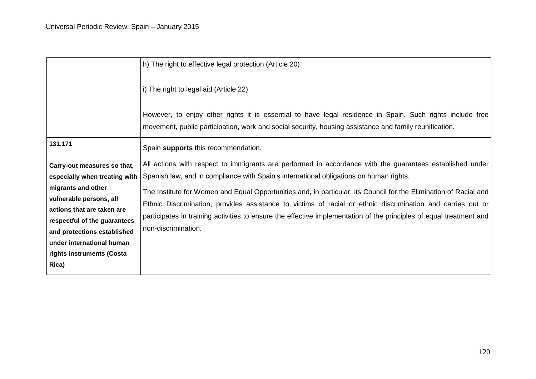|                               | h) The right to effective legal protection (Article 20)                                                                                                                                                             |
|-------------------------------|---------------------------------------------------------------------------------------------------------------------------------------------------------------------------------------------------------------------|
|                               | i) The right to legal aid (Article 22)                                                                                                                                                                              |
|                               | However, to enjoy other rights it is essential to have legal residence in Spain. Such rights include free<br>movement, public participation, work and social security, housing assistance and family reunification. |
| 131.171                       |                                                                                                                                                                                                                     |
|                               | Spain supports this recommendation.                                                                                                                                                                                 |
| Carry-out measures so that,   | All actions with respect to immigrants are performed in accordance with the guarantees established under                                                                                                            |
| especially when treating with | Spanish law, and in compliance with Spain's international obligations on human rights.                                                                                                                              |
| migrants and other            | The Institute for Women and Equal Opportunities and, in particular, its Council for the Elimination of Racial and                                                                                                   |
| vulnerable persons, all       | Ethnic Discrimination, provides assistance to victims of racial or ethnic discrimination and carries out or                                                                                                         |
| actions that are taken are    | participates in training activities to ensure the effective implementation of the principles of equal treatment and                                                                                                 |
| respectful of the guarantees  |                                                                                                                                                                                                                     |
| and protections established   | non-discrimination.                                                                                                                                                                                                 |
| under international human     |                                                                                                                                                                                                                     |
| rights instruments (Costa     |                                                                                                                                                                                                                     |
| Rica)                         |                                                                                                                                                                                                                     |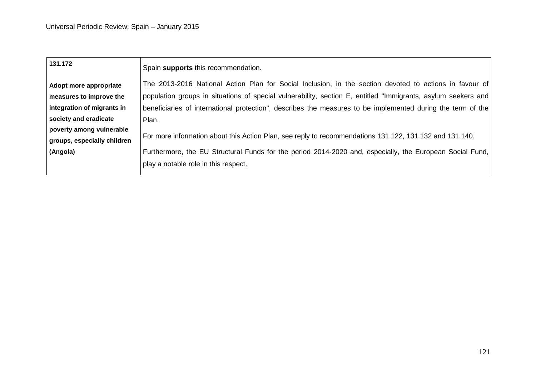| Spain supports this recommendation.                                                                           |
|---------------------------------------------------------------------------------------------------------------|
| The 2013-2016 National Action Plan for Social Inclusion, in the section devoted to actions in favour of       |
| population groups in situations of special vulnerability, section E, entitled "Immigrants, asylum seekers and |
| beneficiaries of international protection", describes the measures to be implemented during the term of the   |
| Plan.                                                                                                         |
| For more information about this Action Plan, see reply to recommendations 131.122, 131.132 and 131.140.       |
|                                                                                                               |
| play a notable role in this respect.                                                                          |
|                                                                                                               |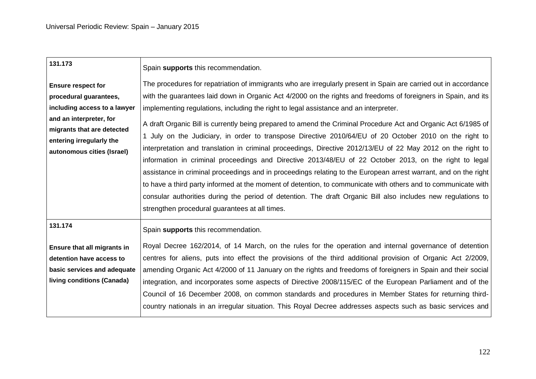| Spain supports this recommendation.<br>The procedures for repatriation of immigrants who are irregularly present in Spain are carried out in accordance                                                                                                                                                                                                                                                                                                                                                                                                                                                                                                                                                                                                                                                                                                 |
|---------------------------------------------------------------------------------------------------------------------------------------------------------------------------------------------------------------------------------------------------------------------------------------------------------------------------------------------------------------------------------------------------------------------------------------------------------------------------------------------------------------------------------------------------------------------------------------------------------------------------------------------------------------------------------------------------------------------------------------------------------------------------------------------------------------------------------------------------------|
| with the guarantees laid down in Organic Act 4/2000 on the rights and freedoms of foreigners in Spain, and its                                                                                                                                                                                                                                                                                                                                                                                                                                                                                                                                                                                                                                                                                                                                          |
| implementing regulations, including the right to legal assistance and an interpreter.                                                                                                                                                                                                                                                                                                                                                                                                                                                                                                                                                                                                                                                                                                                                                                   |
| A draft Organic Bill is currently being prepared to amend the Criminal Procedure Act and Organic Act 6/1985 of<br>1 July on the Judiciary, in order to transpose Directive 2010/64/EU of 20 October 2010 on the right to<br>interpretation and translation in criminal proceedings, Directive 2012/13/EU of 22 May 2012 on the right to<br>information in criminal proceedings and Directive 2013/48/EU of 22 October 2013, on the right to legal<br>assistance in criminal proceedings and in proceedings relating to the European arrest warrant, and on the right<br>to have a third party informed at the moment of detention, to communicate with others and to communicate with<br>consular authorities during the period of detention. The draft Organic Bill also includes new regulations to<br>strengthen procedural guarantees at all times. |
| Spain supports this recommendation.                                                                                                                                                                                                                                                                                                                                                                                                                                                                                                                                                                                                                                                                                                                                                                                                                     |
| Royal Decree 162/2014, of 14 March, on the rules for the operation and internal governance of detention<br>centres for aliens, puts into effect the provisions of the third additional provision of Organic Act 2/2009,<br>amending Organic Act 4/2000 of 11 January on the rights and freedoms of foreigners in Spain and their social<br>integration, and incorporates some aspects of Directive 2008/115/EC of the European Parliament and of the<br>Council of 16 December 2008, on common standards and procedures in Member States for returning third-<br>country nationals in an irregular situation. This Royal Decree addresses aspects such as basic services and                                                                                                                                                                            |
|                                                                                                                                                                                                                                                                                                                                                                                                                                                                                                                                                                                                                                                                                                                                                                                                                                                         |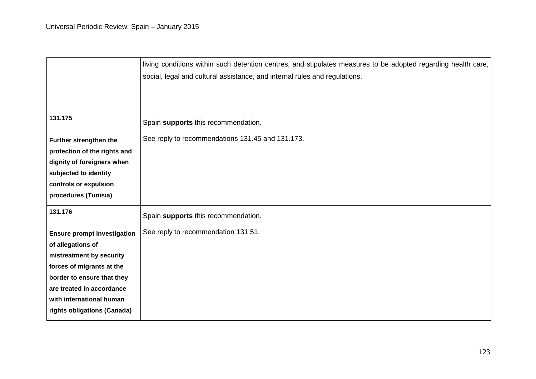|                                    | living conditions within such detention centres, and stipulates measures to be adopted regarding health care, |
|------------------------------------|---------------------------------------------------------------------------------------------------------------|
|                                    | social, legal and cultural assistance, and internal rules and regulations.                                    |
|                                    |                                                                                                               |
|                                    |                                                                                                               |
| 131.175                            | Spain supports this recommendation.                                                                           |
| Further strengthen the             | See reply to recommendations 131.45 and 131.173.                                                              |
| protection of the rights and       |                                                                                                               |
| dignity of foreigners when         |                                                                                                               |
| subjected to identity              |                                                                                                               |
| controls or expulsion              |                                                                                                               |
| procedures (Tunisia)               |                                                                                                               |
| 131.176                            | Spain supports this recommendation.                                                                           |
| <b>Ensure prompt investigation</b> | See reply to recommendation 131.51.                                                                           |
| of allegations of                  |                                                                                                               |
| mistreatment by security           |                                                                                                               |
| forces of migrants at the          |                                                                                                               |
| border to ensure that they         |                                                                                                               |
| are treated in accordance          |                                                                                                               |
| with international human           |                                                                                                               |
| rights obligations (Canada)        |                                                                                                               |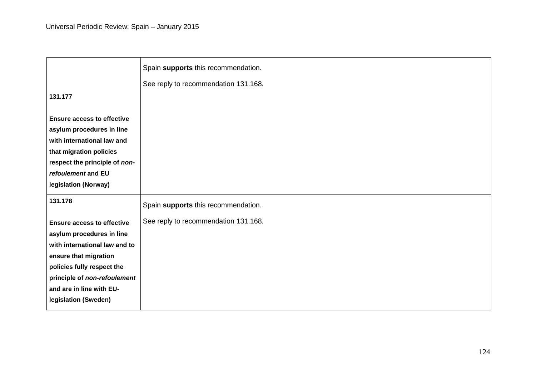|                                                                                                                                                                                                        | Spain supports this recommendation.  |
|--------------------------------------------------------------------------------------------------------------------------------------------------------------------------------------------------------|--------------------------------------|
|                                                                                                                                                                                                        | See reply to recommendation 131.168. |
| 131.177                                                                                                                                                                                                |                                      |
| <b>Ensure access to effective</b><br>asylum procedures in line<br>with international law and<br>that migration policies<br>respect the principle of non-<br>refoulement and EU<br>legislation (Norway) |                                      |
| 131.178                                                                                                                                                                                                | Spain supports this recommendation.  |
| <b>Ensure access to effective</b><br>asylum procedures in line<br>with international law and to<br>ensure that migration<br>policies fully respect the<br>principle of non-refoulement                 | See reply to recommendation 131.168. |
| and are in line with EU-<br>legislation (Sweden)                                                                                                                                                       |                                      |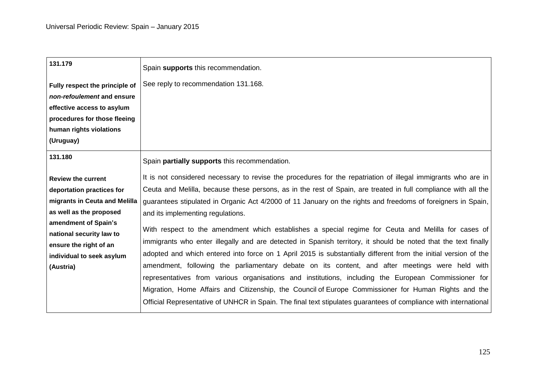| 131.179                        | Spain supports this recommendation.                                                                              |
|--------------------------------|------------------------------------------------------------------------------------------------------------------|
| Fully respect the principle of | See reply to recommendation 131.168.                                                                             |
| non-refoulement and ensure     |                                                                                                                  |
| effective access to asylum     |                                                                                                                  |
| procedures for those fleeing   |                                                                                                                  |
| human rights violations        |                                                                                                                  |
| (Uruguay)                      |                                                                                                                  |
| 131.180                        | Spain partially supports this recommendation.                                                                    |
| <b>Review the current</b>      | It is not considered necessary to revise the procedures for the repatriation of illegal immigrants who are in    |
| deportation practices for      | Ceuta and Melilla, because these persons, as in the rest of Spain, are treated in full compliance with all the   |
| migrants in Ceuta and Melilla  | guarantees stipulated in Organic Act 4/2000 of 11 January on the rights and freedoms of foreigners in Spain,     |
| as well as the proposed        | and its implementing regulations.                                                                                |
| amendment of Spain's           | With respect to the amendment which establishes a special regime for Ceuta and Melilla for cases of              |
| national security law to       |                                                                                                                  |
| ensure the right of an         | immigrants who enter illegally and are detected in Spanish territory, it should be noted that the text finally   |
| individual to seek asylum      | adopted and which entered into force on 1 April 2015 is substantially different from the initial version of the  |
| (Austria)                      | amendment, following the parliamentary debate on its content, and after meetings were held with                  |
|                                | representatives from various organisations and institutions, including the European Commissioner for             |
|                                | Migration, Home Affairs and Citizenship, the Council of Europe Commissioner for Human Rights and the             |
|                                | Official Representative of UNHCR in Spain. The final text stipulates guarantees of compliance with international |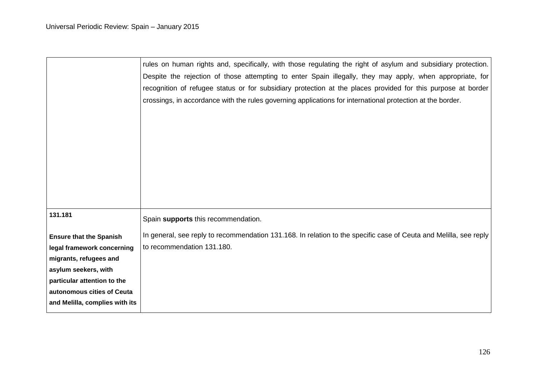|                                | rules on human rights and, specifically, with those regulating the right of asylum and subsidiary protection.     |
|--------------------------------|-------------------------------------------------------------------------------------------------------------------|
|                                | Despite the rejection of those attempting to enter Spain illegally, they may apply, when appropriate, for         |
|                                | recognition of refugee status or for subsidiary protection at the places provided for this purpose at border      |
|                                | crossings, in accordance with the rules governing applications for international protection at the border.        |
|                                |                                                                                                                   |
|                                |                                                                                                                   |
|                                |                                                                                                                   |
|                                |                                                                                                                   |
|                                |                                                                                                                   |
|                                |                                                                                                                   |
|                                |                                                                                                                   |
|                                |                                                                                                                   |
| 131.181                        | Spain supports this recommendation.                                                                               |
|                                |                                                                                                                   |
| <b>Ensure that the Spanish</b> | In general, see reply to recommendation 131.168. In relation to the specific case of Ceuta and Melilla, see reply |
| legal framework concerning     | to recommendation 131.180.                                                                                        |
| migrants, refugees and         |                                                                                                                   |
| asylum seekers, with           |                                                                                                                   |
| particular attention to the    |                                                                                                                   |
| autonomous cities of Ceuta     |                                                                                                                   |
| and Melilla, complies with its |                                                                                                                   |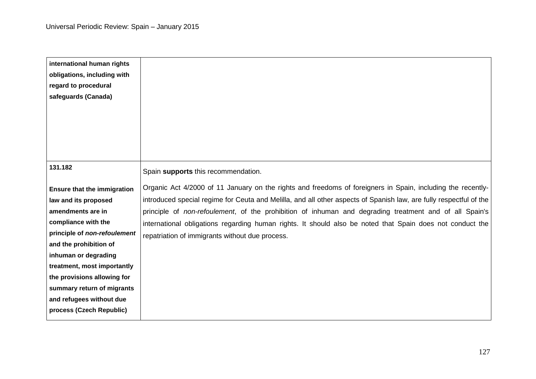| international human rights         |                                                                                                                    |
|------------------------------------|--------------------------------------------------------------------------------------------------------------------|
| obligations, including with        |                                                                                                                    |
| regard to procedural               |                                                                                                                    |
| safeguards (Canada)                |                                                                                                                    |
|                                    |                                                                                                                    |
|                                    |                                                                                                                    |
|                                    |                                                                                                                    |
|                                    |                                                                                                                    |
|                                    |                                                                                                                    |
| 131.182                            | Spain supports this recommendation.                                                                                |
| <b>Ensure that the immigration</b> | Organic Act 4/2000 of 11 January on the rights and freedoms of foreigners in Spain, including the recently-        |
| law and its proposed               | introduced special regime for Ceuta and Melilla, and all other aspects of Spanish law, are fully respectful of the |
| amendments are in                  | principle of non-refoulement, of the prohibition of inhuman and degrading treatment and of all Spain's             |
| compliance with the                | international obligations regarding human rights. It should also be noted that Spain does not conduct the          |
| principle of non-refoulement       | repatriation of immigrants without due process.                                                                    |
| and the prohibition of             |                                                                                                                    |
| inhuman or degrading               |                                                                                                                    |
| treatment, most importantly        |                                                                                                                    |
| the provisions allowing for        |                                                                                                                    |
| summary return of migrants         |                                                                                                                    |
| and refugees without due           |                                                                                                                    |
| process (Czech Republic)           |                                                                                                                    |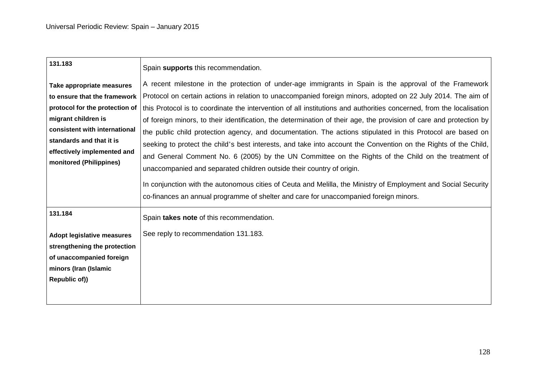| 131.183                           | Spain supports this recommendation.                                                                                                                                                                     |
|-----------------------------------|---------------------------------------------------------------------------------------------------------------------------------------------------------------------------------------------------------|
| Take appropriate measures         | A recent milestone in the protection of under-age immigrants in Spain is the approval of the Framework                                                                                                  |
| to ensure that the framework      | Protocol on certain actions in relation to unaccompanied foreign minors, adopted on 22 July 2014. The aim of                                                                                            |
| protocol for the protection of    | this Protocol is to coordinate the intervention of all institutions and authorities concerned, from the localisation                                                                                    |
| migrant children is               | of foreign minors, to their identification, the determination of their age, the provision of care and protection by                                                                                     |
| consistent with international     | the public child protection agency, and documentation. The actions stipulated in this Protocol are based on                                                                                             |
| standards and that it is          | seeking to protect the child's best interests, and take into account the Convention on the Rights of the Child,                                                                                         |
| effectively implemented and       | and General Comment No. 6 (2005) by the UN Committee on the Rights of the Child on the treatment of                                                                                                     |
| monitored (Philippines)           | unaccompanied and separated children outside their country of origin.                                                                                                                                   |
|                                   | In conjunction with the autonomous cities of Ceuta and Melilla, the Ministry of Employment and Social Security<br>co-finances an annual programme of shelter and care for unaccompanied foreign minors. |
| 131.184                           | Spain takes note of this recommendation.                                                                                                                                                                |
| <b>Adopt legislative measures</b> | See reply to recommendation 131.183.                                                                                                                                                                    |
| strengthening the protection      |                                                                                                                                                                                                         |
| of unaccompanied foreign          |                                                                                                                                                                                                         |
| minors (Iran (Islamic             |                                                                                                                                                                                                         |
| Republic of))                     |                                                                                                                                                                                                         |
|                                   |                                                                                                                                                                                                         |
|                                   |                                                                                                                                                                                                         |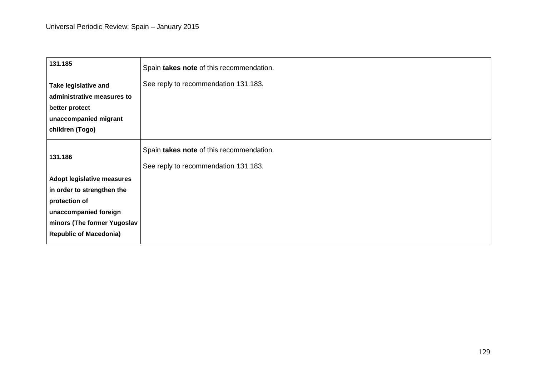| 131.185                                                                                                                                                                   | Spain takes note of this recommendation.                                         |
|---------------------------------------------------------------------------------------------------------------------------------------------------------------------------|----------------------------------------------------------------------------------|
| Take legislative and<br>administrative measures to<br>better protect<br>unaccompanied migrant<br>children (Togo)                                                          | See reply to recommendation 131.183.                                             |
| 131.186                                                                                                                                                                   | Spain takes note of this recommendation.<br>See reply to recommendation 131.183. |
| <b>Adopt legislative measures</b><br>in order to strengthen the<br>protection of<br>unaccompanied foreign<br>minors (The former Yugoslav<br><b>Republic of Macedonia)</b> |                                                                                  |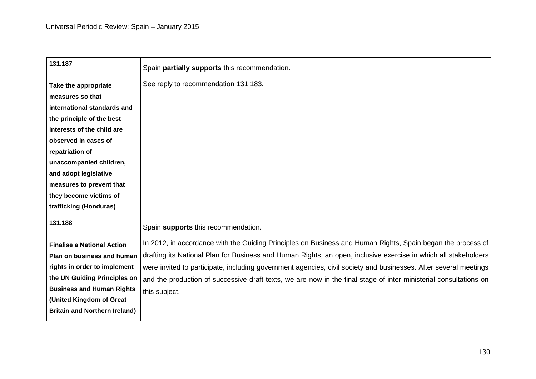| 131.187                              | Spain partially supports this recommendation.                                                                     |
|--------------------------------------|-------------------------------------------------------------------------------------------------------------------|
| Take the appropriate                 | See reply to recommendation 131.183.                                                                              |
| measures so that                     |                                                                                                                   |
| international standards and          |                                                                                                                   |
| the principle of the best            |                                                                                                                   |
| interests of the child are           |                                                                                                                   |
| observed in cases of                 |                                                                                                                   |
| repatriation of                      |                                                                                                                   |
| unaccompanied children,              |                                                                                                                   |
| and adopt legislative                |                                                                                                                   |
| measures to prevent that             |                                                                                                                   |
| they become victims of               |                                                                                                                   |
| trafficking (Honduras)               |                                                                                                                   |
| 131.188                              | Spain supports this recommendation.                                                                               |
| <b>Finalise a National Action</b>    | In 2012, in accordance with the Guiding Principles on Business and Human Rights, Spain began the process of       |
| Plan on business and human           | drafting its National Plan for Business and Human Rights, an open, inclusive exercise in which all stakeholders   |
| rights in order to implement         | were invited to participate, including government agencies, civil society and businesses. After several meetings  |
| the UN Guiding Principles on         | and the production of successive draft texts, we are now in the final stage of inter-ministerial consultations on |
| <b>Business and Human Rights</b>     | this subject.                                                                                                     |
| (United Kingdom of Great             |                                                                                                                   |
| <b>Britain and Northern Ireland)</b> |                                                                                                                   |
|                                      |                                                                                                                   |